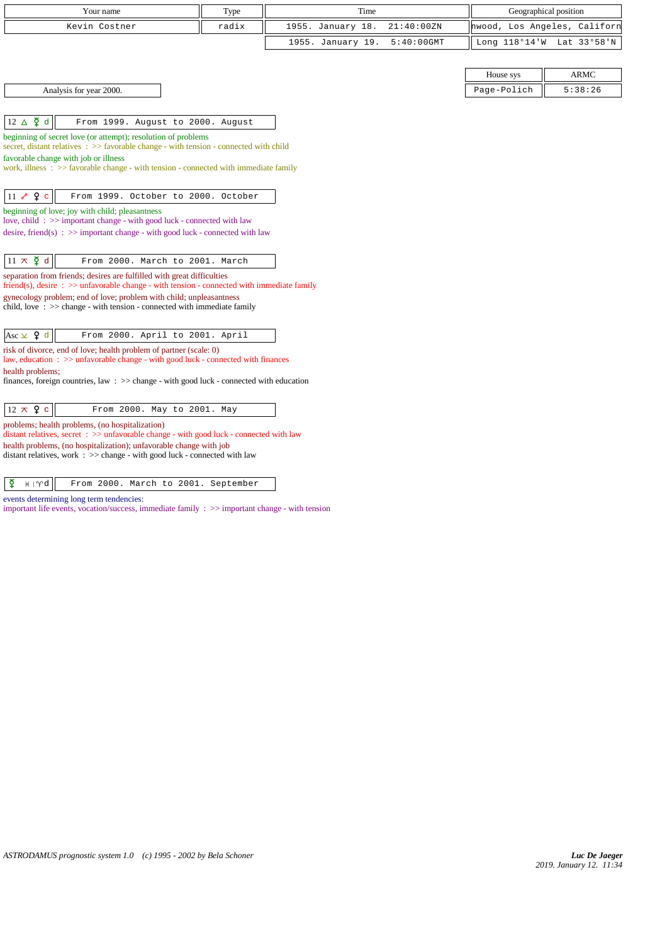| Your name                                                                                                                                                                  | Type  | Time              |               | Geographical position        |             |
|----------------------------------------------------------------------------------------------------------------------------------------------------------------------------|-------|-------------------|---------------|------------------------------|-------------|
| Kevin Costner                                                                                                                                                              | radix | 1955. January 18. | 21:40:00ZN    | hwood, Los Angeles, Californ |             |
|                                                                                                                                                                            |       | 1955. January 19. | $5:40:00$ GMT | Long 118°14'W                | Lat 33°58'N |
|                                                                                                                                                                            |       |                   |               |                              |             |
|                                                                                                                                                                            |       |                   |               | House sys                    | ARMC        |
| Analysis for year 2000.                                                                                                                                                    |       |                   |               | Page-Polich                  | 5:38:26     |
|                                                                                                                                                                            |       |                   |               |                              |             |
| $12 \triangle \n\overline{9}$ d<br>From 1999. August to 2000. August                                                                                                       |       |                   |               |                              |             |
| beginning of secret love (or attempt); resolution of problems                                                                                                              |       |                   |               |                              |             |
| secret, distant relatives $\Rightarrow$ 5 favorable change - with tension - connected with child                                                                           |       |                   |               |                              |             |
| favorable change with job or illness<br>work, illness $\Rightarrow$ 5 avorable change - with tension - connected with immediate family                                     |       |                   |               |                              |             |
|                                                                                                                                                                            |       |                   |               |                              |             |
| 11 $\sqrt{2}$ e<br>From 1999. October to 2000. October                                                                                                                     |       |                   |               |                              |             |
| beginning of love; joy with child; pleasantness                                                                                                                            |       |                   |               |                              |             |
| love, child: >> important change - with good luck - connected with law                                                                                                     |       |                   |               |                              |             |
| desire, friend(s) : $\gg$ important change - with good luck - connected with law                                                                                           |       |                   |               |                              |             |
|                                                                                                                                                                            |       |                   |               |                              |             |
| $11 \times \xi$ d<br>From 2000. March to 2001. March                                                                                                                       |       |                   |               |                              |             |
| separation from friends; desires are fulfilled with great difficulties<br>$friend(s)$ , desire : $\gg$ unfavorable change - with tension - connected with immediate family |       |                   |               |                              |             |
| gynecology problem; end of love; problem with child; unpleasantness                                                                                                        |       |                   |               |                              |             |
| child, love $\Rightarrow$ $\Rightarrow$ change - with tension - connected with immediate family                                                                            |       |                   |               |                              |             |
|                                                                                                                                                                            |       |                   |               |                              |             |
| Asc $\times$ 9 d<br>From 2000. April to 2001. April                                                                                                                        |       |                   |               |                              |             |
| risk of divorce, end of love; health problem of partner (scale: 0)<br>law, education: $\gg$ unfavorable change - with good luck - connected with finances                  |       |                   |               |                              |             |
| health problems;                                                                                                                                                           |       |                   |               |                              |             |
| finances, foreign countries, law : $\gg$ change - with good luck - connected with education                                                                                |       |                   |               |                              |             |
|                                                                                                                                                                            |       |                   |               |                              |             |
| $12 \times 9$ c<br>From 2000. May to 2001. May                                                                                                                             |       |                   |               |                              |             |
| problems; health problems, (no hospitalization)<br>distant relatives, secret : >> unfavorable change - with good luck - connected with law                                 |       |                   |               |                              |             |
| health problems, (no hospitalization); unfavorable change with job                                                                                                         |       |                   |               |                              |             |
| distant relatives, work $\Rightarrow$ >> change - with good luck - connected with law                                                                                      |       |                   |               |                              |             |

## $\boxed{\mathbf{\Sigma}$   $\mathbf{H}$  |  $\mathbf{W}$  From 2000. March to 2001. September

events determining long term tendencies:

important life events, vocation/success, immediate family :  $\gg$  important change - with tension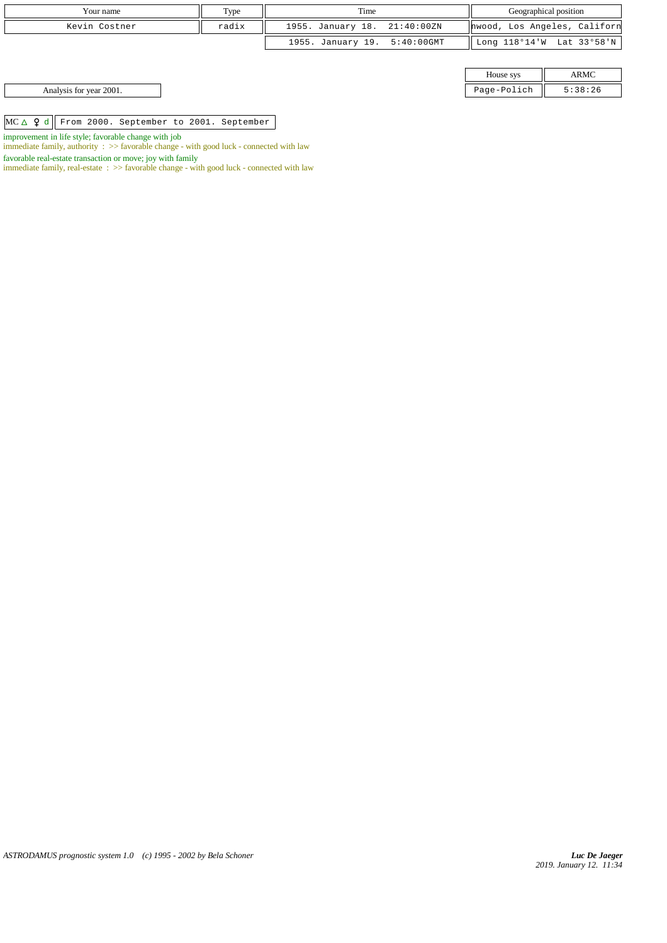| Your name     | T <sub>VDE</sub> | Time                         | Geographical position                       |
|---------------|------------------|------------------------------|---------------------------------------------|
| Kevin Costner | radix            | 1955. January 18. 21:40:00ZN | hwood, Los Angeles, Californ                |
|               |                  | 1955. January 19. 5:40:00GMT | Long $118^{\circ}14'W$ Lat $33^{\circ}58'W$ |

|                         | House sys<br>. | <b>ARMC</b><br>------ |
|-------------------------|----------------|-----------------------|
| Analysis for year 2001. | Page-Polich    | 5:38:26               |

 $MC \triangle$   $Q$  d From 2000. September to 2001. September

improvement in life style; favorable change with job

immediate family, authority : >> favorable change - with good luck - connected with law

favorable real-estate transaction or move; joy with family

immediate family, real-estate : >> favorable change - with good luck - connected with law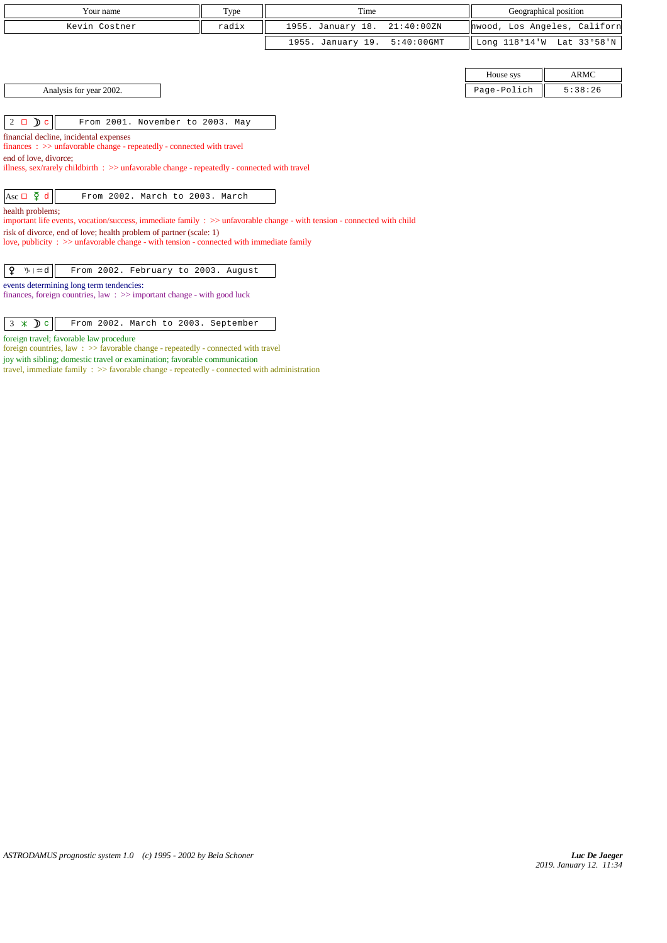| Your name                                                                                                                                   |       | Time                               |             | Geographical position        |  |  |  |
|---------------------------------------------------------------------------------------------------------------------------------------------|-------|------------------------------------|-------------|------------------------------|--|--|--|
|                                                                                                                                             | Type  |                                    |             |                              |  |  |  |
| Kevin Costner                                                                                                                               | radix | 1955. January 18.<br>21:40:00 ZN   |             | hwood, Los Angeles, Californ |  |  |  |
|                                                                                                                                             |       | 1955. January 19.<br>$5:40:00$ GMT |             | Long 118°14'W Lat 33°58'N    |  |  |  |
|                                                                                                                                             |       |                                    |             |                              |  |  |  |
|                                                                                                                                             |       |                                    | House sys   | <b>ARMC</b>                  |  |  |  |
| Analysis for year 2002.                                                                                                                     |       |                                    | Page-Polich | 5:38:26                      |  |  |  |
|                                                                                                                                             |       |                                    |             |                              |  |  |  |
| $2 \Box$ $\Box$ $\Box$<br>From 2001. November to 2003. May                                                                                  |       |                                    |             |                              |  |  |  |
| financial decline, incidental expenses<br>$finances : \gg$ unfavorable change - repeatedly - connected with travel                          |       |                                    |             |                              |  |  |  |
|                                                                                                                                             |       |                                    |             |                              |  |  |  |
| end of love, divorce:                                                                                                                       |       |                                    |             |                              |  |  |  |
| illness, sex/rarely childbirth $\Rightarrow$ > unfavorable change - repeatedly - connected with travel                                      |       |                                    |             |                              |  |  |  |
| Asc $\Box$ $\Phi$ d<br>From 2002. March to 2003. March                                                                                      |       |                                    |             |                              |  |  |  |
|                                                                                                                                             |       |                                    |             |                              |  |  |  |
| health problems;<br>important life events, vocation/success, immediate family : >> unfavorable change - with tension - connected with child |       |                                    |             |                              |  |  |  |
| risk of divorce, end of love; health problem of partner (scale: 1)                                                                          |       |                                    |             |                              |  |  |  |
| love, publicity : $\gg$ unfavorable change - with tension - connected with immediate family                                                 |       |                                    |             |                              |  |  |  |
|                                                                                                                                             |       |                                    |             |                              |  |  |  |
| From 2002. February to 2003. August<br>$\n  y_{\circ} \mid \mathfrak{m} d$<br>¥                                                             |       |                                    |             |                              |  |  |  |
| events determining long term tendencies:                                                                                                    |       |                                    |             |                              |  |  |  |
| finances, foreign countries, law $\Rightarrow$ important change - with good luck                                                            |       |                                    |             |                              |  |  |  |
|                                                                                                                                             |       |                                    |             |                              |  |  |  |
| $3 \times Dc$<br>From 2002. March to 2003. September                                                                                        |       |                                    |             |                              |  |  |  |

foreign travel; favorable law procedure

foreign countries, law : >> favorable change - repeatedly - connected with travel

joy with sibling; domestic travel or examination; favorable communication

travel, immediate family : >> favorable change - repeatedly - connected with administration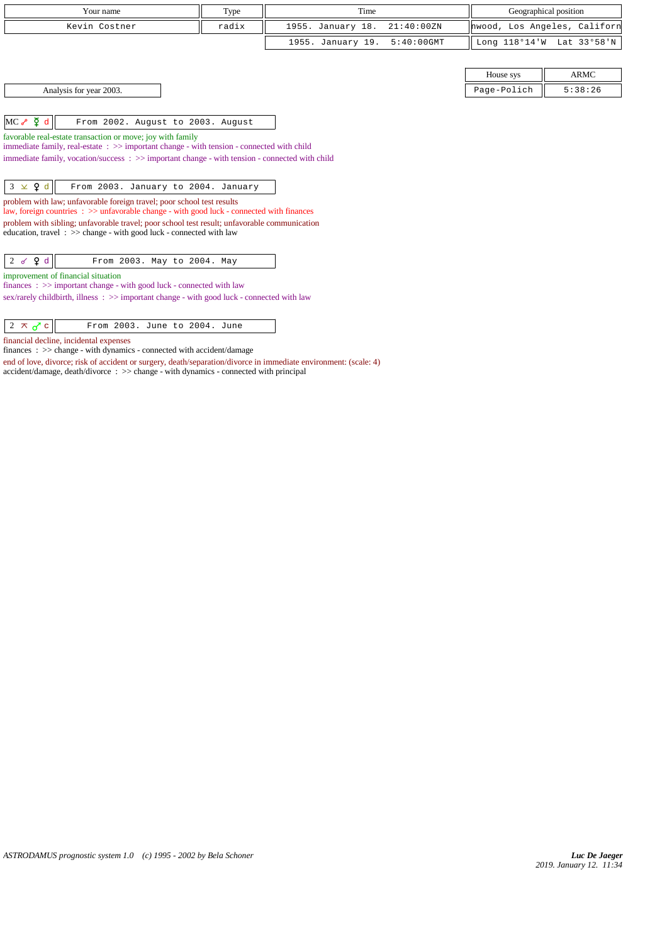| Your name                                                                                                                                                                                  |                                                                                                                                                                     | Time                               |             | Geographical position        |  |  |  |
|--------------------------------------------------------------------------------------------------------------------------------------------------------------------------------------------|---------------------------------------------------------------------------------------------------------------------------------------------------------------------|------------------------------------|-------------|------------------------------|--|--|--|
|                                                                                                                                                                                            | Type                                                                                                                                                                |                                    |             |                              |  |  |  |
| Kevin Costner                                                                                                                                                                              | radix                                                                                                                                                               | 1955. January 18.<br>21:40:00ZN    |             | hwood, Los Angeles, Californ |  |  |  |
|                                                                                                                                                                                            |                                                                                                                                                                     | 1955. January 19.<br>$5:40:00$ GMT |             | Long 118°14'W Lat 33°58'N    |  |  |  |
|                                                                                                                                                                                            |                                                                                                                                                                     |                                    |             |                              |  |  |  |
|                                                                                                                                                                                            |                                                                                                                                                                     |                                    | House sys   | <b>ARMC</b>                  |  |  |  |
| Analysis for year 2003.                                                                                                                                                                    |                                                                                                                                                                     |                                    | Page-Polich | 5:38:26                      |  |  |  |
|                                                                                                                                                                                            |                                                                                                                                                                     |                                    |             |                              |  |  |  |
| $MC \rightarrow \Phi d$<br>From 2002. August to 2003. August                                                                                                                               |                                                                                                                                                                     |                                    |             |                              |  |  |  |
| favorable real-estate transaction or move; joy with family<br>immediate family, real-estate: $\gg$ important change - with tension - connected with child                                  |                                                                                                                                                                     |                                    |             |                              |  |  |  |
| immediate family, vocation/success: $\gg$ important change - with tension - connected with child                                                                                           |                                                                                                                                                                     |                                    |             |                              |  |  |  |
|                                                                                                                                                                                            |                                                                                                                                                                     |                                    |             |                              |  |  |  |
| $3 \times 9d$<br>From 2003. January to 2004. January                                                                                                                                       |                                                                                                                                                                     |                                    |             |                              |  |  |  |
|                                                                                                                                                                                            | problem with law; unfavorable foreign travel; poor school test results<br>law, foreign countries : >> unfavorable change - with good luck - connected with finances |                                    |             |                              |  |  |  |
| problem with sibling; unfavorable travel; poor school test result; unfavorable communication<br>education, travel $\Rightarrow$ $\Rightarrow$ change - with good luck - connected with law |                                                                                                                                                                     |                                    |             |                              |  |  |  |
|                                                                                                                                                                                            |                                                                                                                                                                     |                                    |             |                              |  |  |  |
| $2$ of $9d$<br>From 2003. May to 2004. May                                                                                                                                                 |                                                                                                                                                                     |                                    |             |                              |  |  |  |
| improvement of financial situation<br>finances : $\gg$ important change - with good luck - connected with law                                                                              |                                                                                                                                                                     |                                    |             |                              |  |  |  |
| sex/rarely childbirth, illness: $\gg$ important change - with good luck - connected with law                                                                                               |                                                                                                                                                                     |                                    |             |                              |  |  |  |
|                                                                                                                                                                                            |                                                                                                                                                                     |                                    |             |                              |  |  |  |
| $2 \times d$ c<br>From 2003. June to 2004. June                                                                                                                                            |                                                                                                                                                                     |                                    |             |                              |  |  |  |

financial decline, incidental expenses

finances : >> change - with dynamics - connected with accident/damage

accident/damage, death/divorce : >> change - with dynamics - connected with principal

end of love, divorce; risk of accident or surgery, death/separation/divorce in immediate environment: (scale: 4)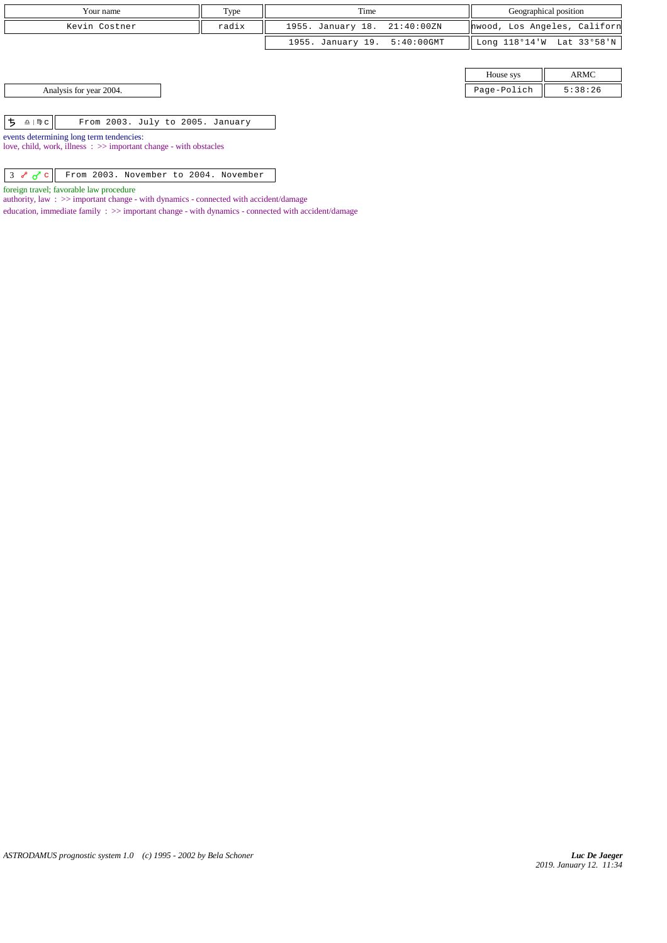|                                                                     | Your name                                                                                                              | Type  | Time                         | Geographical position        |         |
|---------------------------------------------------------------------|------------------------------------------------------------------------------------------------------------------------|-------|------------------------------|------------------------------|---------|
|                                                                     | Kevin Costner                                                                                                          | radix | 1955. January 18. 21:40:00ZN | hwood, Los Angeles, Californ |         |
|                                                                     |                                                                                                                        |       | 1955. January 19. 5:40:00GMT | Long 118°14'W Lat 33°58'N    |         |
|                                                                     |                                                                                                                        |       |                              |                              |         |
|                                                                     |                                                                                                                        |       |                              | House sys                    | ARMC    |
|                                                                     | Analysis for year 2004.                                                                                                |       |                              | Page-Polich                  | 5:38:26 |
|                                                                     |                                                                                                                        |       |                              |                              |         |
| ち<br>$\underline{\Omega}$   $\mathfrak{m}$ $\underline{\mathbf{C}}$ | From 2003. July to 2005. January                                                                                       |       |                              |                              |         |
|                                                                     | events determining long term tendencies:<br>love, child, work, illness $\Rightarrow$ important change - with obstacles |       |                              |                              |         |

 $3 \frac{\partial}{\partial s} \left| \right|$  From 2003. November to 2004. November

foreign travel; favorable law procedure

authority, law : >> important change - with dynamics - connected with accident/damage

education, immediate family :  $\gg$  important change - with dynamics - connected with accident/damage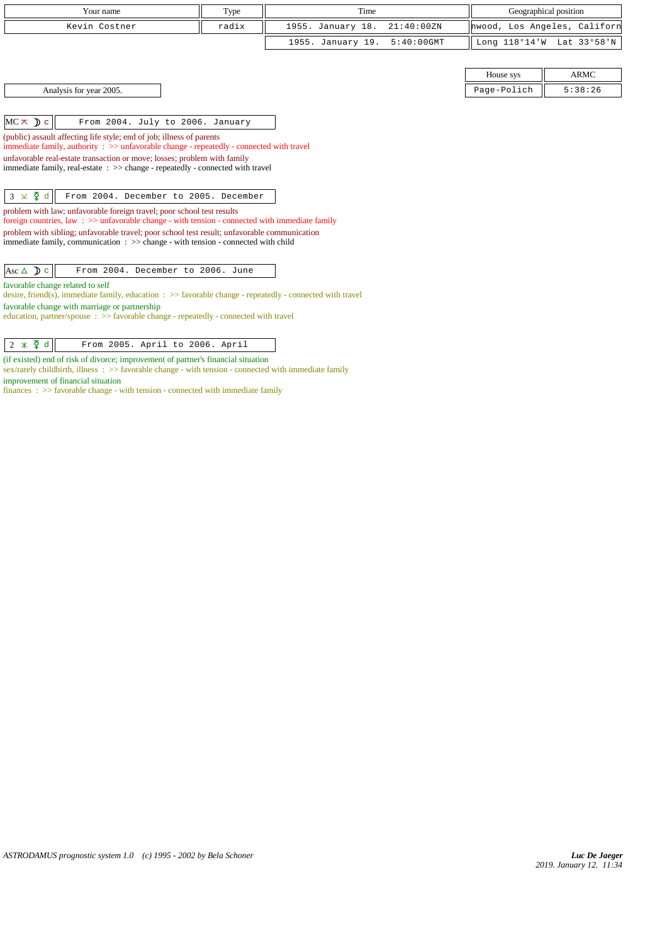| Your name                                                                                                                                                                | Type                                                                           | Time              |               | Geographical position        |             |  |  |
|--------------------------------------------------------------------------------------------------------------------------------------------------------------------------|--------------------------------------------------------------------------------|-------------------|---------------|------------------------------|-------------|--|--|
| Kevin Costner                                                                                                                                                            | radix                                                                          | 1955. January 18. | 21:40:00 ZN   | hwood, Los Angeles, Californ |             |  |  |
|                                                                                                                                                                          |                                                                                | 1955. January 19. | $5:40:00$ GMT | Long 118°14'W Lat 33°58'N    |             |  |  |
|                                                                                                                                                                          |                                                                                |                   |               |                              |             |  |  |
|                                                                                                                                                                          |                                                                                |                   |               | House sys                    | <b>ARMC</b> |  |  |
| Analysis for year 2005.                                                                                                                                                  |                                                                                |                   |               | Page-Polich                  | 5:38:26     |  |  |
|                                                                                                                                                                          |                                                                                |                   |               |                              |             |  |  |
| $MC \times D c$<br>From 2004. July to 2006. January                                                                                                                      |                                                                                |                   |               |                              |             |  |  |
| (public) assault affecting life style; end of job; illness of parents<br>immediate family, authority : >> unfavorable change - repeatedly - connected with travel        |                                                                                |                   |               |                              |             |  |  |
| unfavorable real-estate transaction or move; losses; problem with family                                                                                                 |                                                                                |                   |               |                              |             |  |  |
|                                                                                                                                                                          | immediate family, real-estate : >> change - repeatedly - connected with travel |                   |               |                              |             |  |  |
|                                                                                                                                                                          |                                                                                |                   |               |                              |             |  |  |
| $3 \times \xi$ d<br>From 2004. December to 2005. December                                                                                                                |                                                                                |                   |               |                              |             |  |  |
| problem with law; unfavorable foreign travel; poor school test results<br>foreign countries, law: >> unfavorable change - with tension - connected with immediate family |                                                                                |                   |               |                              |             |  |  |
| problem with sibling; unfavorable travel; poor school test result; unfavorable communication                                                                             |                                                                                |                   |               |                              |             |  |  |
| immediate family, communication $\Rightarrow$ $\Rightarrow$ change - with tension - connected with child                                                                 |                                                                                |                   |               |                              |             |  |  |
| Asc $\triangle$ D c<br>From 2004. December to 2006. June                                                                                                                 |                                                                                |                   |               |                              |             |  |  |
|                                                                                                                                                                          |                                                                                |                   |               |                              |             |  |  |
| favorable change related to self<br>desire, friend(s), immediate family, education $\Rightarrow$ favorable change - repeatedly - connected with travel                   |                                                                                |                   |               |                              |             |  |  |
| favorable change with marriage or partnership                                                                                                                            |                                                                                |                   |               |                              |             |  |  |
| education, partner/spouse: >> favorable change - repeatedly - connected with travel                                                                                      |                                                                                |                   |               |                              |             |  |  |

 $\begin{array}{|c|c|c|c|c|}\n\hline\n2 & \times & \mathfrak{F} & \mathbb{d} & \hline\n\end{array}$  From 2005. April to 2006. April

(if existed) end of risk of divorce; improvement of partner's financial situation

sex/rarely childbirth, illness :  $>>$  favorable change - with tension - connected with immediate family improvement of financial situation

finances : >> favorable change - with tension - connected with immediate family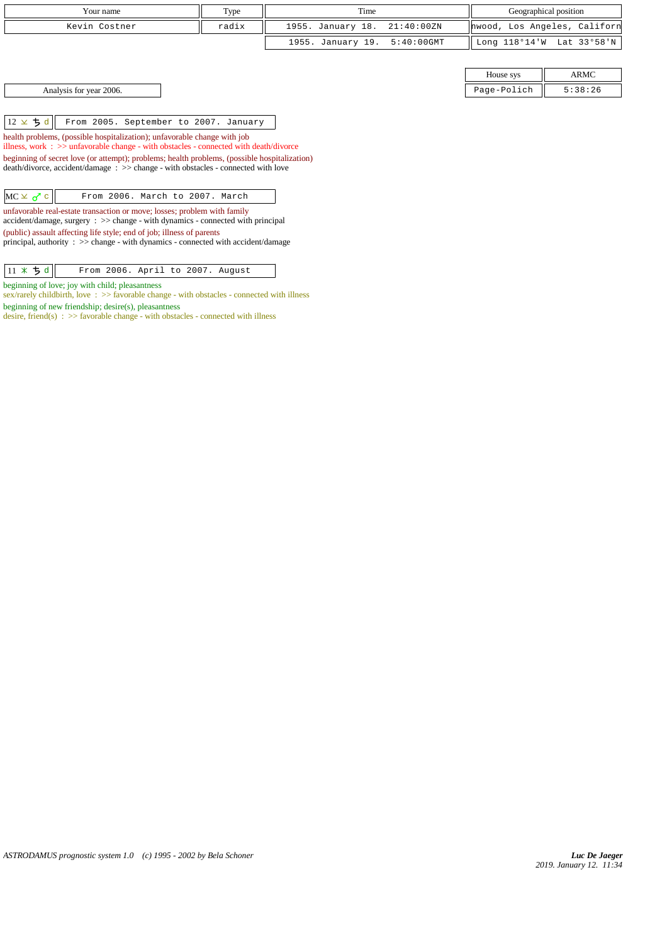| Your name     | Type  | Time                         | Geographical position        |
|---------------|-------|------------------------------|------------------------------|
| Kevin Costner | radix | 1955. January 18. 21:40:00ZN | hwood, Los Angeles, Californ |
|               |       | 1955. January 19. 5:40:00GMT | Long 118°14'W Lat 33°58'N    |
|               |       |                              |                              |

Analysis for year 2006.

 $\|12 \times \frac{1}{9}d\|$  From 2005. September to 2007. January

health problems, (possible hospitalization); unfavorable change with job illness, work : >> unfavorable change - with obstacles - connected with death/divorce

beginning of secret love (or attempt); problems; health problems, (possible hospitalization) death/divorce, accident/damage : >> change - with obstacles - connected with love

| $MC \times \sigma$ c |  | From 2006. March to 2007. March |  |  |
|----------------------|--|---------------------------------|--|--|
|----------------------|--|---------------------------------|--|--|

unfavorable real-estate transaction or move; losses; problem with family accident/damage, surgery : >> change - with dynamics - connected with principal (public) assault affecting life style; end of job; illness of parents

principal, authority :  $\gg$  change - with dynamics - connected with accident/damage

 $\boxed{11 \times 5d}$  From 2006. April to 2007. August

beginning of love; joy with child; pleasantness

sex/rarely childbirth, love : >> favorable change - with obstacles - connected with illness beginning of new friendship; desire(s), pleasantness

desire, friend(s) : >> favorable change - with obstacles - connected with illness

| House sys   |         |
|-------------|---------|
| Page-Polich | 5:38:26 |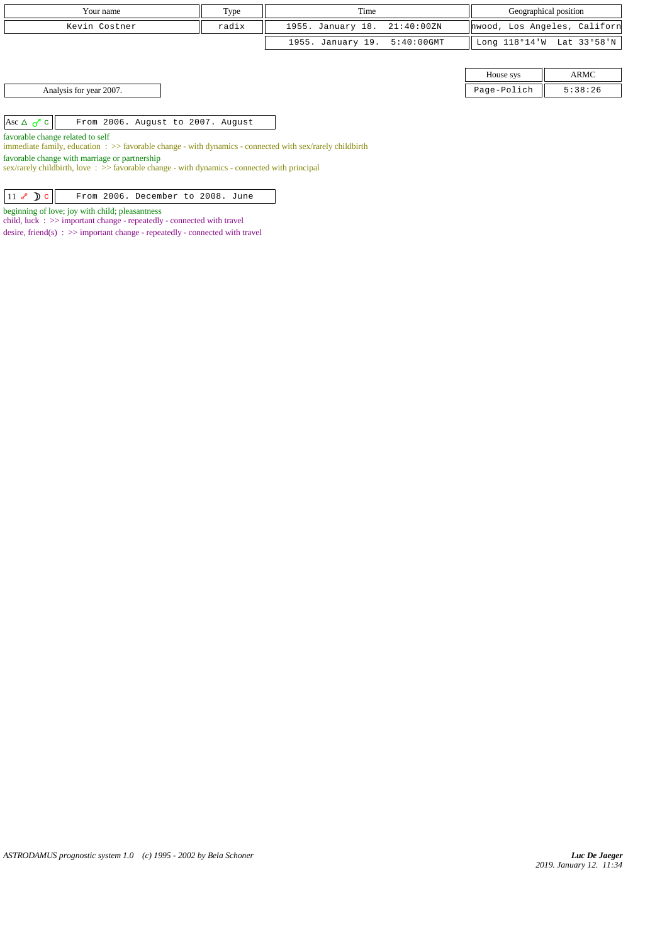| Your name                                                                                                                                             | Type  | Geographical position<br>Time |               |             |                              |
|-------------------------------------------------------------------------------------------------------------------------------------------------------|-------|-------------------------------|---------------|-------------|------------------------------|
| Kevin Costner                                                                                                                                         | radix | 1955. January 18.             | 21:40:00ZN    |             | hwood, Los Angeles, Californ |
|                                                                                                                                                       |       | 1955. January 19.             | $5:40:00$ GMT |             | Long 118°14'W Lat 33°58'N    |
|                                                                                                                                                       |       |                               |               |             |                              |
|                                                                                                                                                       |       |                               |               | House sys   | ARMC                         |
| Analysis for year 2007.                                                                                                                               |       |                               |               | Page-Polich | 5:38:26                      |
|                                                                                                                                                       |       |                               |               |             |                              |
| Asc $\triangle$ $\sigma$ <sup>7</sup> c<br>From 2006. August to 2007. August                                                                          |       |                               |               |             |                              |
| favorable change related to self<br>immediate family, education $\Rightarrow$ Savorable change - with dynamics - connected with sex/rarely childbirth |       |                               |               |             |                              |

favorable change with marriage or partnership

sex/rarely childbirth, love : >> favorable change - with dynamics - connected with principal

| $ 11 \times \mathbb{D}c $<br>From 2006. December to 2008. June |  |
|----------------------------------------------------------------|--|
|----------------------------------------------------------------|--|

beginning of love; joy with child; pleasantness

child, luck : >> important change - repeatedly - connected with travel

desire, friend(s) : >> important change - repeatedly - connected with travel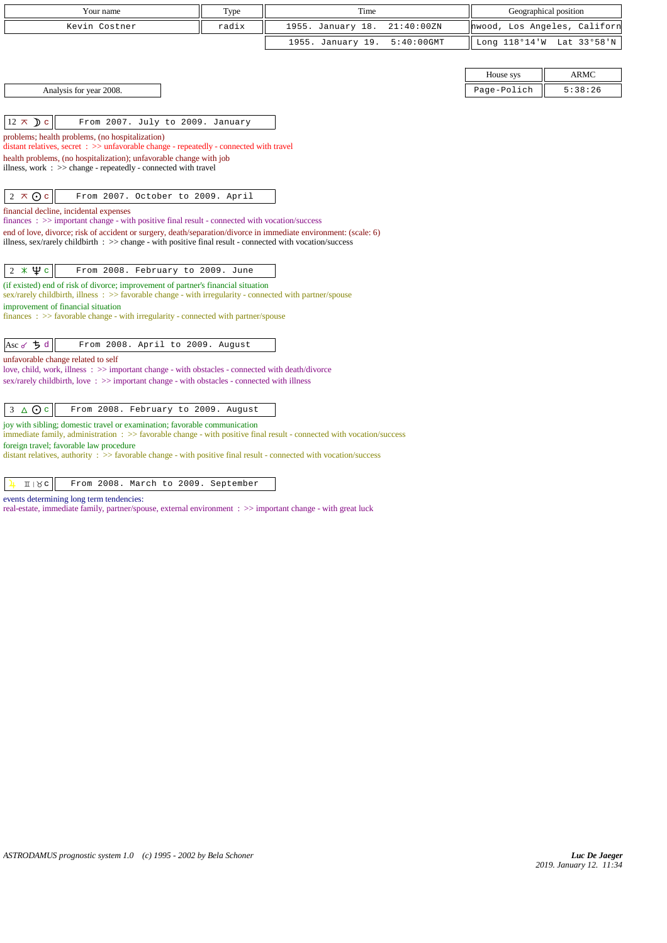| Your name                                                                                                                                                                                          | Type  | Time              |               |             | Geographical position        |
|----------------------------------------------------------------------------------------------------------------------------------------------------------------------------------------------------|-------|-------------------|---------------|-------------|------------------------------|
| Kevin Costner                                                                                                                                                                                      | radix | 1955. January 18. | 21:40:00ZN    |             | hwood, Los Angeles, Californ |
|                                                                                                                                                                                                    |       | 1955. January 19. | $5:40:00$ GMT |             | Long 118°14'W Lat 33°58'N    |
|                                                                                                                                                                                                    |       |                   |               |             |                              |
|                                                                                                                                                                                                    |       |                   |               | House sys   | <b>ARMC</b>                  |
| Analysis for year 2008.                                                                                                                                                                            |       |                   |               | Page-Polich | 5:38:26                      |
|                                                                                                                                                                                                    |       |                   |               |             |                              |
| $12 \times D c$<br>From 2007. July to 2009. January                                                                                                                                                |       |                   |               |             |                              |
| problems; health problems, (no hospitalization)<br>distant relatives, secret : >> unfavorable change - repeatedly - connected with travel                                                          |       |                   |               |             |                              |
| health problems, (no hospitalization); unfavorable change with job                                                                                                                                 |       |                   |               |             |                              |
| illness, work : >> change - repeatedly - connected with travel                                                                                                                                     |       |                   |               |             |                              |
|                                                                                                                                                                                                    |       |                   |               |             |                              |
| $2 \times 0c$<br>From 2007. October to 2009. April                                                                                                                                                 |       |                   |               |             |                              |
| financial decline, incidental expenses<br>$finances: \gg important change - with positive final result - connected with vocation/success$                                                          |       |                   |               |             |                              |
| end of love, divorce; risk of accident or surgery, death/separation/divorce in immediate environment: (scale: 6)                                                                                   |       |                   |               |             |                              |
| illness, sex/rarely childbirth $\Rightarrow$ > change - with positive final result - connected with vocation/success                                                                               |       |                   |               |             |                              |
| $2 * \Psi c$<br>From 2008. February to 2009. June                                                                                                                                                  |       |                   |               |             |                              |
| (if existed) end of risk of divorce; improvement of partner's financial situation<br>sex/rarely childbirth, illness : >> favorable change - with irregularity - connected with partner/spouse      |       |                   |               |             |                              |
| improvement of financial situation                                                                                                                                                                 |       |                   |               |             |                              |
| finances : $\gg$ favorable change - with irregularity - connected with partner/spouse                                                                                                              |       |                   |               |             |                              |
| Asc $\sigma$ $\frac{1}{2}$ d<br>From 2008. April to 2009. August                                                                                                                                   |       |                   |               |             |                              |
| unfavorable change related to self                                                                                                                                                                 |       |                   |               |             |                              |
| love, child, work, illness: >> important change - with obstacles - connected with death/divorce                                                                                                    |       |                   |               |             |                              |
| sex/rarely childbirth, love: $\gg$ important change - with obstacles - connected with illness                                                                                                      |       |                   |               |             |                              |
| $3 \triangle$ Oc<br>From 2008. February to 2009. August                                                                                                                                            |       |                   |               |             |                              |
| joy with sibling; domestic travel or examination; favorable communication<br>immediate family, administration : >> favorable change - with positive final result - connected with vocation/success |       |                   |               |             |                              |
| foreign travel; favorable law procedure                                                                                                                                                            |       |                   |               |             |                              |
| distant relatives, authority : $\gg$ favorable change - with positive final result - connected with vocation/success                                                                               |       |                   |               |             |                              |
| 118c<br>From 2008. March to 2009. September                                                                                                                                                        |       |                   |               |             |                              |

events determining long term tendencies:

real-estate, immediate family, partner/spouse, external environment : >> important change - with great luck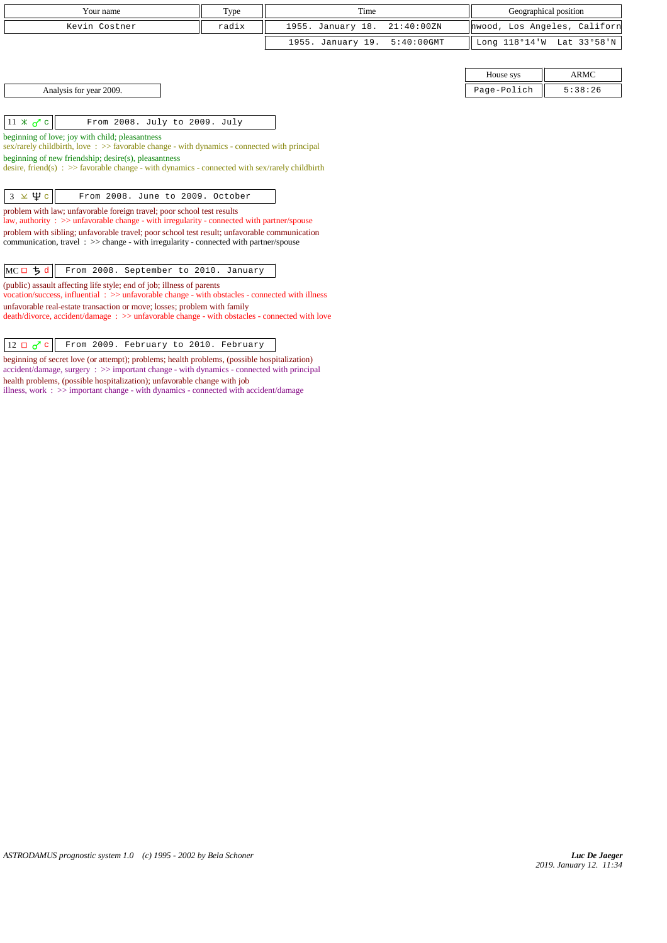| Your name                                                                                                                                                                | Type  | Time                               |             | Geographical position        |
|--------------------------------------------------------------------------------------------------------------------------------------------------------------------------|-------|------------------------------------|-------------|------------------------------|
| Kevin Costner                                                                                                                                                            | radix | 1955. January 18.<br>21:40:00 ZN   |             | hwood, Los Angeles, Californ |
|                                                                                                                                                                          |       | $5:40:00$ GMT<br>1955. January 19. |             | Long 118°14'W Lat 33°58'N    |
|                                                                                                                                                                          |       |                                    |             |                              |
|                                                                                                                                                                          |       |                                    | House sys   | <b>ARMC</b>                  |
| Analysis for year 2009.                                                                                                                                                  |       |                                    | Page-Polich | 5:38:26                      |
|                                                                                                                                                                          |       |                                    |             |                              |
| $11 \times \sigma$ c<br>From 2008. July to 2009. July                                                                                                                    |       |                                    |             |                              |
| beginning of love; joy with child; pleasantness<br>sex/rarely childbirth, love $\Rightarrow$ favorable change - with dynamics - connected with principal                 |       |                                    |             |                              |
| beginning of new friendship; desire(s), pleasantness                                                                                                                     |       |                                    |             |                              |
| desire, friend(s) : $\gg$ favorable change - with dynamics - connected with sex/rarely childbirth                                                                        |       |                                    |             |                              |
| $3 \times \Psi$ c<br>From 2008. June to 2009. October                                                                                                                    |       |                                    |             |                              |
| problem with law; unfavorable foreign travel; poor school test results<br>law, authority: >> unfavorable change - with irregularity - connected with partner/spouse      |       |                                    |             |                              |
| problem with sibling; unfavorable travel; poor school test result; unfavorable communication                                                                             |       |                                    |             |                              |
| communication, travel : >> change - with irregularity - connected with partner/spouse                                                                                    |       |                                    |             |                              |
| MCD5d<br>From 2008. September to 2010. January                                                                                                                           |       |                                    |             |                              |
| (public) assault affecting life style; end of job; illness of parents<br>vocation/success, influential: >> unfavorable change - with obstacles - connected with illness  |       |                                    |             |                              |
| unfavorable real-estate transaction or move; losses; problem with family<br>death/divorce, accident/damage: >> unfavorable change - with obstacles - connected with love |       |                                    |             |                              |

 $\boxed{12 \Box \sigma^2 c}$  From 2009. February to 2010. February

health problems, (possible hospitalization); unfavorable change with job

beginning of secret love (or attempt); problems; health problems, (possible hospitalization) accident/damage, surgery : >> important change - with dynamics - connected with principal

illness, work : >> important change - with dynamics - connected with accident/damage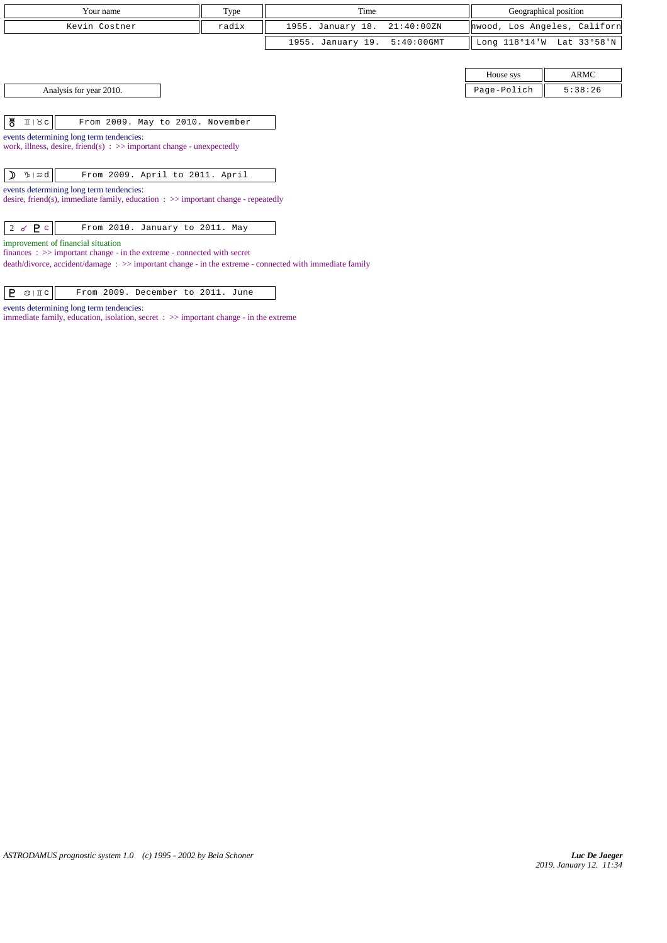| Your name     | T <sub>VDE</sub> | Time                         | Geographical position        |
|---------------|------------------|------------------------------|------------------------------|
| Kevin Costner | radix            | 1955. January 18. 21:40:00ZN | hwood, Los Angeles, Californ |
|               |                  | 1955. January 19. 5:40:00GMT | Long 118°14'W Lat 33°58'N    |

|  | Analysis for year 2010. |  |
|--|-------------------------|--|
|--|-------------------------|--|

House sys ARMC Page-Polich  $\parallel$  5:38:26

 $\begin{array}{|c|c|c|c|c|}\n\hline\n\texttt{M} & \texttt{II} & \texttt{Nc} \\
\hline\n\end{array}$  From 2009. May to 2010. November

events determining long term tendencies:

work, illness, desire, friend(s) : >> important change - unexpectedly

 $\normalsize \boxed{\left \}$   $\boxed{\ }$   $\boxed{\ }$  From 2009. April to 2011. April

events determining long term tendencies:

desire, friend(s), immediate family, education : >> important change - repeatedly

2 c From 2010. January to 2011. May

improvement of financial situation

finances : >> important change - in the extreme - connected with secret

death/divorce, accident/damage : >> important change - in the extreme - connected with immediate family

|  | $P \circ \mathbb{IC}$ |  |  | From 2009. December to 2011. June |  |  |  |  |
|--|-----------------------|--|--|-----------------------------------|--|--|--|--|
|--|-----------------------|--|--|-----------------------------------|--|--|--|--|

events determining long term tendencies:

immediate family, education, isolation, secret : >> important change - in the extreme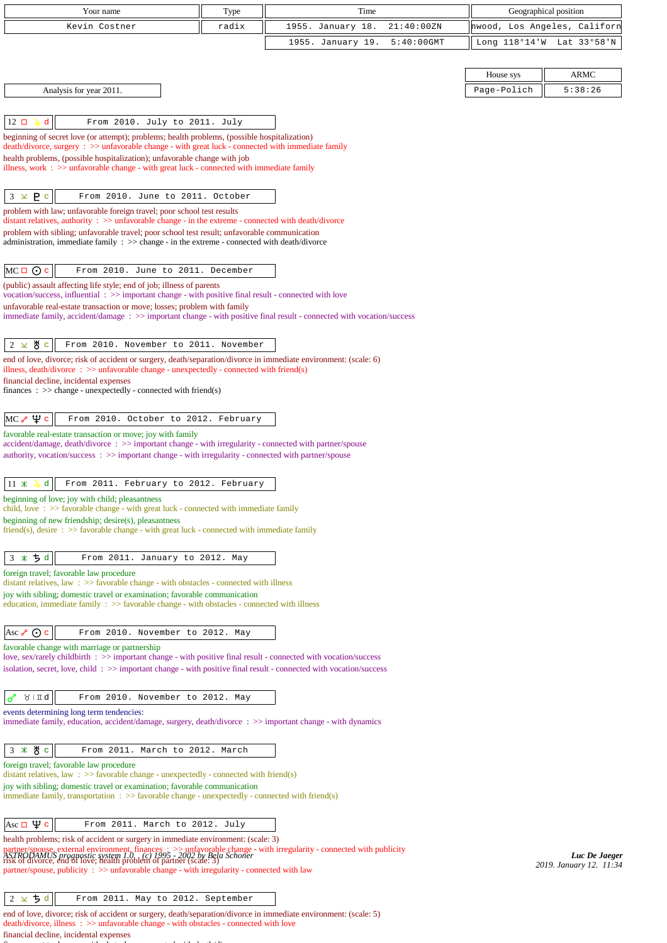| radix<br>1955. January 18.<br>21:40:00ZN<br>hwood, Los Angeles, Californ<br>Kevin Costner<br>1955. January 19.<br>$5:40:00$ GMT<br>Long 118°14'W Lat 33°58'N<br><b>ARMC</b><br>House sys<br>Analysis for year 2011.<br>Page-Polich<br>5:38:26<br>d<br>From 2010. July to 2011. July<br>$12 \square$<br>beginning of secret love (or attempt); problems; health problems, (possible hospitalization)<br>death/divorce, surgery : >> unfavorable change - with great luck - connected with immediate family<br>health problems, (possible hospitalization); unfavorable change with job<br>illness, work $\Rightarrow$ > unfavorable change - with great luck - connected with immediate family<br>$3 \times P c$<br>From 2010. June to 2011. October<br>problem with law; unfavorable foreign travel; poor school test results<br>distant relatives, authority $\Rightarrow$ > unfavorable change - in the extreme - connected with death/divorce<br>problem with sibling; unfavorable travel; poor school test result; unfavorable communication<br>administration, immediate family $\Rightarrow$ change - in the extreme - connected with death/divorce<br>$MC \Box$ $\odot$ c<br>From 2010. June to 2011. December<br>(public) assault affecting life style; end of job; illness of parents<br>vocation/success, influential : >> important change - with positive final result - connected with love<br>unfavorable real-estate transaction or move; losses; problem with family<br>immediate family, accident/damage : >> important change - with positive final result - connected with vocation/success<br>∦ с<br>From 2010. November to 2011. November<br>2 $\times$<br>end of love, divorce; risk of accident or surgery, death/separation/divorce in immediate environment: (scale: 6)<br>illness, death/divorce $\therefore$ >> unfavorable change - unexpectedly - connected with friend(s)<br>financial decline, incidental expenses<br>finances : $\gg$ change - unexpectedly - connected with friend(s)<br>$MC \rightarrow \Psi c$<br>From 2010. October to 2012. February<br>accident/damage, death/divorce: >> important change - with irregularity - connected with partner/spouse<br>authority, vocation/success: >> important change - with irregularity - connected with partner/spouse<br>d<br>$11 \times$<br>From 2011. February to 2012. February<br>beginning of love; joy with child; pleasantness<br>child, love $\Rightarrow$ s $\Rightarrow$ favorable change - with great luck - connected with immediate family<br>$friend(s)$ , desire : $\gg$ favorable change - with great luck - connected with immediate family<br>$3 * 5d$<br>From 2011. January to 2012. May<br>distant relatives, law $\Rightarrow$ >> favorable change - with obstacles - connected with illness<br>joy with sibling; domestic travel or examination; favorable communication<br>education, immediate family : >> favorable change - with obstacles - connected with illness<br>From 2010. November to 2012. May<br>favorable change with marriage or partnership<br>love, sex/rarely childbirth : >> important change - with positive final result - connected with vocation/success<br>isolation, secret, love, child: >> important change - with positive final result - connected with vocation/success<br>$\lambda$   II q<br>ರ<br>From 2010. November to 2012. May<br>immediate family, education, accident/damage, surgery, death/divorce : >> important change - with dynamics<br>$3 * 8c$<br>From 2011. March to 2012. March<br>foreign travel; favorable law procedure<br>distant relatives, law : $\gg$ favorable change - unexpectedly - connected with friend(s)<br>joy with sibling; domestic travel or examination; favorable communication<br>immediate family, transportation $\Rightarrow$ > favorable change - unexpectedly - connected with friend(s)<br>$ {\rm Ass}\sqcup\mathfrak{P} $ c<br>From 2011. March to 2012. July<br>health problems; risk of accident or surgery in immediate environment: (scale: 3)<br>partner/spouse, external environment, finances $\cdot \geq$ unfavorable change - with irregularity - connected with publicity ASTROLAMUS prognostic system 1.0 (c) 1995 - 2002 by Bela Schoner<br>The Gallachy of the context of the<br>2019. January 12. 11:34<br>partner/spouse, publicity: >> unfavorable change - with irregularity - connected with law<br>$2 \times 5d$<br>From 2011. May to 2012. September<br>end of love, divorce; risk of accident or surgery, death/separation/divorce in immediate environment: (scale: 5)<br>death/divorce, illness: >> unfavorable change - with obstacles - connected with love | Your name                                                  | Type | Time | Geographical position |
|---------------------------------------------------------------------------------------------------------------------------------------------------------------------------------------------------------------------------------------------------------------------------------------------------------------------------------------------------------------------------------------------------------------------------------------------------------------------------------------------------------------------------------------------------------------------------------------------------------------------------------------------------------------------------------------------------------------------------------------------------------------------------------------------------------------------------------------------------------------------------------------------------------------------------------------------------------------------------------------------------------------------------------------------------------------------------------------------------------------------------------------------------------------------------------------------------------------------------------------------------------------------------------------------------------------------------------------------------------------------------------------------------------------------------------------------------------------------------------------------------------------------------------------------------------------------------------------------------------------------------------------------------------------------------------------------------------------------------------------------------------------------------------------------------------------------------------------------------------------------------------------------------------------------------------------------------------------------------------------------------------------------------------------------------------------------------------------------------------------------------------------------------------------------------------------------------------------------------------------------------------------------------------------------------------------------------------------------------------------------------------------------------------------------------------------------------------------------------------------------------------------------------------------------------------------------------------------------------------------------------------------------------------------------------------------------------------------------------------------------------------------------------------------------------------------------------------------------------------------------------------------------------------------------------------------------------------------------------------------------------------------------------------------------------------------------------------------------------------------------------------------------------------------------------------------------------------------------------------------------------------------------------------------------------------------------------------------------------------------------------------------------------------------------------------------------------------------------------------------------------------------------------------------------------------------------------------------------------------------------------------------------------------------------------------------------------------------------------------------------------------------------------------------------------------------------------------------------------------------------------------------------------------------------------------------------------------------------------------------------------------------------------------------------------------------------------------------------------------------------------------------------------------------------------------------------------------------------------------------------------------------------------------------------------------------------------------------------------------------------------------------------------------------------------------------------------------------------------------------------------------------------------------------------------------------------------------------------------------------------------------------------------------------------------------|------------------------------------------------------------|------|------|-----------------------|
|                                                                                                                                                                                                                                                                                                                                                                                                                                                                                                                                                                                                                                                                                                                                                                                                                                                                                                                                                                                                                                                                                                                                                                                                                                                                                                                                                                                                                                                                                                                                                                                                                                                                                                                                                                                                                                                                                                                                                                                                                                                                                                                                                                                                                                                                                                                                                                                                                                                                                                                                                                                                                                                                                                                                                                                                                                                                                                                                                                                                                                                                                                                                                                                                                                                                                                                                                                                                                                                                                                                                                                                                                                                                                                                                                                                                                                                                                                                                                                                                                                                                                                                                                                                                                                                                                                                                                                                                                                                                                                                                                                                                                                                                                 |                                                            |      |      |                       |
|                                                                                                                                                                                                                                                                                                                                                                                                                                                                                                                                                                                                                                                                                                                                                                                                                                                                                                                                                                                                                                                                                                                                                                                                                                                                                                                                                                                                                                                                                                                                                                                                                                                                                                                                                                                                                                                                                                                                                                                                                                                                                                                                                                                                                                                                                                                                                                                                                                                                                                                                                                                                                                                                                                                                                                                                                                                                                                                                                                                                                                                                                                                                                                                                                                                                                                                                                                                                                                                                                                                                                                                                                                                                                                                                                                                                                                                                                                                                                                                                                                                                                                                                                                                                                                                                                                                                                                                                                                                                                                                                                                                                                                                                                 |                                                            |      |      |                       |
|                                                                                                                                                                                                                                                                                                                                                                                                                                                                                                                                                                                                                                                                                                                                                                                                                                                                                                                                                                                                                                                                                                                                                                                                                                                                                                                                                                                                                                                                                                                                                                                                                                                                                                                                                                                                                                                                                                                                                                                                                                                                                                                                                                                                                                                                                                                                                                                                                                                                                                                                                                                                                                                                                                                                                                                                                                                                                                                                                                                                                                                                                                                                                                                                                                                                                                                                                                                                                                                                                                                                                                                                                                                                                                                                                                                                                                                                                                                                                                                                                                                                                                                                                                                                                                                                                                                                                                                                                                                                                                                                                                                                                                                                                 |                                                            |      |      |                       |
|                                                                                                                                                                                                                                                                                                                                                                                                                                                                                                                                                                                                                                                                                                                                                                                                                                                                                                                                                                                                                                                                                                                                                                                                                                                                                                                                                                                                                                                                                                                                                                                                                                                                                                                                                                                                                                                                                                                                                                                                                                                                                                                                                                                                                                                                                                                                                                                                                                                                                                                                                                                                                                                                                                                                                                                                                                                                                                                                                                                                                                                                                                                                                                                                                                                                                                                                                                                                                                                                                                                                                                                                                                                                                                                                                                                                                                                                                                                                                                                                                                                                                                                                                                                                                                                                                                                                                                                                                                                                                                                                                                                                                                                                                 |                                                            |      |      |                       |
|                                                                                                                                                                                                                                                                                                                                                                                                                                                                                                                                                                                                                                                                                                                                                                                                                                                                                                                                                                                                                                                                                                                                                                                                                                                                                                                                                                                                                                                                                                                                                                                                                                                                                                                                                                                                                                                                                                                                                                                                                                                                                                                                                                                                                                                                                                                                                                                                                                                                                                                                                                                                                                                                                                                                                                                                                                                                                                                                                                                                                                                                                                                                                                                                                                                                                                                                                                                                                                                                                                                                                                                                                                                                                                                                                                                                                                                                                                                                                                                                                                                                                                                                                                                                                                                                                                                                                                                                                                                                                                                                                                                                                                                                                 |                                                            |      |      |                       |
|                                                                                                                                                                                                                                                                                                                                                                                                                                                                                                                                                                                                                                                                                                                                                                                                                                                                                                                                                                                                                                                                                                                                                                                                                                                                                                                                                                                                                                                                                                                                                                                                                                                                                                                                                                                                                                                                                                                                                                                                                                                                                                                                                                                                                                                                                                                                                                                                                                                                                                                                                                                                                                                                                                                                                                                                                                                                                                                                                                                                                                                                                                                                                                                                                                                                                                                                                                                                                                                                                                                                                                                                                                                                                                                                                                                                                                                                                                                                                                                                                                                                                                                                                                                                                                                                                                                                                                                                                                                                                                                                                                                                                                                                                 |                                                            |      |      |                       |
|                                                                                                                                                                                                                                                                                                                                                                                                                                                                                                                                                                                                                                                                                                                                                                                                                                                                                                                                                                                                                                                                                                                                                                                                                                                                                                                                                                                                                                                                                                                                                                                                                                                                                                                                                                                                                                                                                                                                                                                                                                                                                                                                                                                                                                                                                                                                                                                                                                                                                                                                                                                                                                                                                                                                                                                                                                                                                                                                                                                                                                                                                                                                                                                                                                                                                                                                                                                                                                                                                                                                                                                                                                                                                                                                                                                                                                                                                                                                                                                                                                                                                                                                                                                                                                                                                                                                                                                                                                                                                                                                                                                                                                                                                 |                                                            |      |      |                       |
|                                                                                                                                                                                                                                                                                                                                                                                                                                                                                                                                                                                                                                                                                                                                                                                                                                                                                                                                                                                                                                                                                                                                                                                                                                                                                                                                                                                                                                                                                                                                                                                                                                                                                                                                                                                                                                                                                                                                                                                                                                                                                                                                                                                                                                                                                                                                                                                                                                                                                                                                                                                                                                                                                                                                                                                                                                                                                                                                                                                                                                                                                                                                                                                                                                                                                                                                                                                                                                                                                                                                                                                                                                                                                                                                                                                                                                                                                                                                                                                                                                                                                                                                                                                                                                                                                                                                                                                                                                                                                                                                                                                                                                                                                 |                                                            |      |      |                       |
|                                                                                                                                                                                                                                                                                                                                                                                                                                                                                                                                                                                                                                                                                                                                                                                                                                                                                                                                                                                                                                                                                                                                                                                                                                                                                                                                                                                                                                                                                                                                                                                                                                                                                                                                                                                                                                                                                                                                                                                                                                                                                                                                                                                                                                                                                                                                                                                                                                                                                                                                                                                                                                                                                                                                                                                                                                                                                                                                                                                                                                                                                                                                                                                                                                                                                                                                                                                                                                                                                                                                                                                                                                                                                                                                                                                                                                                                                                                                                                                                                                                                                                                                                                                                                                                                                                                                                                                                                                                                                                                                                                                                                                                                                 |                                                            |      |      |                       |
|                                                                                                                                                                                                                                                                                                                                                                                                                                                                                                                                                                                                                                                                                                                                                                                                                                                                                                                                                                                                                                                                                                                                                                                                                                                                                                                                                                                                                                                                                                                                                                                                                                                                                                                                                                                                                                                                                                                                                                                                                                                                                                                                                                                                                                                                                                                                                                                                                                                                                                                                                                                                                                                                                                                                                                                                                                                                                                                                                                                                                                                                                                                                                                                                                                                                                                                                                                                                                                                                                                                                                                                                                                                                                                                                                                                                                                                                                                                                                                                                                                                                                                                                                                                                                                                                                                                                                                                                                                                                                                                                                                                                                                                                                 |                                                            |      |      |                       |
|                                                                                                                                                                                                                                                                                                                                                                                                                                                                                                                                                                                                                                                                                                                                                                                                                                                                                                                                                                                                                                                                                                                                                                                                                                                                                                                                                                                                                                                                                                                                                                                                                                                                                                                                                                                                                                                                                                                                                                                                                                                                                                                                                                                                                                                                                                                                                                                                                                                                                                                                                                                                                                                                                                                                                                                                                                                                                                                                                                                                                                                                                                                                                                                                                                                                                                                                                                                                                                                                                                                                                                                                                                                                                                                                                                                                                                                                                                                                                                                                                                                                                                                                                                                                                                                                                                                                                                                                                                                                                                                                                                                                                                                                                 |                                                            |      |      |                       |
|                                                                                                                                                                                                                                                                                                                                                                                                                                                                                                                                                                                                                                                                                                                                                                                                                                                                                                                                                                                                                                                                                                                                                                                                                                                                                                                                                                                                                                                                                                                                                                                                                                                                                                                                                                                                                                                                                                                                                                                                                                                                                                                                                                                                                                                                                                                                                                                                                                                                                                                                                                                                                                                                                                                                                                                                                                                                                                                                                                                                                                                                                                                                                                                                                                                                                                                                                                                                                                                                                                                                                                                                                                                                                                                                                                                                                                                                                                                                                                                                                                                                                                                                                                                                                                                                                                                                                                                                                                                                                                                                                                                                                                                                                 |                                                            |      |      |                       |
|                                                                                                                                                                                                                                                                                                                                                                                                                                                                                                                                                                                                                                                                                                                                                                                                                                                                                                                                                                                                                                                                                                                                                                                                                                                                                                                                                                                                                                                                                                                                                                                                                                                                                                                                                                                                                                                                                                                                                                                                                                                                                                                                                                                                                                                                                                                                                                                                                                                                                                                                                                                                                                                                                                                                                                                                                                                                                                                                                                                                                                                                                                                                                                                                                                                                                                                                                                                                                                                                                                                                                                                                                                                                                                                                                                                                                                                                                                                                                                                                                                                                                                                                                                                                                                                                                                                                                                                                                                                                                                                                                                                                                                                                                 |                                                            |      |      |                       |
|                                                                                                                                                                                                                                                                                                                                                                                                                                                                                                                                                                                                                                                                                                                                                                                                                                                                                                                                                                                                                                                                                                                                                                                                                                                                                                                                                                                                                                                                                                                                                                                                                                                                                                                                                                                                                                                                                                                                                                                                                                                                                                                                                                                                                                                                                                                                                                                                                                                                                                                                                                                                                                                                                                                                                                                                                                                                                                                                                                                                                                                                                                                                                                                                                                                                                                                                                                                                                                                                                                                                                                                                                                                                                                                                                                                                                                                                                                                                                                                                                                                                                                                                                                                                                                                                                                                                                                                                                                                                                                                                                                                                                                                                                 |                                                            |      |      |                       |
|                                                                                                                                                                                                                                                                                                                                                                                                                                                                                                                                                                                                                                                                                                                                                                                                                                                                                                                                                                                                                                                                                                                                                                                                                                                                                                                                                                                                                                                                                                                                                                                                                                                                                                                                                                                                                                                                                                                                                                                                                                                                                                                                                                                                                                                                                                                                                                                                                                                                                                                                                                                                                                                                                                                                                                                                                                                                                                                                                                                                                                                                                                                                                                                                                                                                                                                                                                                                                                                                                                                                                                                                                                                                                                                                                                                                                                                                                                                                                                                                                                                                                                                                                                                                                                                                                                                                                                                                                                                                                                                                                                                                                                                                                 |                                                            |      |      |                       |
|                                                                                                                                                                                                                                                                                                                                                                                                                                                                                                                                                                                                                                                                                                                                                                                                                                                                                                                                                                                                                                                                                                                                                                                                                                                                                                                                                                                                                                                                                                                                                                                                                                                                                                                                                                                                                                                                                                                                                                                                                                                                                                                                                                                                                                                                                                                                                                                                                                                                                                                                                                                                                                                                                                                                                                                                                                                                                                                                                                                                                                                                                                                                                                                                                                                                                                                                                                                                                                                                                                                                                                                                                                                                                                                                                                                                                                                                                                                                                                                                                                                                                                                                                                                                                                                                                                                                                                                                                                                                                                                                                                                                                                                                                 |                                                            |      |      |                       |
|                                                                                                                                                                                                                                                                                                                                                                                                                                                                                                                                                                                                                                                                                                                                                                                                                                                                                                                                                                                                                                                                                                                                                                                                                                                                                                                                                                                                                                                                                                                                                                                                                                                                                                                                                                                                                                                                                                                                                                                                                                                                                                                                                                                                                                                                                                                                                                                                                                                                                                                                                                                                                                                                                                                                                                                                                                                                                                                                                                                                                                                                                                                                                                                                                                                                                                                                                                                                                                                                                                                                                                                                                                                                                                                                                                                                                                                                                                                                                                                                                                                                                                                                                                                                                                                                                                                                                                                                                                                                                                                                                                                                                                                                                 |                                                            |      |      |                       |
|                                                                                                                                                                                                                                                                                                                                                                                                                                                                                                                                                                                                                                                                                                                                                                                                                                                                                                                                                                                                                                                                                                                                                                                                                                                                                                                                                                                                                                                                                                                                                                                                                                                                                                                                                                                                                                                                                                                                                                                                                                                                                                                                                                                                                                                                                                                                                                                                                                                                                                                                                                                                                                                                                                                                                                                                                                                                                                                                                                                                                                                                                                                                                                                                                                                                                                                                                                                                                                                                                                                                                                                                                                                                                                                                                                                                                                                                                                                                                                                                                                                                                                                                                                                                                                                                                                                                                                                                                                                                                                                                                                                                                                                                                 |                                                            |      |      |                       |
|                                                                                                                                                                                                                                                                                                                                                                                                                                                                                                                                                                                                                                                                                                                                                                                                                                                                                                                                                                                                                                                                                                                                                                                                                                                                                                                                                                                                                                                                                                                                                                                                                                                                                                                                                                                                                                                                                                                                                                                                                                                                                                                                                                                                                                                                                                                                                                                                                                                                                                                                                                                                                                                                                                                                                                                                                                                                                                                                                                                                                                                                                                                                                                                                                                                                                                                                                                                                                                                                                                                                                                                                                                                                                                                                                                                                                                                                                                                                                                                                                                                                                                                                                                                                                                                                                                                                                                                                                                                                                                                                                                                                                                                                                 |                                                            |      |      |                       |
|                                                                                                                                                                                                                                                                                                                                                                                                                                                                                                                                                                                                                                                                                                                                                                                                                                                                                                                                                                                                                                                                                                                                                                                                                                                                                                                                                                                                                                                                                                                                                                                                                                                                                                                                                                                                                                                                                                                                                                                                                                                                                                                                                                                                                                                                                                                                                                                                                                                                                                                                                                                                                                                                                                                                                                                                                                                                                                                                                                                                                                                                                                                                                                                                                                                                                                                                                                                                                                                                                                                                                                                                                                                                                                                                                                                                                                                                                                                                                                                                                                                                                                                                                                                                                                                                                                                                                                                                                                                                                                                                                                                                                                                                                 |                                                            |      |      |                       |
|                                                                                                                                                                                                                                                                                                                                                                                                                                                                                                                                                                                                                                                                                                                                                                                                                                                                                                                                                                                                                                                                                                                                                                                                                                                                                                                                                                                                                                                                                                                                                                                                                                                                                                                                                                                                                                                                                                                                                                                                                                                                                                                                                                                                                                                                                                                                                                                                                                                                                                                                                                                                                                                                                                                                                                                                                                                                                                                                                                                                                                                                                                                                                                                                                                                                                                                                                                                                                                                                                                                                                                                                                                                                                                                                                                                                                                                                                                                                                                                                                                                                                                                                                                                                                                                                                                                                                                                                                                                                                                                                                                                                                                                                                 |                                                            |      |      |                       |
|                                                                                                                                                                                                                                                                                                                                                                                                                                                                                                                                                                                                                                                                                                                                                                                                                                                                                                                                                                                                                                                                                                                                                                                                                                                                                                                                                                                                                                                                                                                                                                                                                                                                                                                                                                                                                                                                                                                                                                                                                                                                                                                                                                                                                                                                                                                                                                                                                                                                                                                                                                                                                                                                                                                                                                                                                                                                                                                                                                                                                                                                                                                                                                                                                                                                                                                                                                                                                                                                                                                                                                                                                                                                                                                                                                                                                                                                                                                                                                                                                                                                                                                                                                                                                                                                                                                                                                                                                                                                                                                                                                                                                                                                                 |                                                            |      |      |                       |
|                                                                                                                                                                                                                                                                                                                                                                                                                                                                                                                                                                                                                                                                                                                                                                                                                                                                                                                                                                                                                                                                                                                                                                                                                                                                                                                                                                                                                                                                                                                                                                                                                                                                                                                                                                                                                                                                                                                                                                                                                                                                                                                                                                                                                                                                                                                                                                                                                                                                                                                                                                                                                                                                                                                                                                                                                                                                                                                                                                                                                                                                                                                                                                                                                                                                                                                                                                                                                                                                                                                                                                                                                                                                                                                                                                                                                                                                                                                                                                                                                                                                                                                                                                                                                                                                                                                                                                                                                                                                                                                                                                                                                                                                                 |                                                            |      |      |                       |
|                                                                                                                                                                                                                                                                                                                                                                                                                                                                                                                                                                                                                                                                                                                                                                                                                                                                                                                                                                                                                                                                                                                                                                                                                                                                                                                                                                                                                                                                                                                                                                                                                                                                                                                                                                                                                                                                                                                                                                                                                                                                                                                                                                                                                                                                                                                                                                                                                                                                                                                                                                                                                                                                                                                                                                                                                                                                                                                                                                                                                                                                                                                                                                                                                                                                                                                                                                                                                                                                                                                                                                                                                                                                                                                                                                                                                                                                                                                                                                                                                                                                                                                                                                                                                                                                                                                                                                                                                                                                                                                                                                                                                                                                                 |                                                            |      |      |                       |
|                                                                                                                                                                                                                                                                                                                                                                                                                                                                                                                                                                                                                                                                                                                                                                                                                                                                                                                                                                                                                                                                                                                                                                                                                                                                                                                                                                                                                                                                                                                                                                                                                                                                                                                                                                                                                                                                                                                                                                                                                                                                                                                                                                                                                                                                                                                                                                                                                                                                                                                                                                                                                                                                                                                                                                                                                                                                                                                                                                                                                                                                                                                                                                                                                                                                                                                                                                                                                                                                                                                                                                                                                                                                                                                                                                                                                                                                                                                                                                                                                                                                                                                                                                                                                                                                                                                                                                                                                                                                                                                                                                                                                                                                                 |                                                            |      |      |                       |
|                                                                                                                                                                                                                                                                                                                                                                                                                                                                                                                                                                                                                                                                                                                                                                                                                                                                                                                                                                                                                                                                                                                                                                                                                                                                                                                                                                                                                                                                                                                                                                                                                                                                                                                                                                                                                                                                                                                                                                                                                                                                                                                                                                                                                                                                                                                                                                                                                                                                                                                                                                                                                                                                                                                                                                                                                                                                                                                                                                                                                                                                                                                                                                                                                                                                                                                                                                                                                                                                                                                                                                                                                                                                                                                                                                                                                                                                                                                                                                                                                                                                                                                                                                                                                                                                                                                                                                                                                                                                                                                                                                                                                                                                                 |                                                            |      |      |                       |
|                                                                                                                                                                                                                                                                                                                                                                                                                                                                                                                                                                                                                                                                                                                                                                                                                                                                                                                                                                                                                                                                                                                                                                                                                                                                                                                                                                                                                                                                                                                                                                                                                                                                                                                                                                                                                                                                                                                                                                                                                                                                                                                                                                                                                                                                                                                                                                                                                                                                                                                                                                                                                                                                                                                                                                                                                                                                                                                                                                                                                                                                                                                                                                                                                                                                                                                                                                                                                                                                                                                                                                                                                                                                                                                                                                                                                                                                                                                                                                                                                                                                                                                                                                                                                                                                                                                                                                                                                                                                                                                                                                                                                                                                                 |                                                            |      |      |                       |
|                                                                                                                                                                                                                                                                                                                                                                                                                                                                                                                                                                                                                                                                                                                                                                                                                                                                                                                                                                                                                                                                                                                                                                                                                                                                                                                                                                                                                                                                                                                                                                                                                                                                                                                                                                                                                                                                                                                                                                                                                                                                                                                                                                                                                                                                                                                                                                                                                                                                                                                                                                                                                                                                                                                                                                                                                                                                                                                                                                                                                                                                                                                                                                                                                                                                                                                                                                                                                                                                                                                                                                                                                                                                                                                                                                                                                                                                                                                                                                                                                                                                                                                                                                                                                                                                                                                                                                                                                                                                                                                                                                                                                                                                                 |                                                            |      |      |                       |
|                                                                                                                                                                                                                                                                                                                                                                                                                                                                                                                                                                                                                                                                                                                                                                                                                                                                                                                                                                                                                                                                                                                                                                                                                                                                                                                                                                                                                                                                                                                                                                                                                                                                                                                                                                                                                                                                                                                                                                                                                                                                                                                                                                                                                                                                                                                                                                                                                                                                                                                                                                                                                                                                                                                                                                                                                                                                                                                                                                                                                                                                                                                                                                                                                                                                                                                                                                                                                                                                                                                                                                                                                                                                                                                                                                                                                                                                                                                                                                                                                                                                                                                                                                                                                                                                                                                                                                                                                                                                                                                                                                                                                                                                                 |                                                            |      |      |                       |
|                                                                                                                                                                                                                                                                                                                                                                                                                                                                                                                                                                                                                                                                                                                                                                                                                                                                                                                                                                                                                                                                                                                                                                                                                                                                                                                                                                                                                                                                                                                                                                                                                                                                                                                                                                                                                                                                                                                                                                                                                                                                                                                                                                                                                                                                                                                                                                                                                                                                                                                                                                                                                                                                                                                                                                                                                                                                                                                                                                                                                                                                                                                                                                                                                                                                                                                                                                                                                                                                                                                                                                                                                                                                                                                                                                                                                                                                                                                                                                                                                                                                                                                                                                                                                                                                                                                                                                                                                                                                                                                                                                                                                                                                                 | favorable real-estate transaction or move; joy with family |      |      |                       |
|                                                                                                                                                                                                                                                                                                                                                                                                                                                                                                                                                                                                                                                                                                                                                                                                                                                                                                                                                                                                                                                                                                                                                                                                                                                                                                                                                                                                                                                                                                                                                                                                                                                                                                                                                                                                                                                                                                                                                                                                                                                                                                                                                                                                                                                                                                                                                                                                                                                                                                                                                                                                                                                                                                                                                                                                                                                                                                                                                                                                                                                                                                                                                                                                                                                                                                                                                                                                                                                                                                                                                                                                                                                                                                                                                                                                                                                                                                                                                                                                                                                                                                                                                                                                                                                                                                                                                                                                                                                                                                                                                                                                                                                                                 |                                                            |      |      |                       |
|                                                                                                                                                                                                                                                                                                                                                                                                                                                                                                                                                                                                                                                                                                                                                                                                                                                                                                                                                                                                                                                                                                                                                                                                                                                                                                                                                                                                                                                                                                                                                                                                                                                                                                                                                                                                                                                                                                                                                                                                                                                                                                                                                                                                                                                                                                                                                                                                                                                                                                                                                                                                                                                                                                                                                                                                                                                                                                                                                                                                                                                                                                                                                                                                                                                                                                                                                                                                                                                                                                                                                                                                                                                                                                                                                                                                                                                                                                                                                                                                                                                                                                                                                                                                                                                                                                                                                                                                                                                                                                                                                                                                                                                                                 |                                                            |      |      |                       |
|                                                                                                                                                                                                                                                                                                                                                                                                                                                                                                                                                                                                                                                                                                                                                                                                                                                                                                                                                                                                                                                                                                                                                                                                                                                                                                                                                                                                                                                                                                                                                                                                                                                                                                                                                                                                                                                                                                                                                                                                                                                                                                                                                                                                                                                                                                                                                                                                                                                                                                                                                                                                                                                                                                                                                                                                                                                                                                                                                                                                                                                                                                                                                                                                                                                                                                                                                                                                                                                                                                                                                                                                                                                                                                                                                                                                                                                                                                                                                                                                                                                                                                                                                                                                                                                                                                                                                                                                                                                                                                                                                                                                                                                                                 |                                                            |      |      |                       |
|                                                                                                                                                                                                                                                                                                                                                                                                                                                                                                                                                                                                                                                                                                                                                                                                                                                                                                                                                                                                                                                                                                                                                                                                                                                                                                                                                                                                                                                                                                                                                                                                                                                                                                                                                                                                                                                                                                                                                                                                                                                                                                                                                                                                                                                                                                                                                                                                                                                                                                                                                                                                                                                                                                                                                                                                                                                                                                                                                                                                                                                                                                                                                                                                                                                                                                                                                                                                                                                                                                                                                                                                                                                                                                                                                                                                                                                                                                                                                                                                                                                                                                                                                                                                                                                                                                                                                                                                                                                                                                                                                                                                                                                                                 |                                                            |      |      |                       |
|                                                                                                                                                                                                                                                                                                                                                                                                                                                                                                                                                                                                                                                                                                                                                                                                                                                                                                                                                                                                                                                                                                                                                                                                                                                                                                                                                                                                                                                                                                                                                                                                                                                                                                                                                                                                                                                                                                                                                                                                                                                                                                                                                                                                                                                                                                                                                                                                                                                                                                                                                                                                                                                                                                                                                                                                                                                                                                                                                                                                                                                                                                                                                                                                                                                                                                                                                                                                                                                                                                                                                                                                                                                                                                                                                                                                                                                                                                                                                                                                                                                                                                                                                                                                                                                                                                                                                                                                                                                                                                                                                                                                                                                                                 |                                                            |      |      |                       |
|                                                                                                                                                                                                                                                                                                                                                                                                                                                                                                                                                                                                                                                                                                                                                                                                                                                                                                                                                                                                                                                                                                                                                                                                                                                                                                                                                                                                                                                                                                                                                                                                                                                                                                                                                                                                                                                                                                                                                                                                                                                                                                                                                                                                                                                                                                                                                                                                                                                                                                                                                                                                                                                                                                                                                                                                                                                                                                                                                                                                                                                                                                                                                                                                                                                                                                                                                                                                                                                                                                                                                                                                                                                                                                                                                                                                                                                                                                                                                                                                                                                                                                                                                                                                                                                                                                                                                                                                                                                                                                                                                                                                                                                                                 | beginning of new friendship; desire(s), pleasantness       |      |      |                       |
|                                                                                                                                                                                                                                                                                                                                                                                                                                                                                                                                                                                                                                                                                                                                                                                                                                                                                                                                                                                                                                                                                                                                                                                                                                                                                                                                                                                                                                                                                                                                                                                                                                                                                                                                                                                                                                                                                                                                                                                                                                                                                                                                                                                                                                                                                                                                                                                                                                                                                                                                                                                                                                                                                                                                                                                                                                                                                                                                                                                                                                                                                                                                                                                                                                                                                                                                                                                                                                                                                                                                                                                                                                                                                                                                                                                                                                                                                                                                                                                                                                                                                                                                                                                                                                                                                                                                                                                                                                                                                                                                                                                                                                                                                 |                                                            |      |      |                       |
|                                                                                                                                                                                                                                                                                                                                                                                                                                                                                                                                                                                                                                                                                                                                                                                                                                                                                                                                                                                                                                                                                                                                                                                                                                                                                                                                                                                                                                                                                                                                                                                                                                                                                                                                                                                                                                                                                                                                                                                                                                                                                                                                                                                                                                                                                                                                                                                                                                                                                                                                                                                                                                                                                                                                                                                                                                                                                                                                                                                                                                                                                                                                                                                                                                                                                                                                                                                                                                                                                                                                                                                                                                                                                                                                                                                                                                                                                                                                                                                                                                                                                                                                                                                                                                                                                                                                                                                                                                                                                                                                                                                                                                                                                 |                                                            |      |      |                       |
|                                                                                                                                                                                                                                                                                                                                                                                                                                                                                                                                                                                                                                                                                                                                                                                                                                                                                                                                                                                                                                                                                                                                                                                                                                                                                                                                                                                                                                                                                                                                                                                                                                                                                                                                                                                                                                                                                                                                                                                                                                                                                                                                                                                                                                                                                                                                                                                                                                                                                                                                                                                                                                                                                                                                                                                                                                                                                                                                                                                                                                                                                                                                                                                                                                                                                                                                                                                                                                                                                                                                                                                                                                                                                                                                                                                                                                                                                                                                                                                                                                                                                                                                                                                                                                                                                                                                                                                                                                                                                                                                                                                                                                                                                 |                                                            |      |      |                       |
|                                                                                                                                                                                                                                                                                                                                                                                                                                                                                                                                                                                                                                                                                                                                                                                                                                                                                                                                                                                                                                                                                                                                                                                                                                                                                                                                                                                                                                                                                                                                                                                                                                                                                                                                                                                                                                                                                                                                                                                                                                                                                                                                                                                                                                                                                                                                                                                                                                                                                                                                                                                                                                                                                                                                                                                                                                                                                                                                                                                                                                                                                                                                                                                                                                                                                                                                                                                                                                                                                                                                                                                                                                                                                                                                                                                                                                                                                                                                                                                                                                                                                                                                                                                                                                                                                                                                                                                                                                                                                                                                                                                                                                                                                 | foreign travel; favorable law procedure                    |      |      |                       |
|                                                                                                                                                                                                                                                                                                                                                                                                                                                                                                                                                                                                                                                                                                                                                                                                                                                                                                                                                                                                                                                                                                                                                                                                                                                                                                                                                                                                                                                                                                                                                                                                                                                                                                                                                                                                                                                                                                                                                                                                                                                                                                                                                                                                                                                                                                                                                                                                                                                                                                                                                                                                                                                                                                                                                                                                                                                                                                                                                                                                                                                                                                                                                                                                                                                                                                                                                                                                                                                                                                                                                                                                                                                                                                                                                                                                                                                                                                                                                                                                                                                                                                                                                                                                                                                                                                                                                                                                                                                                                                                                                                                                                                                                                 |                                                            |      |      |                       |
|                                                                                                                                                                                                                                                                                                                                                                                                                                                                                                                                                                                                                                                                                                                                                                                                                                                                                                                                                                                                                                                                                                                                                                                                                                                                                                                                                                                                                                                                                                                                                                                                                                                                                                                                                                                                                                                                                                                                                                                                                                                                                                                                                                                                                                                                                                                                                                                                                                                                                                                                                                                                                                                                                                                                                                                                                                                                                                                                                                                                                                                                                                                                                                                                                                                                                                                                                                                                                                                                                                                                                                                                                                                                                                                                                                                                                                                                                                                                                                                                                                                                                                                                                                                                                                                                                                                                                                                                                                                                                                                                                                                                                                                                                 |                                                            |      |      |                       |
|                                                                                                                                                                                                                                                                                                                                                                                                                                                                                                                                                                                                                                                                                                                                                                                                                                                                                                                                                                                                                                                                                                                                                                                                                                                                                                                                                                                                                                                                                                                                                                                                                                                                                                                                                                                                                                                                                                                                                                                                                                                                                                                                                                                                                                                                                                                                                                                                                                                                                                                                                                                                                                                                                                                                                                                                                                                                                                                                                                                                                                                                                                                                                                                                                                                                                                                                                                                                                                                                                                                                                                                                                                                                                                                                                                                                                                                                                                                                                                                                                                                                                                                                                                                                                                                                                                                                                                                                                                                                                                                                                                                                                                                                                 |                                                            |      |      |                       |
|                                                                                                                                                                                                                                                                                                                                                                                                                                                                                                                                                                                                                                                                                                                                                                                                                                                                                                                                                                                                                                                                                                                                                                                                                                                                                                                                                                                                                                                                                                                                                                                                                                                                                                                                                                                                                                                                                                                                                                                                                                                                                                                                                                                                                                                                                                                                                                                                                                                                                                                                                                                                                                                                                                                                                                                                                                                                                                                                                                                                                                                                                                                                                                                                                                                                                                                                                                                                                                                                                                                                                                                                                                                                                                                                                                                                                                                                                                                                                                                                                                                                                                                                                                                                                                                                                                                                                                                                                                                                                                                                                                                                                                                                                 | Asc $\curvearrowright$ O c                                 |      |      |                       |
|                                                                                                                                                                                                                                                                                                                                                                                                                                                                                                                                                                                                                                                                                                                                                                                                                                                                                                                                                                                                                                                                                                                                                                                                                                                                                                                                                                                                                                                                                                                                                                                                                                                                                                                                                                                                                                                                                                                                                                                                                                                                                                                                                                                                                                                                                                                                                                                                                                                                                                                                                                                                                                                                                                                                                                                                                                                                                                                                                                                                                                                                                                                                                                                                                                                                                                                                                                                                                                                                                                                                                                                                                                                                                                                                                                                                                                                                                                                                                                                                                                                                                                                                                                                                                                                                                                                                                                                                                                                                                                                                                                                                                                                                                 |                                                            |      |      |                       |
|                                                                                                                                                                                                                                                                                                                                                                                                                                                                                                                                                                                                                                                                                                                                                                                                                                                                                                                                                                                                                                                                                                                                                                                                                                                                                                                                                                                                                                                                                                                                                                                                                                                                                                                                                                                                                                                                                                                                                                                                                                                                                                                                                                                                                                                                                                                                                                                                                                                                                                                                                                                                                                                                                                                                                                                                                                                                                                                                                                                                                                                                                                                                                                                                                                                                                                                                                                                                                                                                                                                                                                                                                                                                                                                                                                                                                                                                                                                                                                                                                                                                                                                                                                                                                                                                                                                                                                                                                                                                                                                                                                                                                                                                                 |                                                            |      |      |                       |
|                                                                                                                                                                                                                                                                                                                                                                                                                                                                                                                                                                                                                                                                                                                                                                                                                                                                                                                                                                                                                                                                                                                                                                                                                                                                                                                                                                                                                                                                                                                                                                                                                                                                                                                                                                                                                                                                                                                                                                                                                                                                                                                                                                                                                                                                                                                                                                                                                                                                                                                                                                                                                                                                                                                                                                                                                                                                                                                                                                                                                                                                                                                                                                                                                                                                                                                                                                                                                                                                                                                                                                                                                                                                                                                                                                                                                                                                                                                                                                                                                                                                                                                                                                                                                                                                                                                                                                                                                                                                                                                                                                                                                                                                                 |                                                            |      |      |                       |
|                                                                                                                                                                                                                                                                                                                                                                                                                                                                                                                                                                                                                                                                                                                                                                                                                                                                                                                                                                                                                                                                                                                                                                                                                                                                                                                                                                                                                                                                                                                                                                                                                                                                                                                                                                                                                                                                                                                                                                                                                                                                                                                                                                                                                                                                                                                                                                                                                                                                                                                                                                                                                                                                                                                                                                                                                                                                                                                                                                                                                                                                                                                                                                                                                                                                                                                                                                                                                                                                                                                                                                                                                                                                                                                                                                                                                                                                                                                                                                                                                                                                                                                                                                                                                                                                                                                                                                                                                                                                                                                                                                                                                                                                                 |                                                            |      |      |                       |
|                                                                                                                                                                                                                                                                                                                                                                                                                                                                                                                                                                                                                                                                                                                                                                                                                                                                                                                                                                                                                                                                                                                                                                                                                                                                                                                                                                                                                                                                                                                                                                                                                                                                                                                                                                                                                                                                                                                                                                                                                                                                                                                                                                                                                                                                                                                                                                                                                                                                                                                                                                                                                                                                                                                                                                                                                                                                                                                                                                                                                                                                                                                                                                                                                                                                                                                                                                                                                                                                                                                                                                                                                                                                                                                                                                                                                                                                                                                                                                                                                                                                                                                                                                                                                                                                                                                                                                                                                                                                                                                                                                                                                                                                                 |                                                            |      |      |                       |
|                                                                                                                                                                                                                                                                                                                                                                                                                                                                                                                                                                                                                                                                                                                                                                                                                                                                                                                                                                                                                                                                                                                                                                                                                                                                                                                                                                                                                                                                                                                                                                                                                                                                                                                                                                                                                                                                                                                                                                                                                                                                                                                                                                                                                                                                                                                                                                                                                                                                                                                                                                                                                                                                                                                                                                                                                                                                                                                                                                                                                                                                                                                                                                                                                                                                                                                                                                                                                                                                                                                                                                                                                                                                                                                                                                                                                                                                                                                                                                                                                                                                                                                                                                                                                                                                                                                                                                                                                                                                                                                                                                                                                                                                                 | events determining long term tendencies:                   |      |      |                       |
|                                                                                                                                                                                                                                                                                                                                                                                                                                                                                                                                                                                                                                                                                                                                                                                                                                                                                                                                                                                                                                                                                                                                                                                                                                                                                                                                                                                                                                                                                                                                                                                                                                                                                                                                                                                                                                                                                                                                                                                                                                                                                                                                                                                                                                                                                                                                                                                                                                                                                                                                                                                                                                                                                                                                                                                                                                                                                                                                                                                                                                                                                                                                                                                                                                                                                                                                                                                                                                                                                                                                                                                                                                                                                                                                                                                                                                                                                                                                                                                                                                                                                                                                                                                                                                                                                                                                                                                                                                                                                                                                                                                                                                                                                 |                                                            |      |      |                       |
|                                                                                                                                                                                                                                                                                                                                                                                                                                                                                                                                                                                                                                                                                                                                                                                                                                                                                                                                                                                                                                                                                                                                                                                                                                                                                                                                                                                                                                                                                                                                                                                                                                                                                                                                                                                                                                                                                                                                                                                                                                                                                                                                                                                                                                                                                                                                                                                                                                                                                                                                                                                                                                                                                                                                                                                                                                                                                                                                                                                                                                                                                                                                                                                                                                                                                                                                                                                                                                                                                                                                                                                                                                                                                                                                                                                                                                                                                                                                                                                                                                                                                                                                                                                                                                                                                                                                                                                                                                                                                                                                                                                                                                                                                 |                                                            |      |      |                       |
|                                                                                                                                                                                                                                                                                                                                                                                                                                                                                                                                                                                                                                                                                                                                                                                                                                                                                                                                                                                                                                                                                                                                                                                                                                                                                                                                                                                                                                                                                                                                                                                                                                                                                                                                                                                                                                                                                                                                                                                                                                                                                                                                                                                                                                                                                                                                                                                                                                                                                                                                                                                                                                                                                                                                                                                                                                                                                                                                                                                                                                                                                                                                                                                                                                                                                                                                                                                                                                                                                                                                                                                                                                                                                                                                                                                                                                                                                                                                                                                                                                                                                                                                                                                                                                                                                                                                                                                                                                                                                                                                                                                                                                                                                 |                                                            |      |      |                       |
|                                                                                                                                                                                                                                                                                                                                                                                                                                                                                                                                                                                                                                                                                                                                                                                                                                                                                                                                                                                                                                                                                                                                                                                                                                                                                                                                                                                                                                                                                                                                                                                                                                                                                                                                                                                                                                                                                                                                                                                                                                                                                                                                                                                                                                                                                                                                                                                                                                                                                                                                                                                                                                                                                                                                                                                                                                                                                                                                                                                                                                                                                                                                                                                                                                                                                                                                                                                                                                                                                                                                                                                                                                                                                                                                                                                                                                                                                                                                                                                                                                                                                                                                                                                                                                                                                                                                                                                                                                                                                                                                                                                                                                                                                 |                                                            |      |      |                       |
|                                                                                                                                                                                                                                                                                                                                                                                                                                                                                                                                                                                                                                                                                                                                                                                                                                                                                                                                                                                                                                                                                                                                                                                                                                                                                                                                                                                                                                                                                                                                                                                                                                                                                                                                                                                                                                                                                                                                                                                                                                                                                                                                                                                                                                                                                                                                                                                                                                                                                                                                                                                                                                                                                                                                                                                                                                                                                                                                                                                                                                                                                                                                                                                                                                                                                                                                                                                                                                                                                                                                                                                                                                                                                                                                                                                                                                                                                                                                                                                                                                                                                                                                                                                                                                                                                                                                                                                                                                                                                                                                                                                                                                                                                 |                                                            |      |      |                       |
|                                                                                                                                                                                                                                                                                                                                                                                                                                                                                                                                                                                                                                                                                                                                                                                                                                                                                                                                                                                                                                                                                                                                                                                                                                                                                                                                                                                                                                                                                                                                                                                                                                                                                                                                                                                                                                                                                                                                                                                                                                                                                                                                                                                                                                                                                                                                                                                                                                                                                                                                                                                                                                                                                                                                                                                                                                                                                                                                                                                                                                                                                                                                                                                                                                                                                                                                                                                                                                                                                                                                                                                                                                                                                                                                                                                                                                                                                                                                                                                                                                                                                                                                                                                                                                                                                                                                                                                                                                                                                                                                                                                                                                                                                 |                                                            |      |      |                       |
|                                                                                                                                                                                                                                                                                                                                                                                                                                                                                                                                                                                                                                                                                                                                                                                                                                                                                                                                                                                                                                                                                                                                                                                                                                                                                                                                                                                                                                                                                                                                                                                                                                                                                                                                                                                                                                                                                                                                                                                                                                                                                                                                                                                                                                                                                                                                                                                                                                                                                                                                                                                                                                                                                                                                                                                                                                                                                                                                                                                                                                                                                                                                                                                                                                                                                                                                                                                                                                                                                                                                                                                                                                                                                                                                                                                                                                                                                                                                                                                                                                                                                                                                                                                                                                                                                                                                                                                                                                                                                                                                                                                                                                                                                 |                                                            |      |      |                       |
|                                                                                                                                                                                                                                                                                                                                                                                                                                                                                                                                                                                                                                                                                                                                                                                                                                                                                                                                                                                                                                                                                                                                                                                                                                                                                                                                                                                                                                                                                                                                                                                                                                                                                                                                                                                                                                                                                                                                                                                                                                                                                                                                                                                                                                                                                                                                                                                                                                                                                                                                                                                                                                                                                                                                                                                                                                                                                                                                                                                                                                                                                                                                                                                                                                                                                                                                                                                                                                                                                                                                                                                                                                                                                                                                                                                                                                                                                                                                                                                                                                                                                                                                                                                                                                                                                                                                                                                                                                                                                                                                                                                                                                                                                 |                                                            |      |      |                       |
|                                                                                                                                                                                                                                                                                                                                                                                                                                                                                                                                                                                                                                                                                                                                                                                                                                                                                                                                                                                                                                                                                                                                                                                                                                                                                                                                                                                                                                                                                                                                                                                                                                                                                                                                                                                                                                                                                                                                                                                                                                                                                                                                                                                                                                                                                                                                                                                                                                                                                                                                                                                                                                                                                                                                                                                                                                                                                                                                                                                                                                                                                                                                                                                                                                                                                                                                                                                                                                                                                                                                                                                                                                                                                                                                                                                                                                                                                                                                                                                                                                                                                                                                                                                                                                                                                                                                                                                                                                                                                                                                                                                                                                                                                 |                                                            |      |      |                       |
|                                                                                                                                                                                                                                                                                                                                                                                                                                                                                                                                                                                                                                                                                                                                                                                                                                                                                                                                                                                                                                                                                                                                                                                                                                                                                                                                                                                                                                                                                                                                                                                                                                                                                                                                                                                                                                                                                                                                                                                                                                                                                                                                                                                                                                                                                                                                                                                                                                                                                                                                                                                                                                                                                                                                                                                                                                                                                                                                                                                                                                                                                                                                                                                                                                                                                                                                                                                                                                                                                                                                                                                                                                                                                                                                                                                                                                                                                                                                                                                                                                                                                                                                                                                                                                                                                                                                                                                                                                                                                                                                                                                                                                                                                 |                                                            |      |      | Luc De Jaeger         |
|                                                                                                                                                                                                                                                                                                                                                                                                                                                                                                                                                                                                                                                                                                                                                                                                                                                                                                                                                                                                                                                                                                                                                                                                                                                                                                                                                                                                                                                                                                                                                                                                                                                                                                                                                                                                                                                                                                                                                                                                                                                                                                                                                                                                                                                                                                                                                                                                                                                                                                                                                                                                                                                                                                                                                                                                                                                                                                                                                                                                                                                                                                                                                                                                                                                                                                                                                                                                                                                                                                                                                                                                                                                                                                                                                                                                                                                                                                                                                                                                                                                                                                                                                                                                                                                                                                                                                                                                                                                                                                                                                                                                                                                                                 |                                                            |      |      |                       |
|                                                                                                                                                                                                                                                                                                                                                                                                                                                                                                                                                                                                                                                                                                                                                                                                                                                                                                                                                                                                                                                                                                                                                                                                                                                                                                                                                                                                                                                                                                                                                                                                                                                                                                                                                                                                                                                                                                                                                                                                                                                                                                                                                                                                                                                                                                                                                                                                                                                                                                                                                                                                                                                                                                                                                                                                                                                                                                                                                                                                                                                                                                                                                                                                                                                                                                                                                                                                                                                                                                                                                                                                                                                                                                                                                                                                                                                                                                                                                                                                                                                                                                                                                                                                                                                                                                                                                                                                                                                                                                                                                                                                                                                                                 |                                                            |      |      |                       |
|                                                                                                                                                                                                                                                                                                                                                                                                                                                                                                                                                                                                                                                                                                                                                                                                                                                                                                                                                                                                                                                                                                                                                                                                                                                                                                                                                                                                                                                                                                                                                                                                                                                                                                                                                                                                                                                                                                                                                                                                                                                                                                                                                                                                                                                                                                                                                                                                                                                                                                                                                                                                                                                                                                                                                                                                                                                                                                                                                                                                                                                                                                                                                                                                                                                                                                                                                                                                                                                                                                                                                                                                                                                                                                                                                                                                                                                                                                                                                                                                                                                                                                                                                                                                                                                                                                                                                                                                                                                                                                                                                                                                                                                                                 |                                                            |      |      |                       |
|                                                                                                                                                                                                                                                                                                                                                                                                                                                                                                                                                                                                                                                                                                                                                                                                                                                                                                                                                                                                                                                                                                                                                                                                                                                                                                                                                                                                                                                                                                                                                                                                                                                                                                                                                                                                                                                                                                                                                                                                                                                                                                                                                                                                                                                                                                                                                                                                                                                                                                                                                                                                                                                                                                                                                                                                                                                                                                                                                                                                                                                                                                                                                                                                                                                                                                                                                                                                                                                                                                                                                                                                                                                                                                                                                                                                                                                                                                                                                                                                                                                                                                                                                                                                                                                                                                                                                                                                                                                                                                                                                                                                                                                                                 |                                                            |      |      |                       |
|                                                                                                                                                                                                                                                                                                                                                                                                                                                                                                                                                                                                                                                                                                                                                                                                                                                                                                                                                                                                                                                                                                                                                                                                                                                                                                                                                                                                                                                                                                                                                                                                                                                                                                                                                                                                                                                                                                                                                                                                                                                                                                                                                                                                                                                                                                                                                                                                                                                                                                                                                                                                                                                                                                                                                                                                                                                                                                                                                                                                                                                                                                                                                                                                                                                                                                                                                                                                                                                                                                                                                                                                                                                                                                                                                                                                                                                                                                                                                                                                                                                                                                                                                                                                                                                                                                                                                                                                                                                                                                                                                                                                                                                                                 | financial decline, incidental expenses                     |      |      |                       |

finances : >> change - with obstacles - connected with death/divorce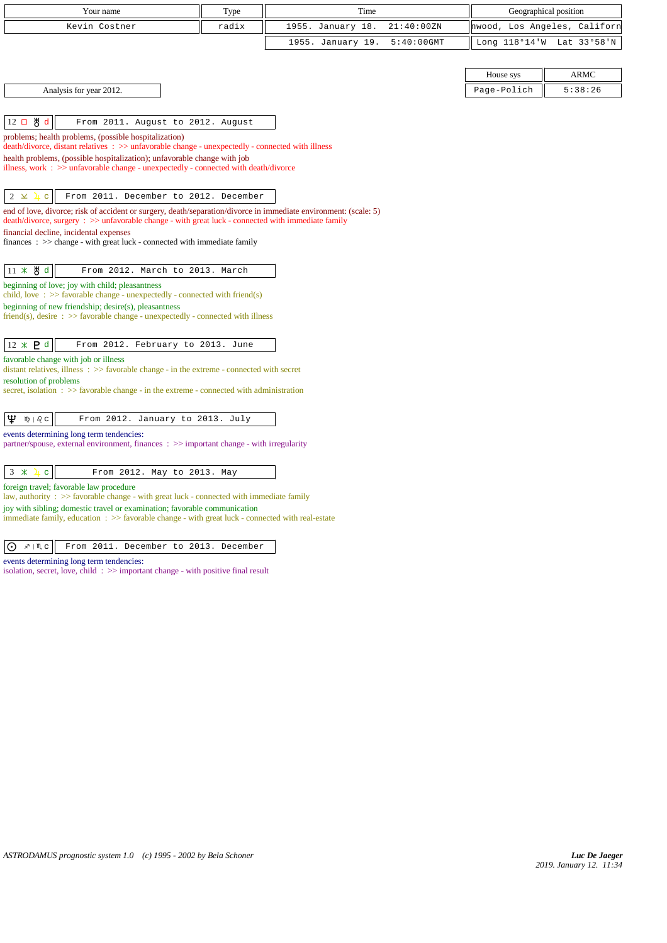| radix<br>1955. January 18.<br>21:40:00ZN<br>Kevin Costner<br>nwood,<br>Los Angeles, Californ<br>1955. January 19.<br>$5:40:00$ GMT<br>Long 118°14'W<br>Lat 33°58'N<br>House sys<br><b>ARMC</b><br>Page-Polich<br>5:38:26<br>Analysis for year 2012.<br>12 口 5<br>d<br>From 2011. August to 2012. August<br>problems; health problems, (possible hospitalization)<br>death/divorce, distant relatives : >> unfavorable change - unexpectedly - connected with illness<br>health problems, (possible hospitalization); unfavorable change with job<br>illness, work $\Rightarrow$ unfavorable change - unexpectedly - connected with death/divorce<br>From 2011. December to 2012. December<br>$2 \times$<br>$\mathbf C$<br>end of love, divorce; risk of accident or surgery, death/separation/divorce in immediate environment: (scale: 5)<br>death/divorce, surgery : >> unfavorable change - with great luck - connected with immediate family<br>financial decline, incidental expenses<br>$finances : \gg change - with great luck - connected with immediate family$<br>11 * 5 d<br>From 2012. March to 2013. March<br>beginning of love; joy with child; pleasantness<br>child, love: $\gg$ favorable change - unexpectedly - connected with friend(s)<br>beginning of new friendship; desire(s), pleasantness<br>friend(s), desire $\Rightarrow$ Savorable change - unexpectedly - connected with illness<br>$12 \times P d$<br>From 2012. February to 2013. June<br>favorable change with job or illness<br>distant relatives, illness $\Rightarrow$ > favorable change - in the extreme - connected with secret<br>resolution of problems<br>secret, isolation : >> favorable change - in the extreme - connected with administration<br>Ψ<br>$m \mid \partial_c c$<br>From 2012. January to 2013. July<br>events determining long term tendencies:<br>partner/spouse, external environment, finances $\Rightarrow$ important change - with irregularity<br>$\mathbf C$<br>From 2012. May to 2013. May<br>$3 *$<br>4<br>foreign travel; favorable law procedure<br>law, authority : $\gg$ favorable change - with great luck - connected with immediate family<br>joy with sibling; domestic travel or examination; favorable communication<br>immediate family, education $\Rightarrow$ > favorable change - with great luck - connected with real-estate | Your name | Type | Time | Geographical position |  |
|---------------------------------------------------------------------------------------------------------------------------------------------------------------------------------------------------------------------------------------------------------------------------------------------------------------------------------------------------------------------------------------------------------------------------------------------------------------------------------------------------------------------------------------------------------------------------------------------------------------------------------------------------------------------------------------------------------------------------------------------------------------------------------------------------------------------------------------------------------------------------------------------------------------------------------------------------------------------------------------------------------------------------------------------------------------------------------------------------------------------------------------------------------------------------------------------------------------------------------------------------------------------------------------------------------------------------------------------------------------------------------------------------------------------------------------------------------------------------------------------------------------------------------------------------------------------------------------------------------------------------------------------------------------------------------------------------------------------------------------------------------------------------------------------------------------------------------------------------------------------------------------------------------------------------------------------------------------------------------------------------------------------------------------------------------------------------------------------------------------------------------------------------------------------------------------------------------------------------------------------------------------------------------------------------------------------------------------------------------------------|-----------|------|------|-----------------------|--|
|                                                                                                                                                                                                                                                                                                                                                                                                                                                                                                                                                                                                                                                                                                                                                                                                                                                                                                                                                                                                                                                                                                                                                                                                                                                                                                                                                                                                                                                                                                                                                                                                                                                                                                                                                                                                                                                                                                                                                                                                                                                                                                                                                                                                                                                                                                                                                                     |           |      |      |                       |  |
|                                                                                                                                                                                                                                                                                                                                                                                                                                                                                                                                                                                                                                                                                                                                                                                                                                                                                                                                                                                                                                                                                                                                                                                                                                                                                                                                                                                                                                                                                                                                                                                                                                                                                                                                                                                                                                                                                                                                                                                                                                                                                                                                                                                                                                                                                                                                                                     |           |      |      |                       |  |
|                                                                                                                                                                                                                                                                                                                                                                                                                                                                                                                                                                                                                                                                                                                                                                                                                                                                                                                                                                                                                                                                                                                                                                                                                                                                                                                                                                                                                                                                                                                                                                                                                                                                                                                                                                                                                                                                                                                                                                                                                                                                                                                                                                                                                                                                                                                                                                     |           |      |      |                       |  |
|                                                                                                                                                                                                                                                                                                                                                                                                                                                                                                                                                                                                                                                                                                                                                                                                                                                                                                                                                                                                                                                                                                                                                                                                                                                                                                                                                                                                                                                                                                                                                                                                                                                                                                                                                                                                                                                                                                                                                                                                                                                                                                                                                                                                                                                                                                                                                                     |           |      |      |                       |  |
|                                                                                                                                                                                                                                                                                                                                                                                                                                                                                                                                                                                                                                                                                                                                                                                                                                                                                                                                                                                                                                                                                                                                                                                                                                                                                                                                                                                                                                                                                                                                                                                                                                                                                                                                                                                                                                                                                                                                                                                                                                                                                                                                                                                                                                                                                                                                                                     |           |      |      |                       |  |
|                                                                                                                                                                                                                                                                                                                                                                                                                                                                                                                                                                                                                                                                                                                                                                                                                                                                                                                                                                                                                                                                                                                                                                                                                                                                                                                                                                                                                                                                                                                                                                                                                                                                                                                                                                                                                                                                                                                                                                                                                                                                                                                                                                                                                                                                                                                                                                     |           |      |      |                       |  |
|                                                                                                                                                                                                                                                                                                                                                                                                                                                                                                                                                                                                                                                                                                                                                                                                                                                                                                                                                                                                                                                                                                                                                                                                                                                                                                                                                                                                                                                                                                                                                                                                                                                                                                                                                                                                                                                                                                                                                                                                                                                                                                                                                                                                                                                                                                                                                                     |           |      |      |                       |  |
|                                                                                                                                                                                                                                                                                                                                                                                                                                                                                                                                                                                                                                                                                                                                                                                                                                                                                                                                                                                                                                                                                                                                                                                                                                                                                                                                                                                                                                                                                                                                                                                                                                                                                                                                                                                                                                                                                                                                                                                                                                                                                                                                                                                                                                                                                                                                                                     |           |      |      |                       |  |
|                                                                                                                                                                                                                                                                                                                                                                                                                                                                                                                                                                                                                                                                                                                                                                                                                                                                                                                                                                                                                                                                                                                                                                                                                                                                                                                                                                                                                                                                                                                                                                                                                                                                                                                                                                                                                                                                                                                                                                                                                                                                                                                                                                                                                                                                                                                                                                     |           |      |      |                       |  |
|                                                                                                                                                                                                                                                                                                                                                                                                                                                                                                                                                                                                                                                                                                                                                                                                                                                                                                                                                                                                                                                                                                                                                                                                                                                                                                                                                                                                                                                                                                                                                                                                                                                                                                                                                                                                                                                                                                                                                                                                                                                                                                                                                                                                                                                                                                                                                                     |           |      |      |                       |  |
|                                                                                                                                                                                                                                                                                                                                                                                                                                                                                                                                                                                                                                                                                                                                                                                                                                                                                                                                                                                                                                                                                                                                                                                                                                                                                                                                                                                                                                                                                                                                                                                                                                                                                                                                                                                                                                                                                                                                                                                                                                                                                                                                                                                                                                                                                                                                                                     |           |      |      |                       |  |
|                                                                                                                                                                                                                                                                                                                                                                                                                                                                                                                                                                                                                                                                                                                                                                                                                                                                                                                                                                                                                                                                                                                                                                                                                                                                                                                                                                                                                                                                                                                                                                                                                                                                                                                                                                                                                                                                                                                                                                                                                                                                                                                                                                                                                                                                                                                                                                     |           |      |      |                       |  |
|                                                                                                                                                                                                                                                                                                                                                                                                                                                                                                                                                                                                                                                                                                                                                                                                                                                                                                                                                                                                                                                                                                                                                                                                                                                                                                                                                                                                                                                                                                                                                                                                                                                                                                                                                                                                                                                                                                                                                                                                                                                                                                                                                                                                                                                                                                                                                                     |           |      |      |                       |  |
|                                                                                                                                                                                                                                                                                                                                                                                                                                                                                                                                                                                                                                                                                                                                                                                                                                                                                                                                                                                                                                                                                                                                                                                                                                                                                                                                                                                                                                                                                                                                                                                                                                                                                                                                                                                                                                                                                                                                                                                                                                                                                                                                                                                                                                                                                                                                                                     |           |      |      |                       |  |
|                                                                                                                                                                                                                                                                                                                                                                                                                                                                                                                                                                                                                                                                                                                                                                                                                                                                                                                                                                                                                                                                                                                                                                                                                                                                                                                                                                                                                                                                                                                                                                                                                                                                                                                                                                                                                                                                                                                                                                                                                                                                                                                                                                                                                                                                                                                                                                     |           |      |      |                       |  |
|                                                                                                                                                                                                                                                                                                                                                                                                                                                                                                                                                                                                                                                                                                                                                                                                                                                                                                                                                                                                                                                                                                                                                                                                                                                                                                                                                                                                                                                                                                                                                                                                                                                                                                                                                                                                                                                                                                                                                                                                                                                                                                                                                                                                                                                                                                                                                                     |           |      |      |                       |  |
|                                                                                                                                                                                                                                                                                                                                                                                                                                                                                                                                                                                                                                                                                                                                                                                                                                                                                                                                                                                                                                                                                                                                                                                                                                                                                                                                                                                                                                                                                                                                                                                                                                                                                                                                                                                                                                                                                                                                                                                                                                                                                                                                                                                                                                                                                                                                                                     |           |      |      |                       |  |
|                                                                                                                                                                                                                                                                                                                                                                                                                                                                                                                                                                                                                                                                                                                                                                                                                                                                                                                                                                                                                                                                                                                                                                                                                                                                                                                                                                                                                                                                                                                                                                                                                                                                                                                                                                                                                                                                                                                                                                                                                                                                                                                                                                                                                                                                                                                                                                     |           |      |      |                       |  |
|                                                                                                                                                                                                                                                                                                                                                                                                                                                                                                                                                                                                                                                                                                                                                                                                                                                                                                                                                                                                                                                                                                                                                                                                                                                                                                                                                                                                                                                                                                                                                                                                                                                                                                                                                                                                                                                                                                                                                                                                                                                                                                                                                                                                                                                                                                                                                                     |           |      |      |                       |  |
|                                                                                                                                                                                                                                                                                                                                                                                                                                                                                                                                                                                                                                                                                                                                                                                                                                                                                                                                                                                                                                                                                                                                                                                                                                                                                                                                                                                                                                                                                                                                                                                                                                                                                                                                                                                                                                                                                                                                                                                                                                                                                                                                                                                                                                                                                                                                                                     |           |      |      |                       |  |
|                                                                                                                                                                                                                                                                                                                                                                                                                                                                                                                                                                                                                                                                                                                                                                                                                                                                                                                                                                                                                                                                                                                                                                                                                                                                                                                                                                                                                                                                                                                                                                                                                                                                                                                                                                                                                                                                                                                                                                                                                                                                                                                                                                                                                                                                                                                                                                     |           |      |      |                       |  |
|                                                                                                                                                                                                                                                                                                                                                                                                                                                                                                                                                                                                                                                                                                                                                                                                                                                                                                                                                                                                                                                                                                                                                                                                                                                                                                                                                                                                                                                                                                                                                                                                                                                                                                                                                                                                                                                                                                                                                                                                                                                                                                                                                                                                                                                                                                                                                                     |           |      |      |                       |  |
|                                                                                                                                                                                                                                                                                                                                                                                                                                                                                                                                                                                                                                                                                                                                                                                                                                                                                                                                                                                                                                                                                                                                                                                                                                                                                                                                                                                                                                                                                                                                                                                                                                                                                                                                                                                                                                                                                                                                                                                                                                                                                                                                                                                                                                                                                                                                                                     |           |      |      |                       |  |
|                                                                                                                                                                                                                                                                                                                                                                                                                                                                                                                                                                                                                                                                                                                                                                                                                                                                                                                                                                                                                                                                                                                                                                                                                                                                                                                                                                                                                                                                                                                                                                                                                                                                                                                                                                                                                                                                                                                                                                                                                                                                                                                                                                                                                                                                                                                                                                     |           |      |      |                       |  |
|                                                                                                                                                                                                                                                                                                                                                                                                                                                                                                                                                                                                                                                                                                                                                                                                                                                                                                                                                                                                                                                                                                                                                                                                                                                                                                                                                                                                                                                                                                                                                                                                                                                                                                                                                                                                                                                                                                                                                                                                                                                                                                                                                                                                                                                                                                                                                                     |           |      |      |                       |  |
|                                                                                                                                                                                                                                                                                                                                                                                                                                                                                                                                                                                                                                                                                                                                                                                                                                                                                                                                                                                                                                                                                                                                                                                                                                                                                                                                                                                                                                                                                                                                                                                                                                                                                                                                                                                                                                                                                                                                                                                                                                                                                                                                                                                                                                                                                                                                                                     |           |      |      |                       |  |
|                                                                                                                                                                                                                                                                                                                                                                                                                                                                                                                                                                                                                                                                                                                                                                                                                                                                                                                                                                                                                                                                                                                                                                                                                                                                                                                                                                                                                                                                                                                                                                                                                                                                                                                                                                                                                                                                                                                                                                                                                                                                                                                                                                                                                                                                                                                                                                     |           |      |      |                       |  |
|                                                                                                                                                                                                                                                                                                                                                                                                                                                                                                                                                                                                                                                                                                                                                                                                                                                                                                                                                                                                                                                                                                                                                                                                                                                                                                                                                                                                                                                                                                                                                                                                                                                                                                                                                                                                                                                                                                                                                                                                                                                                                                                                                                                                                                                                                                                                                                     |           |      |      |                       |  |
|                                                                                                                                                                                                                                                                                                                                                                                                                                                                                                                                                                                                                                                                                                                                                                                                                                                                                                                                                                                                                                                                                                                                                                                                                                                                                                                                                                                                                                                                                                                                                                                                                                                                                                                                                                                                                                                                                                                                                                                                                                                                                                                                                                                                                                                                                                                                                                     |           |      |      |                       |  |
|                                                                                                                                                                                                                                                                                                                                                                                                                                                                                                                                                                                                                                                                                                                                                                                                                                                                                                                                                                                                                                                                                                                                                                                                                                                                                                                                                                                                                                                                                                                                                                                                                                                                                                                                                                                                                                                                                                                                                                                                                                                                                                                                                                                                                                                                                                                                                                     |           |      |      |                       |  |
|                                                                                                                                                                                                                                                                                                                                                                                                                                                                                                                                                                                                                                                                                                                                                                                                                                                                                                                                                                                                                                                                                                                                                                                                                                                                                                                                                                                                                                                                                                                                                                                                                                                                                                                                                                                                                                                                                                                                                                                                                                                                                                                                                                                                                                                                                                                                                                     |           |      |      |                       |  |
|                                                                                                                                                                                                                                                                                                                                                                                                                                                                                                                                                                                                                                                                                                                                                                                                                                                                                                                                                                                                                                                                                                                                                                                                                                                                                                                                                                                                                                                                                                                                                                                                                                                                                                                                                                                                                                                                                                                                                                                                                                                                                                                                                                                                                                                                                                                                                                     |           |      |      |                       |  |
|                                                                                                                                                                                                                                                                                                                                                                                                                                                                                                                                                                                                                                                                                                                                                                                                                                                                                                                                                                                                                                                                                                                                                                                                                                                                                                                                                                                                                                                                                                                                                                                                                                                                                                                                                                                                                                                                                                                                                                                                                                                                                                                                                                                                                                                                                                                                                                     |           |      |      |                       |  |
| $\odot$ $\mathbb{R}$ $\mathbb{R}$ c<br>From 2011. December to 2013. December                                                                                                                                                                                                                                                                                                                                                                                                                                                                                                                                                                                                                                                                                                                                                                                                                                                                                                                                                                                                                                                                                                                                                                                                                                                                                                                                                                                                                                                                                                                                                                                                                                                                                                                                                                                                                                                                                                                                                                                                                                                                                                                                                                                                                                                                                        |           |      |      |                       |  |

events determining long term tendencies:

isolation, secret, love, child : >> important change - with positive final result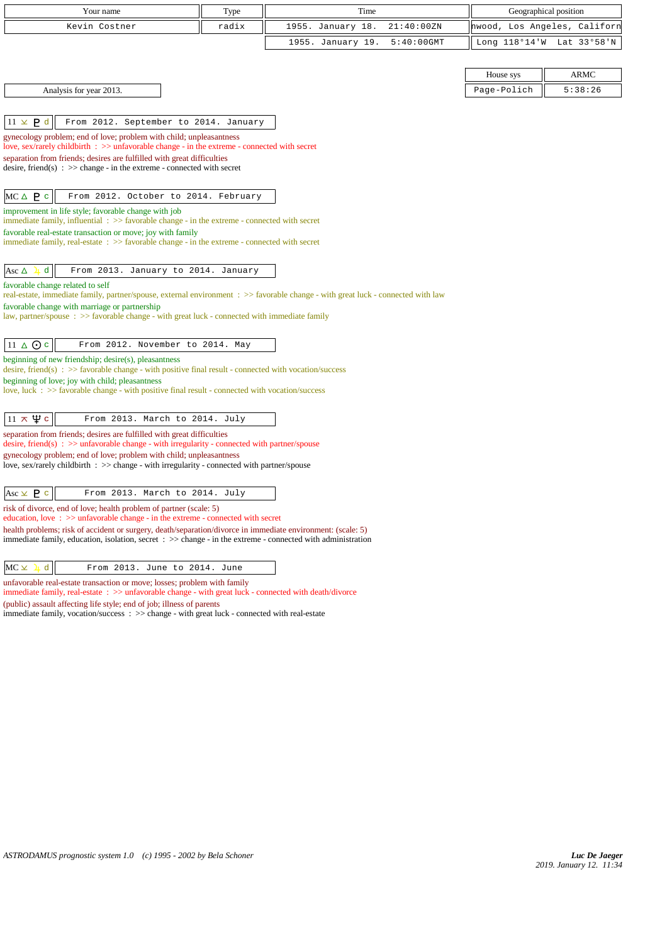| Your name                                                                                                                                                                                                                                         | Type  | Time                               |             | Geographical position        |
|---------------------------------------------------------------------------------------------------------------------------------------------------------------------------------------------------------------------------------------------------|-------|------------------------------------|-------------|------------------------------|
| Kevin Costner                                                                                                                                                                                                                                     | radix | 1955. January 18.<br>21:40:00ZN    |             | hwood, Los Angeles, Californ |
|                                                                                                                                                                                                                                                   |       | 1955. January 19.<br>$5:40:00$ GMT |             | Long 118°14'W Lat 33°58'N    |
|                                                                                                                                                                                                                                                   |       |                                    |             |                              |
|                                                                                                                                                                                                                                                   |       |                                    | House sys   | <b>ARMC</b>                  |
| Analysis for year 2013.                                                                                                                                                                                                                           |       |                                    | Page-Polich | 5:38:26                      |
|                                                                                                                                                                                                                                                   |       |                                    |             |                              |
| $11 \times P d$<br>From 2012. September to 2014. January                                                                                                                                                                                          |       |                                    |             |                              |
| gynecology problem; end of love; problem with child; unpleasantness<br>love, sex/rarely childbirth : >> unfavorable change - in the extreme - connected with secret                                                                               |       |                                    |             |                              |
| separation from friends; desires are fulfilled with great difficulties                                                                                                                                                                            |       |                                    |             |                              |
| desire, friend(s) : $\gg$ change - in the extreme - connected with secret                                                                                                                                                                         |       |                                    |             |                              |
| $MC \triangle P c$<br>From 2012. October to 2014. February                                                                                                                                                                                        |       |                                    |             |                              |
| improvement in life style; favorable change with job<br>immediate family, influential $\Rightarrow$ favorable change - in the extreme - connected with secret                                                                                     |       |                                    |             |                              |
| favorable real-estate transaction or move; joy with family                                                                                                                                                                                        |       |                                    |             |                              |
| immediate family, real-estate $\Rightarrow$ favorable change - in the extreme - connected with secret                                                                                                                                             |       |                                    |             |                              |
| d<br>From 2013. January to 2014. January<br>Asc $\triangle$                                                                                                                                                                                       |       |                                    |             |                              |
| favorable change related to self                                                                                                                                                                                                                  |       |                                    |             |                              |
| real-estate, immediate family, partner/spouse, external environment : >> favorable change - with great luck - connected with law                                                                                                                  |       |                                    |             |                              |
| favorable change with marriage or partnership<br>law, partner/spouse : >> favorable change - with great luck - connected with immediate family                                                                                                    |       |                                    |             |                              |
|                                                                                                                                                                                                                                                   |       |                                    |             |                              |
| $11 \triangle$ $\odot$ c<br>From 2012. November to 2014. May                                                                                                                                                                                      |       |                                    |             |                              |
| beginning of new friendship; desire(s), pleasantness<br>desire, friend(s) : $\gg$ favorable change - with positive final result - connected with vocation/success                                                                                 |       |                                    |             |                              |
| beginning of love; joy with child; pleasantness                                                                                                                                                                                                   |       |                                    |             |                              |
| love, luck $\div$ $>$ favorable change - with positive final result - connected with vocation/success                                                                                                                                             |       |                                    |             |                              |
| $11 \times \Psi$ c<br>From 2013. March to 2014. July                                                                                                                                                                                              |       |                                    |             |                              |
| separation from friends; desires are fulfilled with great difficulties                                                                                                                                                                            |       |                                    |             |                              |
| desire, friend(s) : $\gg$ unfavorable change - with irregularity - connected with partner/spouse                                                                                                                                                  |       |                                    |             |                              |
| gynecology problem; end of love; problem with child; unpleasantness<br>love, sex/rarely childbirth $\Rightarrow$ change - with irregularity - connected with partner/spouse                                                                       |       |                                    |             |                              |
|                                                                                                                                                                                                                                                   |       |                                    |             |                              |
| Asc $\times$ <b>P</b> c<br>From 2013. March to 2014. July                                                                                                                                                                                         |       |                                    |             |                              |
| risk of divorce, end of love; health problem of partner (scale: 5)<br>education, love: $\gg$ unfavorable change - in the extreme - connected with secret                                                                                          |       |                                    |             |                              |
| health problems; risk of accident or surgery, death/separation/divorce in immediate environment: (scale: 5)<br>immediate family, education, isolation, secret $\Rightarrow$ $\Rightarrow$ change - in the extreme - connected with administration |       |                                    |             |                              |
| $\mathbf d$<br>$MC \times$<br>From 2013. June to 2014. June                                                                                                                                                                                       |       |                                    |             |                              |
| unfavorable real-estate transaction or move; losses; problem with family                                                                                                                                                                          |       |                                    |             |                              |
| immediate family, real-estate: >> unfavorable change - with great luck - connected with death/divorce                                                                                                                                             |       |                                    |             |                              |

(public) assault affecting life style; end of job; illness of parents immediate family, vocation/success : >> change - with great luck - connected with real-estate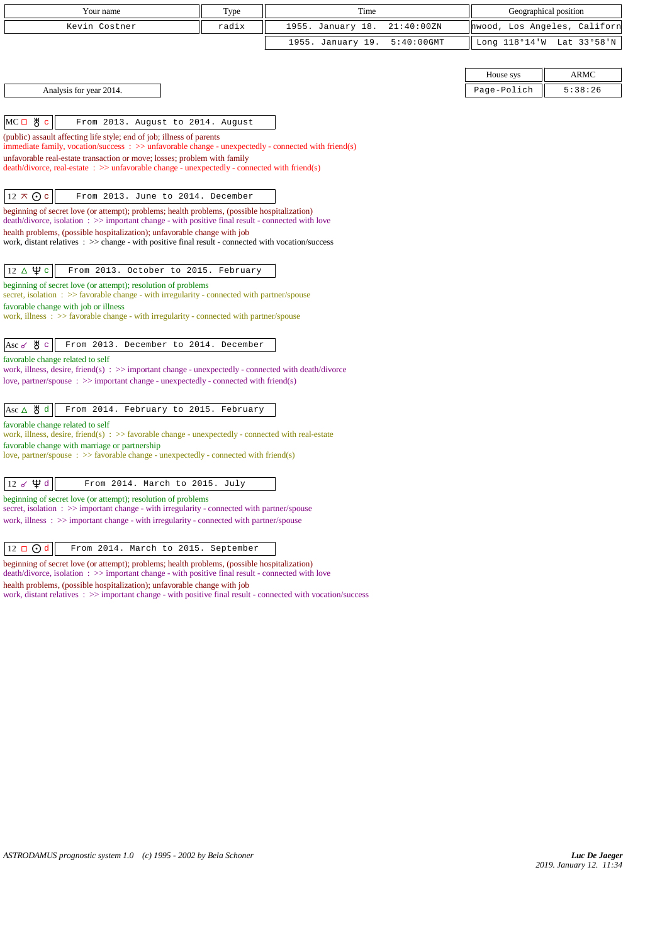| Your name                                                                                                                                                                                           | Type  | Time                               | Geographical position        |
|-----------------------------------------------------------------------------------------------------------------------------------------------------------------------------------------------------|-------|------------------------------------|------------------------------|
| Kevin Costner                                                                                                                                                                                       | radix | 1955. January 18.<br>21:40:00ZN    | hwood, Los Angeles, Californ |
|                                                                                                                                                                                                     |       | 1955. January 19.<br>$5:40:00$ GMT | Long 118°14'W<br>Lat 33°58'N |
|                                                                                                                                                                                                     |       |                                    |                              |
|                                                                                                                                                                                                     |       |                                    | <b>ARMC</b><br>House sys     |
| Analysis for year 2014.                                                                                                                                                                             |       |                                    | Page-Polich<br>5:38:26       |
|                                                                                                                                                                                                     |       |                                    |                              |
| $MC \Box$ # $c$<br>From 2013. August to 2014. August                                                                                                                                                |       |                                    |                              |
| (public) assault affecting life style; end of job; illness of parents                                                                                                                               |       |                                    |                              |
| immediate family, vocation/success : >> unfavorable change - unexpectedly - connected with friend(s)<br>unfavorable real-estate transaction or move; losses; problem with family                    |       |                                    |                              |
| death/divorce, real-estate: >> unfavorable change - unexpectedly - connected with friend(s)                                                                                                         |       |                                    |                              |
|                                                                                                                                                                                                     |       |                                    |                              |
| $12 \times Qc$<br>From 2013. June to 2014. December                                                                                                                                                 |       |                                    |                              |
| beginning of secret love (or attempt); problems; health problems, (possible hospitalization)                                                                                                        |       |                                    |                              |
| death/divorce, isolation: >> important change - with positive final result - connected with love<br>health problems, (possible hospitalization); unfavorable change with job                        |       |                                    |                              |
| work, distant relatives $\therefore$ > change - with positive final result - connected with vocation/success                                                                                        |       |                                    |                              |
|                                                                                                                                                                                                     |       |                                    |                              |
| $12 \triangle \Psi c$<br>From 2013. October to 2015. February                                                                                                                                       |       |                                    |                              |
| beginning of secret love (or attempt); resolution of problems<br>secret, isolation: >> favorable change - with irregularity - connected with partner/spouse                                         |       |                                    |                              |
| favorable change with job or illness                                                                                                                                                                |       |                                    |                              |
| work, illness: >> favorable change - with irregularity - connected with partner/spouse                                                                                                              |       |                                    |                              |
|                                                                                                                                                                                                     |       |                                    |                              |
| Ж∖с<br>From 2013. December to 2014. December<br>Asc $\sigma$                                                                                                                                        |       |                                    |                              |
| favorable change related to self<br>work, illness, desire, friend(s) : $\gg$ important change - unexpectedly - connected with death/divorce                                                         |       |                                    |                              |
| love, partner/spouse $\Rightarrow$ important change - unexpectedly - connected with friend(s)                                                                                                       |       |                                    |                              |
|                                                                                                                                                                                                     |       |                                    |                              |
| $Asc \triangle \mathcal{B} d$<br>From 2014. February to 2015. February                                                                                                                              |       |                                    |                              |
| favorable change related to self<br>work, illness, desire, friend(s) $\Rightarrow$ Savorable change - unexpectedly - connected with real-estate                                                     |       |                                    |                              |
| favorable change with marriage or partnership                                                                                                                                                       |       |                                    |                              |
| love, partner/spouse $\Rightarrow$ favorable change - unexpectedly - connected with friend(s)                                                                                                       |       |                                    |                              |
| $12 \times \Psi d$<br>From 2014. March to 2015. July                                                                                                                                                |       |                                    |                              |
| beginning of secret love (or attempt); resolution of problems                                                                                                                                       |       |                                    |                              |
| secret, isolation $\Rightarrow$ important change - with irregularity - connected with partner/spouse                                                                                                |       |                                    |                              |
| work, illness $\Rightarrow$ > important change - with irregularity - connected with partner/spouse                                                                                                  |       |                                    |                              |
|                                                                                                                                                                                                     |       |                                    |                              |
| $12 \Box$ Od<br>From 2014. March to 2015. September                                                                                                                                                 |       |                                    |                              |
| beginning of secret love (or attempt); problems; health problems, (possible hospitalization)<br>death/divorce, isolation: $\gg$ important change - with positive final result - connected with love |       |                                    |                              |
| health problems, (possible hospitalization); unfavorable change with job                                                                                                                            |       |                                    |                              |
| work, distant relatives : >> important change - with positive final result - connected with vocation/success                                                                                        |       |                                    |                              |
|                                                                                                                                                                                                     |       |                                    |                              |
|                                                                                                                                                                                                     |       |                                    |                              |
|                                                                                                                                                                                                     |       |                                    |                              |
|                                                                                                                                                                                                     |       |                                    |                              |
|                                                                                                                                                                                                     |       |                                    |                              |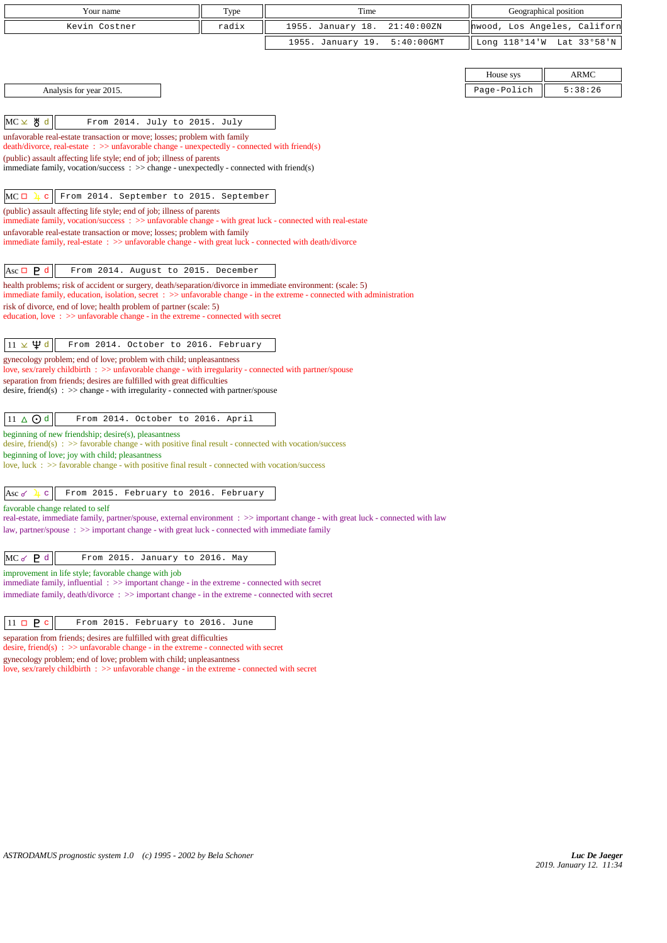| Your name                                                                                                                                                                                                                                         | Type  | Time                               | Geographical position        |                           |
|---------------------------------------------------------------------------------------------------------------------------------------------------------------------------------------------------------------------------------------------------|-------|------------------------------------|------------------------------|---------------------------|
| Kevin Costner                                                                                                                                                                                                                                     | radix | 1955. January 18.<br>21:40:00ZN    | hwood, Los Angeles, Californ |                           |
|                                                                                                                                                                                                                                                   |       | 1955. January 19.<br>$5:40:00$ GMT |                              | Long 118°14'W Lat 33°58'N |
|                                                                                                                                                                                                                                                   |       |                                    |                              |                           |
|                                                                                                                                                                                                                                                   |       |                                    | House sys                    | ARMC                      |
| Analysis for year 2015.                                                                                                                                                                                                                           |       |                                    | Page-Polich                  | 5:38:26                   |
|                                                                                                                                                                                                                                                   |       |                                    |                              |                           |
| MC⊻ ੴd<br>From 2014. July to 2015. July                                                                                                                                                                                                           |       |                                    |                              |                           |
| unfavorable real-estate transaction or move; losses; problem with family                                                                                                                                                                          |       |                                    |                              |                           |
| $death/divorce, real-estate : \gg unfavorable change - unexpectedly - connected with friend(s)$<br>(public) assault affecting life style; end of job; illness of parents                                                                          |       |                                    |                              |                           |
| immediate family, vocation/success $\Rightarrow$ >> change - unexpectedly - connected with friend(s)                                                                                                                                              |       |                                    |                              |                           |
|                                                                                                                                                                                                                                                   |       |                                    |                              |                           |
| $MC \Box$<br>From 2014. September to 2015. September<br>$\mathbf C$                                                                                                                                                                               |       |                                    |                              |                           |
| (public) assault affecting life style; end of job; illness of parents<br>immediate family, vocation/success: >> unfavorable change - with great luck - connected with real-estate                                                                 |       |                                    |                              |                           |
| unfavorable real-estate transaction or move; losses; problem with family                                                                                                                                                                          |       |                                    |                              |                           |
| immediate family, real-estate : >> unfavorable change - with great luck - connected with death/divorce                                                                                                                                            |       |                                    |                              |                           |
|                                                                                                                                                                                                                                                   |       |                                    |                              |                           |
| From 2014. August to 2015. December<br>Asc $\Box$ <b>P</b> d                                                                                                                                                                                      |       |                                    |                              |                           |
| health problems; risk of accident or surgery, death/separation/divorce in immediate environment: (scale: 5)<br>immediate family, education, isolation, secret $\Rightarrow$ > unfavorable change - in the extreme - connected with administration |       |                                    |                              |                           |
| risk of divorce, end of love; health problem of partner (scale: 5)                                                                                                                                                                                |       |                                    |                              |                           |
| education, love: >> unfavorable change - in the extreme - connected with secret                                                                                                                                                                   |       |                                    |                              |                           |
| $11 \times \Psi d$<br>From 2014. October to 2016. February                                                                                                                                                                                        |       |                                    |                              |                           |
| gynecology problem; end of love; problem with child; unpleasantness                                                                                                                                                                               |       |                                    |                              |                           |
| love, sex/rarely childbirth : >> unfavorable change - with irregularity - connected with partner/spouse                                                                                                                                           |       |                                    |                              |                           |
| separation from friends; desires are fulfilled with great difficulties<br>desire, friend(s) : $\gg$ change - with irregularity - connected with partner/spouse                                                                                    |       |                                    |                              |                           |
|                                                                                                                                                                                                                                                   |       |                                    |                              |                           |
| $11 \triangle$ $\odot$ d<br>From 2014. October to 2016. April                                                                                                                                                                                     |       |                                    |                              |                           |
| beginning of new friendship; desire(s), pleasantness                                                                                                                                                                                              |       |                                    |                              |                           |
| desire, friend(s) : $\gg$ favorable change - with positive final result - connected with vocation/success<br>beginning of love; joy with child; pleasantness                                                                                      |       |                                    |                              |                           |
| love, luck : >> favorable change - with positive final result - connected with vocation/success                                                                                                                                                   |       |                                    |                              |                           |
|                                                                                                                                                                                                                                                   |       |                                    |                              |                           |
| From 2015. February to 2016. February<br>Asc $\sim$ 4 c                                                                                                                                                                                           |       |                                    |                              |                           |
| favorable change related to self<br>real-estate, immediate family, partner/spouse, external environment : >> important change - with great luck - connected with law                                                                              |       |                                    |                              |                           |
| law, partner/spouse $\Rightarrow$ important change - with great luck - connected with immediate family                                                                                                                                            |       |                                    |                              |                           |
|                                                                                                                                                                                                                                                   |       |                                    |                              |                           |
| $MC \propto P d$<br>From 2015. January to 2016. May                                                                                                                                                                                               |       |                                    |                              |                           |
| improvement in life style; favorable change with job<br>immediate family, influential : >> important change - in the extreme - connected with secret                                                                                              |       |                                    |                              |                           |
| immediate family, death/divorce : >> important change - in the extreme - connected with secret                                                                                                                                                    |       |                                    |                              |                           |
|                                                                                                                                                                                                                                                   |       |                                    |                              |                           |
| $11 \Box P c$<br>From 2015. February to 2016. June                                                                                                                                                                                                |       |                                    |                              |                           |
| separation from friends; desires are fulfilled with great difficulties                                                                                                                                                                            |       |                                    |                              |                           |
| desire, friend(s) : $\gg$ unfavorable change - in the extreme - connected with secret<br>gynecology problem; end of love; problem with child; unpleasantness                                                                                      |       |                                    |                              |                           |
| love, sex/rarely childbirth : >> unfavorable change - in the extreme - connected with secret                                                                                                                                                      |       |                                    |                              |                           |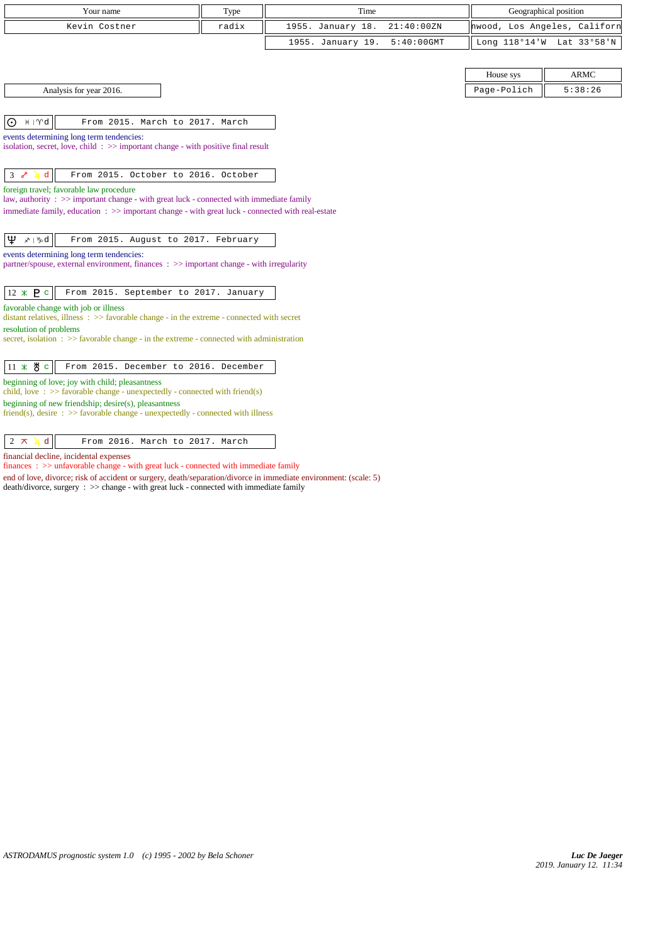| Your name     | T <sub>VDE</sub> | Time                         | Geographical position        |
|---------------|------------------|------------------------------|------------------------------|
| Kevin Costner | radix            | 1955. January 18. 21:40:00ZN | hwood, Los Angeles, Californ |
|               |                  | 1955. January 19. 5:40:00GMT | Long 118°14'W Lat 33°58'N    |

Analysis for year 2016.

 $|0 \nleftrightarrow |\nabla d|$  From 2015. March to 2017. March

events determining long term tendencies: isolation, secret, love, child : >> important change - with positive final result

 $3 \times 1 d$  From 2015. October to 2016. October

foreign travel; favorable law procedure

law, authority : >> important change - with great luck - connected with immediate family immediate family, education : >> important change - with great luck - connected with real-estate

 $\boxed{\Psi \times \Psi d}$  From 2015. August to 2017. February

events determining long term tendencies:

partner/spouse, external environment, finances : >> important change - with irregularity

 $\begin{vmatrix} 12 \times P \end{vmatrix}$  From 2015. September to 2017. January

favorable change with job or illness

distant relatives, illness :  $\gg$  favorable change - in the extreme - connected with secret resolution of problems

secret, isolation : >> favorable change - in the extreme - connected with administration

beginning of love; joy with child; pleasantness

child, love : >> favorable change - unexpectedly - connected with friend(s)

beginning of new friendship; desire(s), pleasantness friend(s), desire :  $>$  favorable change - unexpectedly - connected with illness

 $\begin{vmatrix} 2 & \pi & 1 \end{vmatrix}$  all From 2016. March to 2017. March

financial decline, incidental expenses

finances : >> unfavorable change - with great luck - connected with immediate family

end of love, divorce; risk of accident or surgery, death/separation/divorce in immediate environment: (scale: 5)

death/divorce, surgery : >> change - with great luck - connected with immediate family

| House sys   | $\triangle$ RMC |  |
|-------------|-----------------|--|
| Page-Polich | 5:38:26         |  |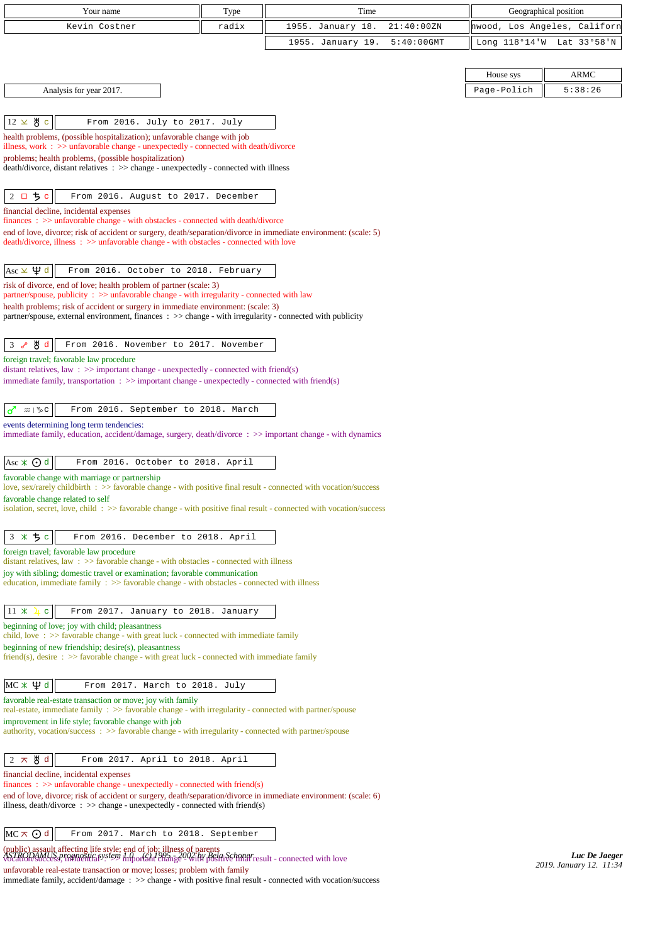| Your name                                                                                                                                                                                                                            | Type  | Time              |               |             | Geographical position        |
|--------------------------------------------------------------------------------------------------------------------------------------------------------------------------------------------------------------------------------------|-------|-------------------|---------------|-------------|------------------------------|
| Kevin Costner                                                                                                                                                                                                                        | radix | 1955. January 18. | 21:40:00ZN    |             | hwood, Los Angeles, Californ |
|                                                                                                                                                                                                                                      |       | 1955. January 19. | $5:40:00$ GMT |             | Long 118°14'W Lat 33°58'N    |
|                                                                                                                                                                                                                                      |       |                   |               |             |                              |
|                                                                                                                                                                                                                                      |       |                   |               | House sys   | <b>ARMC</b>                  |
| Analysis for year 2017.                                                                                                                                                                                                              |       |                   |               | Page-Polich | 5:38:26                      |
|                                                                                                                                                                                                                                      |       |                   |               |             |                              |
| $12 \times 8$ c<br>From 2016. July to 2017. July                                                                                                                                                                                     |       |                   |               |             |                              |
| health problems, (possible hospitalization); unfavorable change with job<br>illness, work : $\gg$ unfavorable change - unexpectedly - connected with death/divorce                                                                   |       |                   |               |             |                              |
| problems; health problems, (possible hospitalization)                                                                                                                                                                                |       |                   |               |             |                              |
| death/divorce, distant relatives : >> change - unexpectedly - connected with illness                                                                                                                                                 |       |                   |               |             |                              |
| 2 ロ ち c<br>From 2016. August to 2017. December                                                                                                                                                                                       |       |                   |               |             |                              |
| financial decline, incidental expenses                                                                                                                                                                                               |       |                   |               |             |                              |
| finances : >> unfavorable change - with obstacles - connected with death/divorce                                                                                                                                                     |       |                   |               |             |                              |
| end of love, divorce; risk of accident or surgery, death/separation/divorce in immediate environment: (scale: 5)<br>death/divorce, illness: >> unfavorable change - with obstacles - connected with love                             |       |                   |               |             |                              |
|                                                                                                                                                                                                                                      |       |                   |               |             |                              |
| Asc $\times$ $\mathfrak{P}$ d<br>From 2016. October to 2018. February                                                                                                                                                                |       |                   |               |             |                              |
| risk of divorce, end of love; health problem of partner (scale: 3)<br>partner/spouse, publicity : >> unfavorable change - with irregularity - connected with law                                                                     |       |                   |               |             |                              |
| health problems; risk of accident or surgery in immediate environment: (scale: 3)                                                                                                                                                    |       |                   |               |             |                              |
| partner/spouse, external environment, finances : >> change - with irregularity - connected with publicity                                                                                                                            |       |                   |               |             |                              |
| y‼d<br>From 2016. November to 2017. November<br>3 <sub>o</sub>                                                                                                                                                                       |       |                   |               |             |                              |
| foreign travel; favorable law procedure                                                                                                                                                                                              |       |                   |               |             |                              |
| distant relatives, law : $\gg$ important change - unexpectedly - connected with friend(s)                                                                                                                                            |       |                   |               |             |                              |
| immediate family, transportation : >> important change - unexpectedly - connected with friend(s)                                                                                                                                     |       |                   |               |             |                              |
| From 2016. September to 2018. March<br>♂<br>$\mathfrak{m} \mid \mathcal{V}$ C                                                                                                                                                        |       |                   |               |             |                              |
| events determining long term tendencies:                                                                                                                                                                                             |       |                   |               |             |                              |
| immediate family, education, accident/damage, surgery, death/divorce : >> important change - with dynamics                                                                                                                           |       |                   |               |             |                              |
|                                                                                                                                                                                                                                      |       |                   |               |             |                              |
| Asc $\angle$ $\odot$ d<br>From 2016. October to 2018. April<br>favorable change with marriage or partnership                                                                                                                         |       |                   |               |             |                              |
| love, sex/rarely childbirth : >> favorable change - with positive final result - connected with vocation/success                                                                                                                     |       |                   |               |             |                              |
| favorable change related to self<br>isolation, secret, love, child: >> favorable change - with positive final result - connected with vocation/success                                                                               |       |                   |               |             |                              |
|                                                                                                                                                                                                                                      |       |                   |               |             |                              |
| 3 * 5 c<br>From 2016. December to 2018. April                                                                                                                                                                                        |       |                   |               |             |                              |
| foreign travel; favorable law procedure                                                                                                                                                                                              |       |                   |               |             |                              |
| distant relatives, law $\Rightarrow$ >> favorable change - with obstacles - connected with illness<br>joy with sibling; domestic travel or examination; favorable communication                                                      |       |                   |               |             |                              |
| education, immediate family $\Rightarrow$ favorable change - with obstacles - connected with illness                                                                                                                                 |       |                   |               |             |                              |
|                                                                                                                                                                                                                                      |       |                   |               |             |                              |
| $11 \times$<br>From 2017. January to 2018. January<br>$\mathbf{C}$<br>beginning of love; joy with child; pleasantness                                                                                                                |       |                   |               |             |                              |
| child, love $\Rightarrow$ 5 favorable change - with great luck - connected with immediate family                                                                                                                                     |       |                   |               |             |                              |
| beginning of new friendship; desire(s), pleasantness<br>friend(s), desire $\Rightarrow$ favorable change - with great luck - connected with immediate family                                                                         |       |                   |               |             |                              |
|                                                                                                                                                                                                                                      |       |                   |               |             |                              |
| MС∗Ѱф<br>From 2017. March to 2018. July                                                                                                                                                                                              |       |                   |               |             |                              |
| favorable real-estate transaction or move; joy with family                                                                                                                                                                           |       |                   |               |             |                              |
| real-estate, immediate family : >> favorable change - with irregularity - connected with partner/spouse<br>improvement in life style; favorable change with job                                                                      |       |                   |               |             |                              |
| authority, vocation/success: >> favorable change - with irregularity - connected with partner/spouse                                                                                                                                 |       |                   |               |             |                              |
|                                                                                                                                                                                                                                      |       |                   |               |             |                              |
| ੴ d<br>$2 \times$<br>From 2017. April to 2018. April<br>financial decline, incidental expenses                                                                                                                                       |       |                   |               |             |                              |
| finances : $\gg$ unfavorable change - unexpectedly - connected with friend(s)                                                                                                                                                        |       |                   |               |             |                              |
| end of love, divorce; risk of accident or surgery, death/separation/divorce in immediate environment: (scale: 6)<br>illness, death/divorce : $\gg$ change - unexpectedly - connected with friend(s)                                  |       |                   |               |             |                              |
|                                                                                                                                                                                                                                      |       |                   |               |             |                              |
| $MC \wedge Q$ d<br>From 2017. March to 2018. September                                                                                                                                                                               |       |                   |               |             |                              |
| (public) assault affecting life style; end of job; illness of parents<br>ASTRODAMLES Practical in the information of the style of the Bost Schmar result - connected with love<br>Vocation/Success/Influential visits information ch |       |                   |               |             | Luc De Jaeger                |

*2019. January 12. 11:34*

unfavorable real-estate transaction or move; losses; problem with family

immediate family, accident/damage : >> change - with positive final result - connected with vocation/success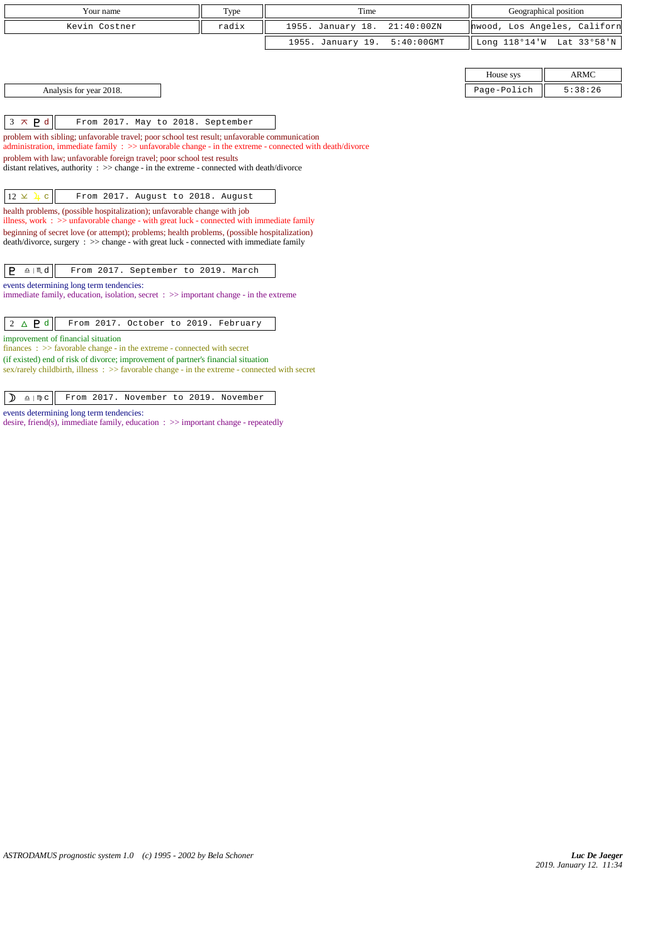| Your name               | Type  | Time                         | Geographical position |                              |
|-------------------------|-------|------------------------------|-----------------------|------------------------------|
| Kevin Costner           | radix | 1955. January 18. 21:40:00ZN |                       | hwood, Los Angeles, Californ |
|                         |       | 1955. January 19. 5:40:00GMT |                       | Long 118°14'W Lat 33°58'N    |
|                         |       |                              |                       |                              |
|                         |       |                              | House sys             | ARMC                         |
| Analysis for year 2018. |       |                              | Page-Polich           | 5:38:26                      |

| House sys   | д К МС  |
|-------------|---------|
| Page-Polich | 5:38:26 |

 $\begin{vmatrix} 3 \times P d \end{vmatrix}$  From 2017. May to 2018. September

problem with sibling; unfavorable travel; poor school test result; unfavorable communication administration, immediate family : >> unfavorable change - in the extreme - connected with death/divorce problem with law; unfavorable foreign travel; poor school test results  $\frac{d}{dt}$  distant relatives, authority :  $\gg$  change - in the extreme - connected with death/divorce  $\boxed{12 \times 1 c}$  From 2017. August to 2018. August health problems, (possible hospitalization); unfavorable change with job

illness, work : >> unfavorable change - with great luck - connected with immediate family beginning of secret love (or attempt); problems; health problems, (possible hospitalization) death/divorce, surgery : >> change - with great luck - connected with immediate family

 $\boxed{\mathsf{P} \triangleq \mathsf{M} \mathsf{d}}$  From 2017. September to 2019. March

events determining long term tendencies:

immediate family, education, isolation, secret : >> important change - in the extreme

2 d From 2017. October to 2019. February

improvement of financial situation

finances : >> favorable change - in the extreme - connected with secret (if existed) end of risk of divorce; improvement of partner's financial situation

sex/rarely childbirth, illness : >> favorable change - in the extreme - connected with secret

 $\left| \right.$   $\right)$   $\left. \right.$   $\right\|$  From 2017. November to 2019. November

events determining long term tendencies: desire, friend(s), immediate family, education : >> important change - repeatedly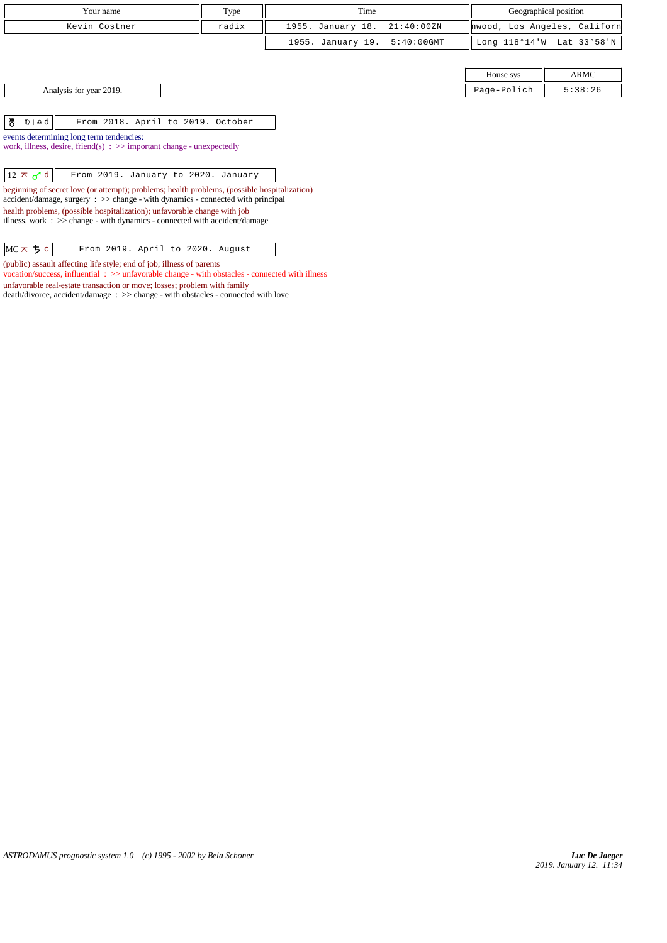| Your name<br>Type                                                                                   |                                                                                                                                                                                 | Time  |                   | Geographical position |             |                              |
|-----------------------------------------------------------------------------------------------------|---------------------------------------------------------------------------------------------------------------------------------------------------------------------------------|-------|-------------------|-----------------------|-------------|------------------------------|
|                                                                                                     | Kevin Costner                                                                                                                                                                   | radix | 1955. January 18. | 21:40:00 ZN           |             | hwood, Los Angeles, Californ |
|                                                                                                     |                                                                                                                                                                                 |       | 1955. January 19. | $5:40:00$ GMT         |             | Long 118°14'W Lat 33°58'N    |
|                                                                                                     |                                                                                                                                                                                 |       |                   |                       |             |                              |
|                                                                                                     |                                                                                                                                                                                 |       |                   |                       | House sys   | ARMC                         |
|                                                                                                     | Analysis for year 2019.                                                                                                                                                         |       |                   |                       | Page-Polich | 5:38:26                      |
|                                                                                                     |                                                                                                                                                                                 |       |                   |                       |             |                              |
| ზ<br>$m \nightharpoonup d$                                                                          | From 2018. April to 2019. October                                                                                                                                               |       |                   |                       |             |                              |
|                                                                                                     | events determining long term tendencies:                                                                                                                                        |       |                   |                       |             |                              |
|                                                                                                     | work, illness, desire, friend(s) $\Rightarrow$ important change - unexpectedly                                                                                                  |       |                   |                       |             |                              |
|                                                                                                     |                                                                                                                                                                                 |       |                   |                       |             |                              |
| $12 \times d$                                                                                       | From 2019. January to 2020. January                                                                                                                                             |       |                   |                       |             |                              |
|                                                                                                     | beginning of secret love (or attempt); problems; health problems, (possible hospitalization)<br>accident/damage, surgery : >> change - with dynamics - connected with principal |       |                   |                       |             |                              |
|                                                                                                     | health problems, (possible hospitalization); unfavorable change with job                                                                                                        |       |                   |                       |             |                              |
| illness, work $\Rightarrow$ > $\Rightarrow$ change - with dynamics - connected with accident/damage |                                                                                                                                                                                 |       |                   |                       |             |                              |
|                                                                                                     |                                                                                                                                                                                 |       |                   |                       |             |                              |
|                                                                                                     |                                                                                                                                                                                 |       |                   |                       |             |                              |
| $MC \times 5c$                                                                                      | From 2019. April to 2020. August                                                                                                                                                |       |                   |                       |             |                              |

(public) assault affecting life style; end of job; illness of parents

unfavorable real-estate transaction or move; losses; problem with family

death/divorce, accident/damage : >> change - with obstacles - connected with love

vocation/success, influential : >> unfavorable change - with obstacles - connected with illness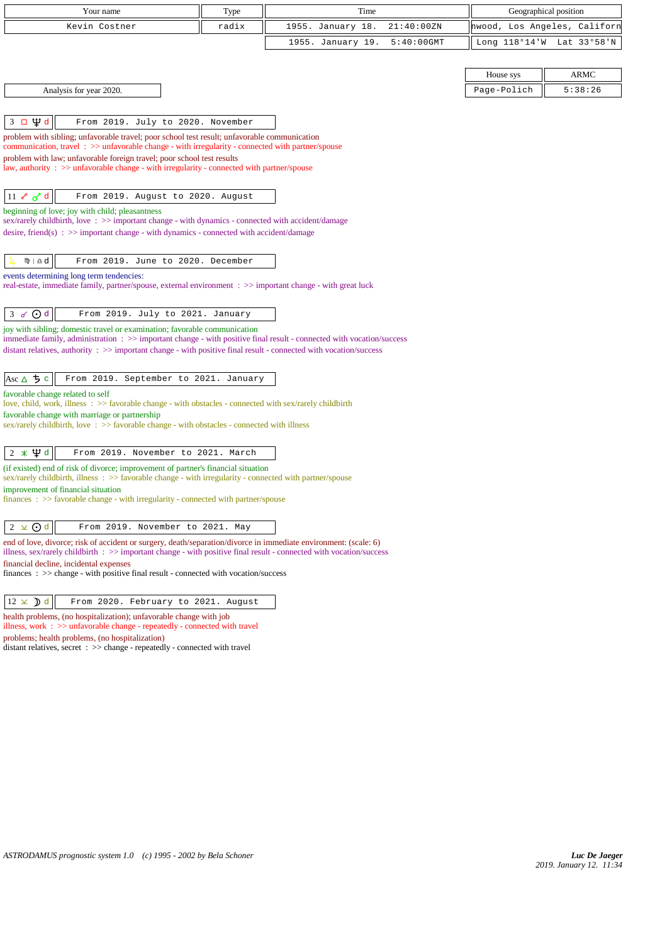| Your name                                                                                                                                                                                                                                                                                                                                                                   | Type  | Time              |               | Geographical position        |         |
|-----------------------------------------------------------------------------------------------------------------------------------------------------------------------------------------------------------------------------------------------------------------------------------------------------------------------------------------------------------------------------|-------|-------------------|---------------|------------------------------|---------|
| Kevin Costner                                                                                                                                                                                                                                                                                                                                                               | radix | 1955. January 18. | 21:40:00ZN    | hwood, Los Angeles, Californ |         |
|                                                                                                                                                                                                                                                                                                                                                                             |       | 1955. January 19. | $5:40:00$ GMT | Long 118°14'W Lat 33°58'N    |         |
|                                                                                                                                                                                                                                                                                                                                                                             |       |                   |               |                              |         |
|                                                                                                                                                                                                                                                                                                                                                                             |       |                   |               | House sys                    | ARMC    |
| Analysis for year 2020.                                                                                                                                                                                                                                                                                                                                                     |       |                   |               | Page-Polich                  | 5:38:26 |
|                                                                                                                                                                                                                                                                                                                                                                             |       |                   |               |                              |         |
| $3 \square \Psi d$<br>From 2019. July to 2020. November                                                                                                                                                                                                                                                                                                                     |       |                   |               |                              |         |
| problem with sibling; unfavorable travel; poor school test result; unfavorable communication<br>communication, travel: >> unfavorable change - with irregularity - connected with partner/spouse<br>problem with law; unfavorable foreign travel; poor school test results<br>law, authority : $\gg$ unfavorable change - with irregularity - connected with partner/spouse |       |                   |               |                              |         |
| $11 \times d d$<br>From 2019. August to 2020. August                                                                                                                                                                                                                                                                                                                        |       |                   |               |                              |         |
| beginning of love; joy with child; pleasantness                                                                                                                                                                                                                                                                                                                             |       |                   |               |                              |         |
| sex/rarely childbirth, love: >> important change - with dynamics - connected with accident/damage<br>desire, friend(s) : $\gg$ important change - with dynamics - connected with accident/damage                                                                                                                                                                            |       |                   |               |                              |         |
|                                                                                                                                                                                                                                                                                                                                                                             |       |                   |               |                              |         |
| 10 ⊥ <u>դ</u><br>From 2019. June to 2020. December                                                                                                                                                                                                                                                                                                                          |       |                   |               |                              |         |
| events determining long term tendencies:<br>real-estate, immediate family, partner/spouse, external environment : >> important change - with great luck                                                                                                                                                                                                                     |       |                   |               |                              |         |
| $3 \times Qd$<br>From 2019. July to 2021. January                                                                                                                                                                                                                                                                                                                           |       |                   |               |                              |         |
| joy with sibling; domestic travel or examination; favorable communication<br>immediate family, administration: >> important change - with positive final result - connected with vocation/success                                                                                                                                                                           |       |                   |               |                              |         |
| distant relatives, authority $\therefore$ > important change - with positive final result - connected with vocation/success                                                                                                                                                                                                                                                 |       |                   |               |                              |         |
|                                                                                                                                                                                                                                                                                                                                                                             |       |                   |               |                              |         |
| Asc $\triangle$ 5 c<br>From 2019. September to 2021. January                                                                                                                                                                                                                                                                                                                |       |                   |               |                              |         |
| favorable change related to self<br>love, child, work, illness : >> favorable change - with obstacles - connected with sex/rarely childbirth                                                                                                                                                                                                                                |       |                   |               |                              |         |
| favorable change with marriage or partnership                                                                                                                                                                                                                                                                                                                               |       |                   |               |                              |         |
| sex/rarely childbirth, love: >> favorable change - with obstacles - connected with illness                                                                                                                                                                                                                                                                                  |       |                   |               |                              |         |
| $2 * \Psi d$<br>From 2019. November to 2021. March                                                                                                                                                                                                                                                                                                                          |       |                   |               |                              |         |
| (if existed) end of risk of divorce; improvement of partner's financial situation                                                                                                                                                                                                                                                                                           |       |                   |               |                              |         |
| sex/rarely childbirth, illness : >> favorable change - with irregularity - connected with partner/spouse<br>improvement of financial situation                                                                                                                                                                                                                              |       |                   |               |                              |         |
| $finances : >> favorable change - with irregularity - connected with partner/spouse$                                                                                                                                                                                                                                                                                        |       |                   |               |                              |         |
|                                                                                                                                                                                                                                                                                                                                                                             |       |                   |               |                              |         |
| $2 \times Qd$<br>From 2019. November to 2021. May                                                                                                                                                                                                                                                                                                                           |       |                   |               |                              |         |
| end of love, divorce; risk of accident or surgery, death/separation/divorce in immediate environment: (scale: 6)<br>illness, sex/rarely childbirth : >> important change - with positive final result - connected with vocation/success                                                                                                                                     |       |                   |               |                              |         |
| financial decline, incidental expenses                                                                                                                                                                                                                                                                                                                                      |       |                   |               |                              |         |
| finances : >> change - with positive final result - connected with vocation/success                                                                                                                                                                                                                                                                                         |       |                   |               |                              |         |
| $12 \times$ d<br>From 2020. February to 2021. August                                                                                                                                                                                                                                                                                                                        |       |                   |               |                              |         |
| health problems, (no hospitalization); unfavorable change with job<br>illness, work : >> unfavorable change - repeatedly - connected with travel                                                                                                                                                                                                                            |       |                   |               |                              |         |
| problems; health problems, (no hospitalization)                                                                                                                                                                                                                                                                                                                             |       |                   |               |                              |         |
| distant relatives, secret : >> change - repeatedly - connected with travel                                                                                                                                                                                                                                                                                                  |       |                   |               |                              |         |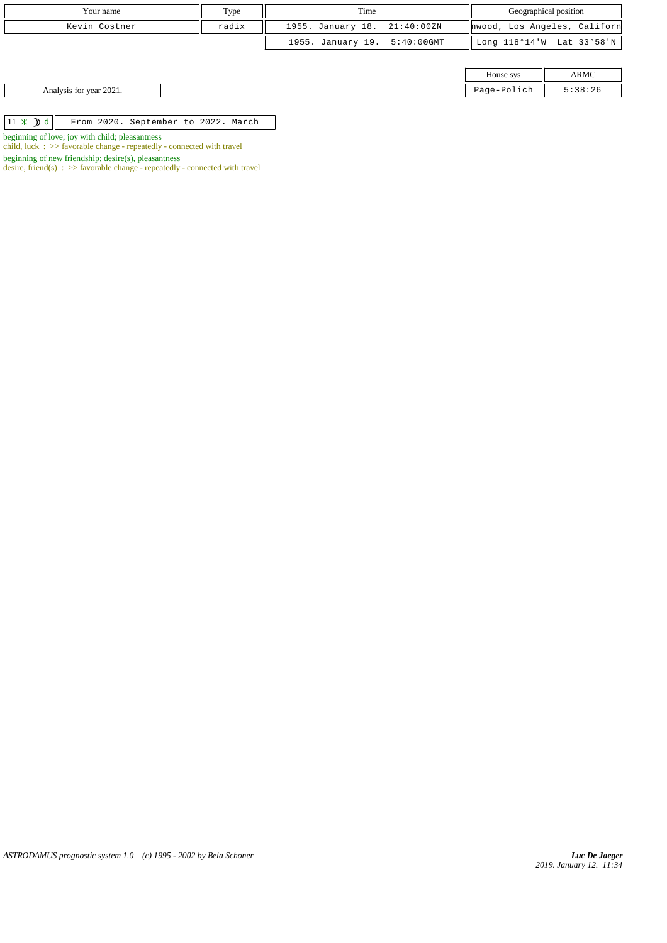| Your name     | Type  | Time                         | Geographical position |                              |
|---------------|-------|------------------------------|-----------------------|------------------------------|
| Kevin Costner | radix | 1955. January 18. 21:40:00ZN |                       | hwood, Los Angeles, Californ |
|               |       | 1955. January 19. 5:40:00GMT |                       | Long 118°14'W Lat 33°58'N    |
|               |       |                              |                       |                              |
|               |       |                              | House sys             | <b>ARMC</b>                  |
|               |       |                              |                       |                              |

| House sys   |         |
|-------------|---------|
| Page-Polich | 5:38:26 |

Analysis for year 2021.

 $\boxed{11 \times \mathbf{d}}$  From 2020. September to 2022. March

beginning of love; joy with child; pleasantness

child, luck : >> favorable change - repeatedly - connected with travel

beginning of new friendship; desire(s), pleasantness

desire, friend(s)  $\Rightarrow$  > favorable change - repeatedly - connected with travel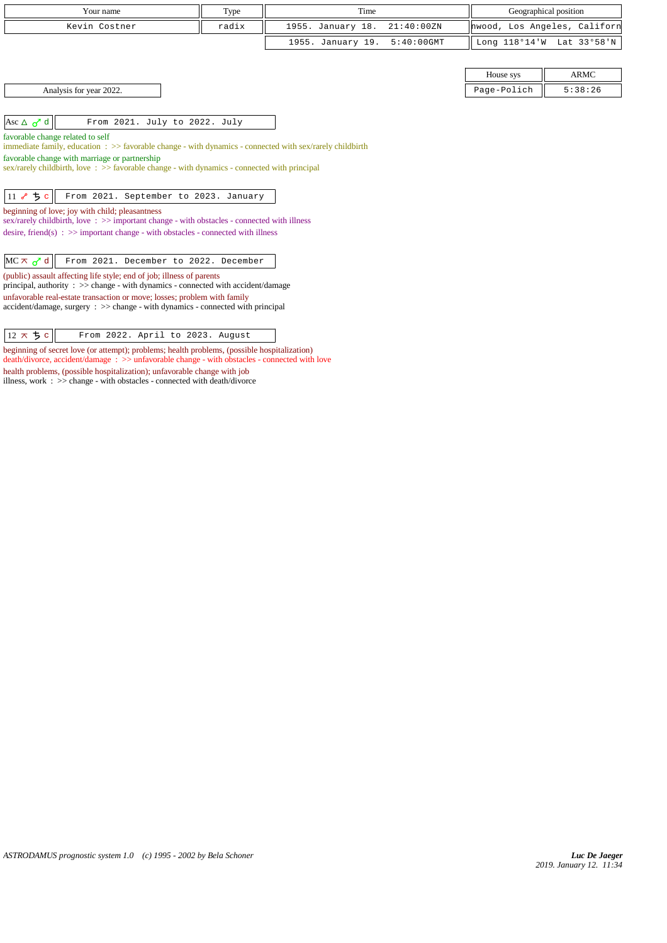| Your name                                                                                                                                                         | Type  | Time                               | Geographical position |                              |
|-------------------------------------------------------------------------------------------------------------------------------------------------------------------|-------|------------------------------------|-----------------------|------------------------------|
| Kevin Costner                                                                                                                                                     | radix | 1955. January 18.<br>21:40:00 ZN   |                       | hwood, Los Angeles, Californ |
|                                                                                                                                                                   |       | 1955. January 19.<br>$5:40:00$ GMT |                       | Long 118°14'W Lat 33°58'N    |
|                                                                                                                                                                   |       |                                    |                       |                              |
|                                                                                                                                                                   |       |                                    | House sys             | <b>ARMC</b>                  |
| Analysis for year 2022.                                                                                                                                           |       |                                    | Page-Polich           | 5:38:26                      |
|                                                                                                                                                                   |       |                                    |                       |                              |
| Asc $\Delta$ $\sigma$ <sup>d</sup><br>From 2021. July to 2022. July                                                                                               |       |                                    |                       |                              |
| favorable change related to self<br>immediate family, education $\Rightarrow$ Savorable change - with dynamics - connected with sex/rarely childbirth             |       |                                    |                       |                              |
| favorable change with marriage or partnership<br>sex/rarely childbirth, love $\Rightarrow$ favorable change - with dynamics - connected with principal            |       |                                    |                       |                              |
| 11 $\sim$ 5 c<br>From 2021. September to 2023. January                                                                                                            |       |                                    |                       |                              |
| beginning of love; joy with child; pleasantness<br>sex/rarely childbirth, love: >> important change - with obstacles - connected with illness                     |       |                                    |                       |                              |
| desire, friend(s) : $\gg$ important change - with obstacles - connected with illness                                                                              |       |                                    |                       |                              |
| $MC \times d$<br>From 2021. December to 2022. December                                                                                                            |       |                                    |                       |                              |
| (public) assault affecting life style; end of job; illness of parents<br>principal, authority : >> change - with dynamics - connected with accident/damage        |       |                                    |                       |                              |
| unfavorable real-estate transaction or move; losses; problem with family<br>$accident/damage$ , surgery : $\gg$ change - with dynamics - connected with principal |       |                                    |                       |                              |

| $ 12 \times 5c $ | From 2022. April to 2023. August |
|------------------|----------------------------------|
|------------------|----------------------------------|

beginning of secret love (or attempt); problems; health problems, (possible hospitalization) death/divorce, accident/damage : >> unfavorable change - with obstacles - connected with love health problems, (possible hospitalization); unfavorable change with job illness, work : >> change - with obstacles - connected with death/divorce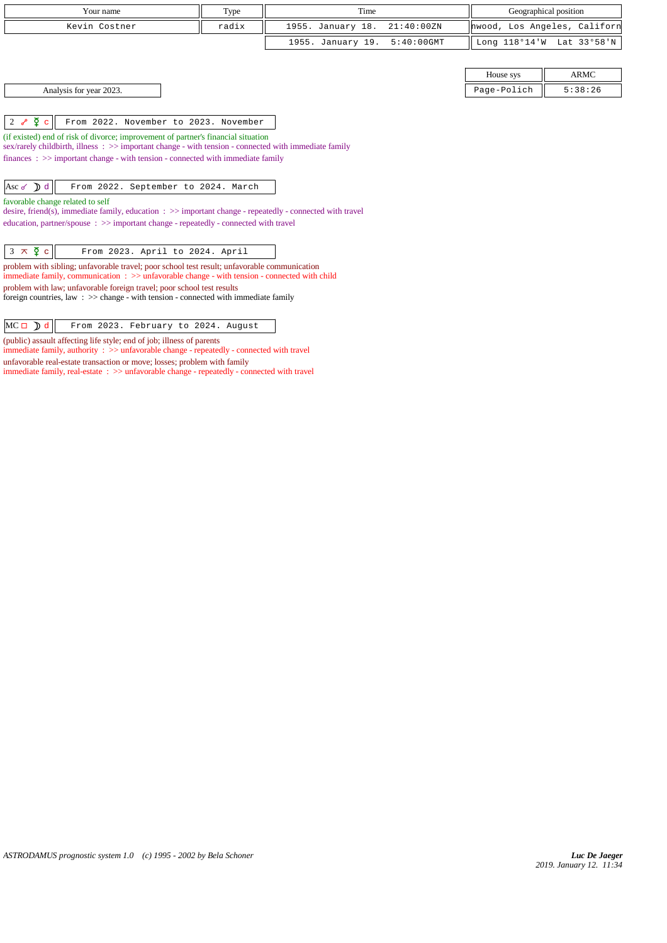|                              | Your name                                                                                                                                                                                                                                                                                                                                                         | Type  | Time              |               | Geographical position        |             |
|------------------------------|-------------------------------------------------------------------------------------------------------------------------------------------------------------------------------------------------------------------------------------------------------------------------------------------------------------------------------------------------------------------|-------|-------------------|---------------|------------------------------|-------------|
|                              | Kevin Costner                                                                                                                                                                                                                                                                                                                                                     | radix | 1955. January 18. | 21:40:00 ZN   | hwood, Los Angeles, Californ |             |
|                              |                                                                                                                                                                                                                                                                                                                                                                   |       | 1955. January 19. | $5:40:00$ GMT | Long 118°14'W Lat 33°58'N    |             |
|                              |                                                                                                                                                                                                                                                                                                                                                                   |       |                   |               |                              |             |
|                              |                                                                                                                                                                                                                                                                                                                                                                   |       |                   |               | House sys                    | <b>ARMC</b> |
|                              | Analysis for year 2023.                                                                                                                                                                                                                                                                                                                                           |       |                   |               | Page-Polich                  | 5:38:26     |
|                              |                                                                                                                                                                                                                                                                                                                                                                   |       |                   |               |                              |             |
| 2 $\delta$ $\infty$ $\infty$ | From 2022. November to 2023. November                                                                                                                                                                                                                                                                                                                             |       |                   |               |                              |             |
|                              | (if existed) end of risk of divorce; improvement of partner's financial situation<br>sex/rarely childbirth, illness : $\gg$ important change - with tension - connected with immediate family<br>$finances: \gg important change - with tension - connected with immediate family$                                                                                |       |                   |               |                              |             |
| Asc $\delta$ d               | From 2022. September to 2024. March                                                                                                                                                                                                                                                                                                                               |       |                   |               |                              |             |
|                              | favorable change related to self<br>desire, friend(s), immediate family, education $\Rightarrow$ > important change - repeatedly - connected with travel<br>education, partner/spouse : >> important change - repeatedly - connected with travel                                                                                                                  |       |                   |               |                              |             |
| $3 \times \overline{2}$ c    | From 2023. April to 2024. April                                                                                                                                                                                                                                                                                                                                   |       |                   |               |                              |             |
|                              | problem with sibling; unfavorable travel; poor school test result; unfavorable communication<br>immediate family, communication : >> unfavorable change - with tension - connected with child<br>problem with law; unfavorable foreign travel; poor school test results<br>foreign countries, law : $\gg$ change - with tension - connected with immediate family |       |                   |               |                              |             |
| $MC \Box$ d                  | From 2023. February to 2024. August                                                                                                                                                                                                                                                                                                                               |       |                   |               |                              |             |

(public) assault affecting life style; end of job; illness of parents

immediate family, authority : >> unfavorable change - repeatedly - connected with travel unfavorable real-estate transaction or move; losses; problem with family

immediate family, real-estate : >> unfavorable change - repeatedly - connected with travel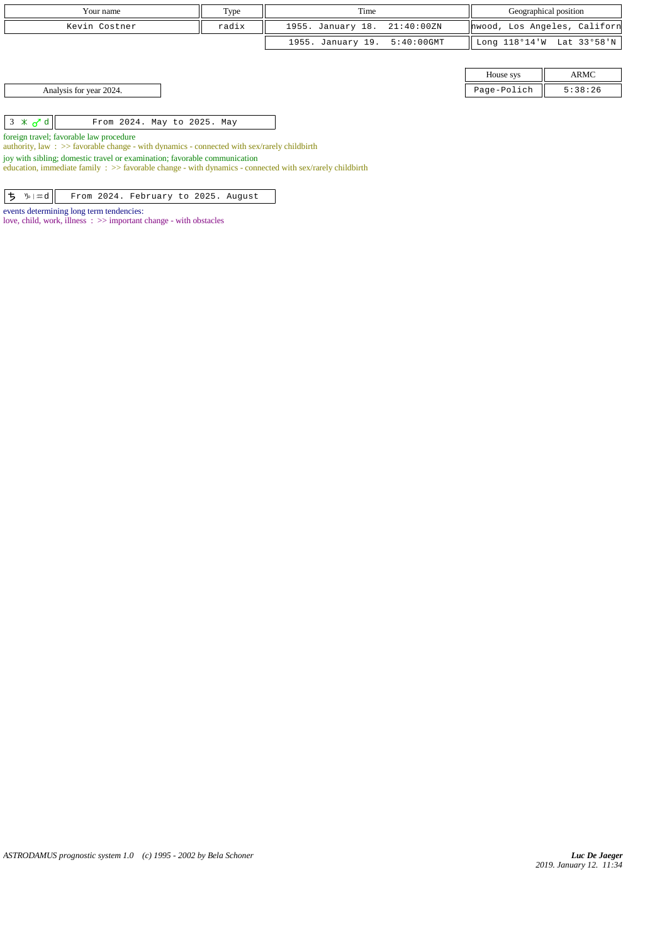| Your name                                                                                                                                                                                | Type  | Time              |               |                           | Geographical position        |
|------------------------------------------------------------------------------------------------------------------------------------------------------------------------------------------|-------|-------------------|---------------|---------------------------|------------------------------|
| Kevin Costner                                                                                                                                                                            | radix | 1955. January 18. | 21:40:00ZN    |                           | hwood, Los Angeles, Californ |
|                                                                                                                                                                                          |       | 1955. January 19. | $5:40:00$ GMT | Long 118°14'W Lat 33°58'N |                              |
|                                                                                                                                                                                          |       |                   |               |                           |                              |
|                                                                                                                                                                                          |       |                   |               | House sys                 | ARMC                         |
| Analysis for year 2024.                                                                                                                                                                  |       |                   |               | Page-Polich               | 5:38:26                      |
|                                                                                                                                                                                          |       |                   |               |                           |                              |
| $3 \times d$<br>From 2024. May to 2025. May                                                                                                                                              |       |                   |               |                           |                              |
| foreign travel; favorable law procedure                                                                                                                                                  |       |                   |               |                           |                              |
| authority, law: $\gg$ favorable change - with dynamics - connected with sex/rarely childbirth                                                                                            |       |                   |               |                           |                              |
| joy with sibling; domestic travel or examination; favorable communication<br>education, immediate family : $\gg$ favorable change - with dynamics - connected with sex/rarely childbirth |       |                   |               |                           |                              |

*ASTRODAMUS prognostic system 1.0 (c) 1995 - 2002 by Bela Schoner*

 $\boxed{\frac{1}{2} \sqrt{\pi d}}$  From 2024. February to 2025. August

love, child, work, illness : >> important change - with obstacles

events determining long term tendencies: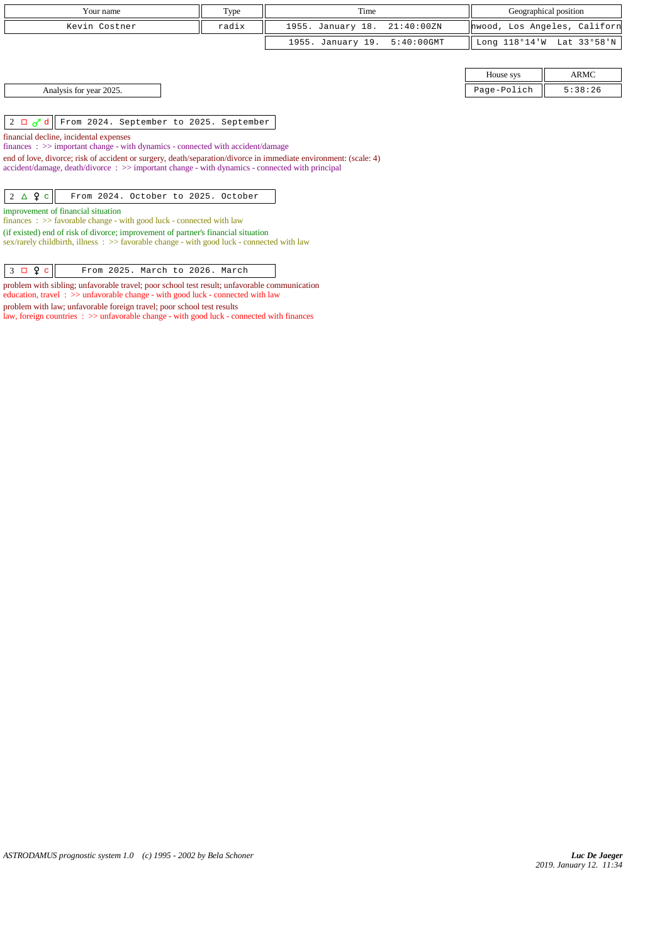| Your name                                                                                                                                                                                             | Type  | Time                               | Geographical position |                              |  |
|-------------------------------------------------------------------------------------------------------------------------------------------------------------------------------------------------------|-------|------------------------------------|-----------------------|------------------------------|--|
| Kevin Costner                                                                                                                                                                                         | radix | 1955. January 18.<br>21:40:00ZN    |                       | hwood, Los Angeles, Californ |  |
|                                                                                                                                                                                                       |       | 1955. January 19.<br>$5:40:00$ GMT | Long 118°14'W         | Lat 33°58'N                  |  |
|                                                                                                                                                                                                       |       |                                    |                       |                              |  |
|                                                                                                                                                                                                       |       |                                    | House sys             | ARMC                         |  |
| Analysis for year 2025.                                                                                                                                                                               |       |                                    | Page-Polich           | 5:38:26                      |  |
|                                                                                                                                                                                                       |       |                                    |                       |                              |  |
| 2 $\Box$ $\overline{d}$ d   From 2024. September to 2025. September                                                                                                                                   |       |                                    |                       |                              |  |
| financial decline, incidental expenses                                                                                                                                                                |       |                                    |                       |                              |  |
| $finances: \gg important change - with dynamics - connected with accident/damage$<br>end of love, divorce; risk of accident or surgery, death/separation/divorce in immediate environment: (scale: 4) |       |                                    |                       |                              |  |
| accident/damage, death/divorce: >> important change - with dynamics - connected with principal                                                                                                        |       |                                    |                       |                              |  |
|                                                                                                                                                                                                       |       |                                    |                       |                              |  |
| $2 \triangle 9c$<br>From 2024. October to 2025. October                                                                                                                                               |       |                                    |                       |                              |  |
| improvement of financial situation                                                                                                                                                                    |       |                                    |                       |                              |  |
| finances : $\gg$ favorable change - with good luck - connected with law                                                                                                                               |       |                                    |                       |                              |  |
| (if existed) end of risk of divorce; improvement of partner's financial situation<br>sex/rarely childbirth, illness $\therefore$ > favorable change - with good luck - connected with law             |       |                                    |                       |                              |  |

 $3 \Box 9 c$  From 2025. March to 2026. March

problem with sibling; unfavorable travel; poor school test result; unfavorable communication education, travel : >> unfavorable change - with good luck - connected with law problem with law; unfavorable foreign travel; poor school test results

law, foreign countries : >> unfavorable change - with good luck - connected with finances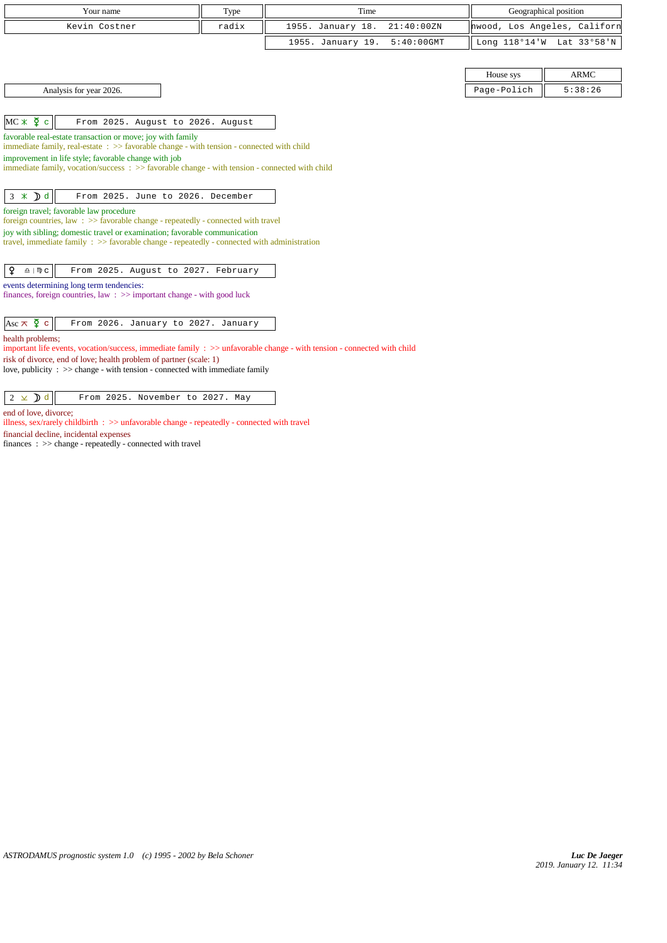| Your name                                                                                                                                               | Type  | Time                               |               | Geographical position        |
|---------------------------------------------------------------------------------------------------------------------------------------------------------|-------|------------------------------------|---------------|------------------------------|
| Kevin Costner                                                                                                                                           | radix | 1955. January 18.<br>21:40:00 ZN   |               | hwood, Los Angeles, Californ |
|                                                                                                                                                         |       | 1955. January 19.<br>$5:40:00$ GMT | Long 118°14'W | Lat 33°58'N                  |
|                                                                                                                                                         |       |                                    |               |                              |
|                                                                                                                                                         |       |                                    | House sys     | <b>ARMC</b>                  |
| Analysis for year 2026.                                                                                                                                 |       |                                    | Page-Polich   | 5:38:26                      |
|                                                                                                                                                         |       |                                    |               |                              |
| $MC * \Sigma c$<br>From 2025. August to 2026. August                                                                                                    |       |                                    |               |                              |
| favorable real-estate transaction or move; joy with family<br>immediate family, real-estate : >> favorable change - with tension - connected with child |       |                                    |               |                              |
| improvement in life style; favorable change with job                                                                                                    |       |                                    |               |                              |
| immediate family, vocation/success: >> favorable change - with tension - connected with child                                                           |       |                                    |               |                              |
|                                                                                                                                                         |       |                                    |               |                              |
| $3 \times D d$<br>From 2025. June to 2026. December                                                                                                     |       |                                    |               |                              |
| foreign travel; favorable law procedure<br>foreign countries, law : $\gg$ favorable change - repeatedly - connected with travel                         |       |                                    |               |                              |
| joy with sibling; domestic travel or examination; favorable communication                                                                               |       |                                    |               |                              |
| travel, immediate family $\Rightarrow$ > favorable change - repeatedly - connected with administration                                                  |       |                                    |               |                              |
| ¥<br>From 2025. August to 2027. February<br>$\underline{\Omega}$   $\mathfrak{m}$ $\subset$                                                             |       |                                    |               |                              |
| events determining long term tendencies:                                                                                                                |       |                                    |               |                              |
| finances, foreign countries, law: >> important change - with good luck                                                                                  |       |                                    |               |                              |
|                                                                                                                                                         |       |                                    |               |                              |
| Asc $\overline{\wedge}$ $\overline{\varphi}$ c<br>From 2026. January to 2027. January                                                                   |       |                                    |               |                              |
| health problems;<br>important life events, vocation/success, immediate family $\Rightarrow$ unfavorable change - with tension - connected with child    |       |                                    |               |                              |
| risk of divorce, end of love; health problem of partner (scale: 1)                                                                                      |       |                                    |               |                              |
| love, publicity : >> change - with tension - connected with immediate family                                                                            |       |                                    |               |                              |
|                                                                                                                                                         |       |                                    |               |                              |
| $2 \times D d$<br>From 2025. November to 2027. May                                                                                                      |       |                                    |               |                              |
| end of love, divorce;                                                                                                                                   |       |                                    |               |                              |

illness, sex/rarely childbirth : >> unfavorable change - repeatedly - connected with travel financial decline, incidental expenses

finances : >> change - repeatedly - connected with travel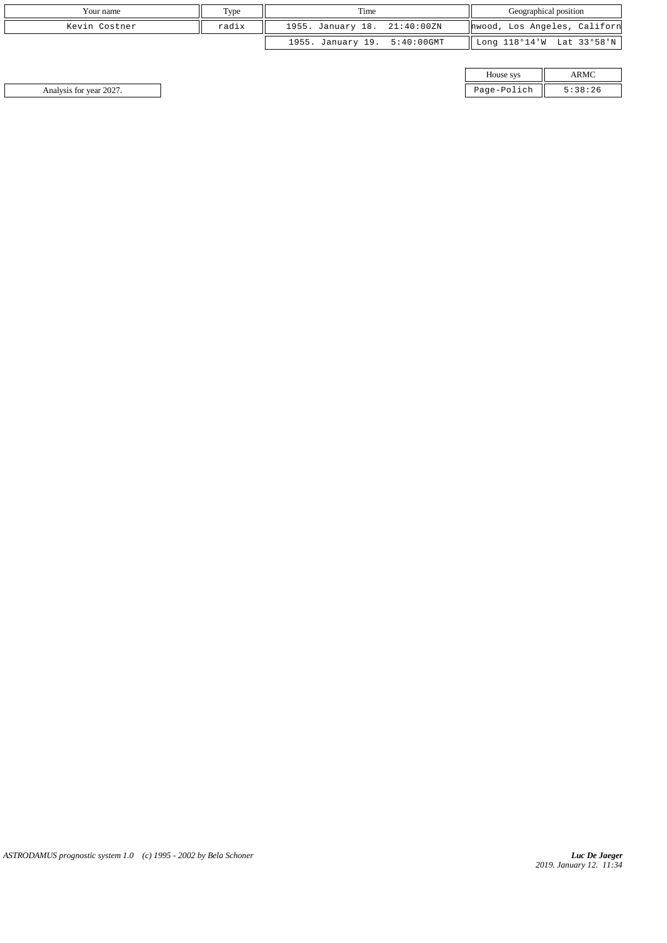| Your name     | Type  | Time                         | Geographical position                 |
|---------------|-------|------------------------------|---------------------------------------|
| Kevin Costner | radix | 1955. January 18. 21:40:00ZN | hwood, Los Angeles, Californ          |
|               |       | 1955. January 19. 5:40:00GMT | $\parallel$ Long 118°14'W Lat 33°58'N |

| House sys |  |
|-----------|--|
| ີ         |  |

Analysis for year 2027. Page-Polich 5:38:26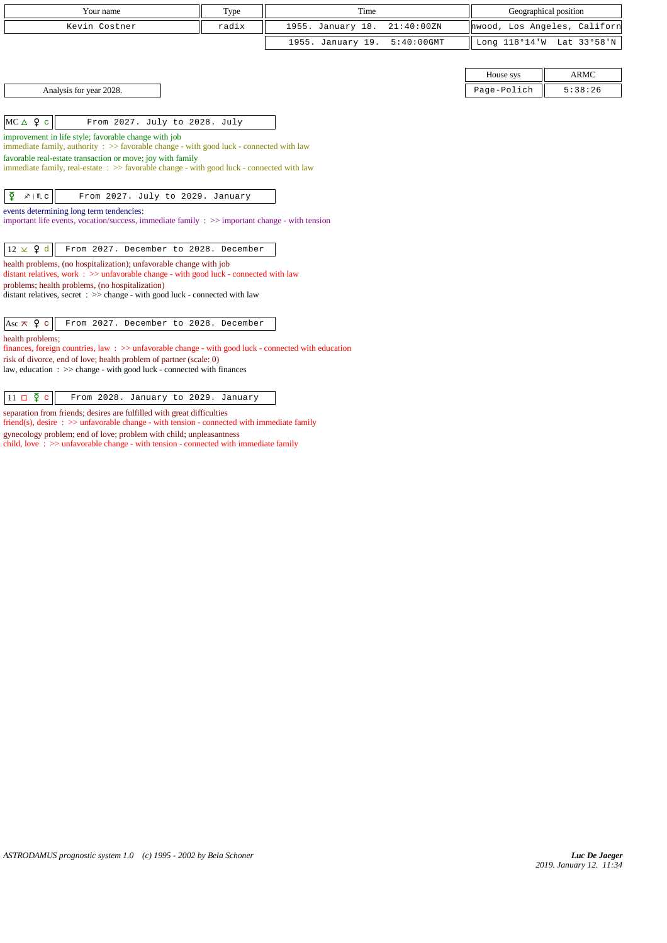| Your name                                                                                                                                                   | Type  | Time              |               |             | Geographical position        |
|-------------------------------------------------------------------------------------------------------------------------------------------------------------|-------|-------------------|---------------|-------------|------------------------------|
| Kevin Costner                                                                                                                                               | radix | 1955. January 18. | 21:40:00 ZN   |             | hwood, Los Angeles, Californ |
|                                                                                                                                                             |       | 1955. January 19. | $5:40:00$ GMT |             | Long 118°14'W Lat 33°58'N    |
|                                                                                                                                                             |       |                   |               |             |                              |
|                                                                                                                                                             |       |                   |               | House sys   | <b>ARMC</b>                  |
| Analysis for year 2028.                                                                                                                                     |       |                   |               | Page-Polich | 5:38:26                      |
|                                                                                                                                                             |       |                   |               |             |                              |
| $MC \triangle 9 c$<br>From 2027. July to 2028. July                                                                                                         |       |                   |               |             |                              |
| improvement in life style; favorable change with job<br>immediate family, authority : >> favorable change - with good luck - connected with law             |       |                   |               |             |                              |
| favorable real-estate transaction or move; joy with family                                                                                                  |       |                   |               |             |                              |
| immediate family, real-estate: >> favorable change - with good luck - connected with law                                                                    |       |                   |               |             |                              |
|                                                                                                                                                             |       |                   |               |             |                              |
| ₫<br>$x \mid M$ C<br>From 2027. July to 2029. January                                                                                                       |       |                   |               |             |                              |
| events determining long term tendencies:                                                                                                                    |       |                   |               |             |                              |
| important life events, vocation/success, immediate family $\Rightarrow$ >> important change - with tension                                                  |       |                   |               |             |                              |
| $12 \times 9$ d<br>From 2027. December to 2028. December                                                                                                    |       |                   |               |             |                              |
| health problems, (no hospitalization); unfavorable change with job<br>distant relatives, work : >> unfavorable change - with good luck - connected with law |       |                   |               |             |                              |
| problems; health problems, (no hospitalization)                                                                                                             |       |                   |               |             |                              |
| distant relatives, secret $\Rightarrow$ >> change - with good luck - connected with law                                                                     |       |                   |               |             |                              |
| Asc $\pi$ $\varphi$ c<br>From 2027. December to 2028. December                                                                                              |       |                   |               |             |                              |
| health problems:                                                                                                                                            |       |                   |               |             |                              |
| finances, foreign countries, law: >> unfavorable change - with good luck - connected with education                                                         |       |                   |               |             |                              |
| risk of divorce, end of love; health problem of partner (scale: 0)<br>law, education : >> change - with good luck - connected with finances                 |       |                   |               |             |                              |
|                                                                                                                                                             |       |                   |               |             |                              |
|                                                                                                                                                             |       |                   |               |             |                              |

 $\boxed{11 \Box \Phi c}$  From 2028. January to 2029. January

separation from friends; desires are fulfilled with great difficulties friend(s), desire :  $\gg$  unfavorable change - with tension - connected with immediate family

gynecology problem; end of love; problem with child; unpleasantness

child, love : >> unfavorable change - with tension - connected with immediate family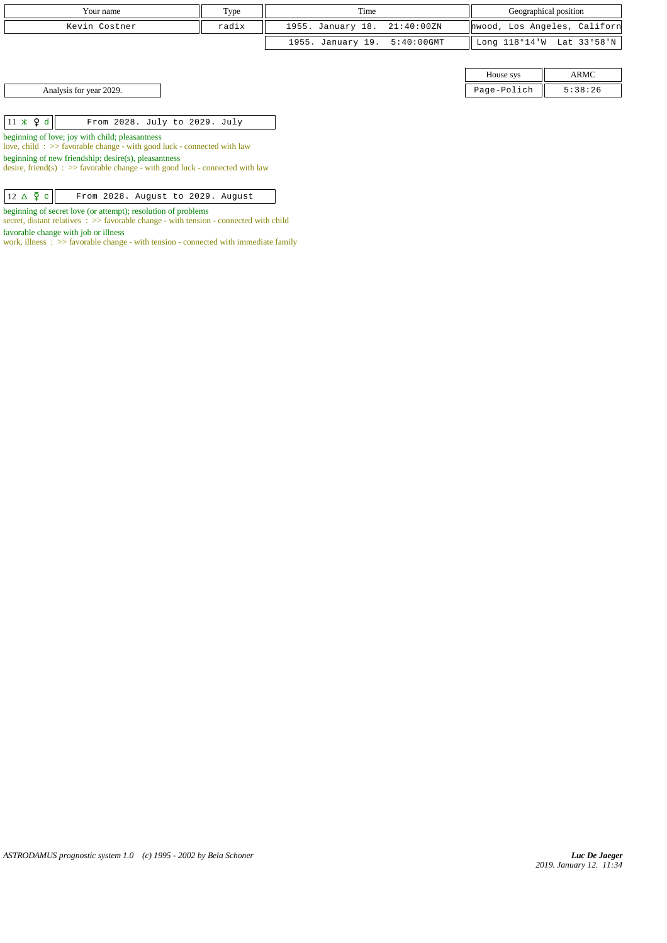| Your name     | Type  | Time                         | Geographical position                 |
|---------------|-------|------------------------------|---------------------------------------|
| Kevin Costner | radix | 1955. January 18. 21:40:00ZN | hwood, Los Angeles, Californ          |
|               |       | 1955. January 19. 5:40:00GMT | $\parallel$ Long 118°14'W Lat 33°58'N |

House sys ARMC Analysis for year 2029. Page-Polich 5:38:26

| $11 \times 9$ d | From 2028. July to 2029. July |
|-----------------|-------------------------------|
|-----------------|-------------------------------|

beginning of love; joy with child; pleasantness

love, child : >> favorable change - with good luck - connected with law

beginning of new friendship; desire(s), pleasantness

desire, friend(s)  $\Rightarrow$  5 avorable change - with good luck - connected with law

| $12 \triangle \n\overline{2}$ c |  |  | From 2028. August to 2029. August |
|---------------------------------|--|--|-----------------------------------|
|---------------------------------|--|--|-----------------------------------|

beginning of secret love (or attempt); resolution of problems

secret, distant relatives :  $\gg$  favorable change - with tension - connected with child favorable change with job or illness

work, illness :  $>$  favorable change - with tension - connected with immediate family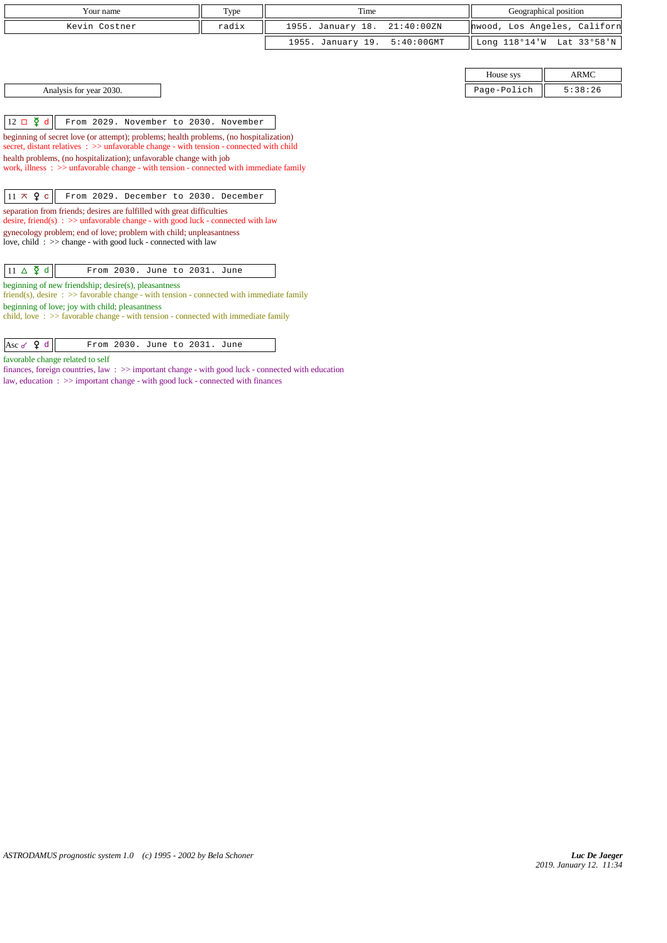| Your name                                                                                                                                                                         |                               | Type  | Time              |               |                              | Geographical position     |
|-----------------------------------------------------------------------------------------------------------------------------------------------------------------------------------|-------------------------------|-------|-------------------|---------------|------------------------------|---------------------------|
|                                                                                                                                                                                   |                               |       |                   |               |                              |                           |
| Kevin Costner                                                                                                                                                                     |                               | radix | 1955. January 18. | 21:40:00 ZN   | hwood, Los Angeles, Californ |                           |
|                                                                                                                                                                                   |                               |       | 1955. January 19. | $5:40:00$ GMT |                              | Long 118°14'W Lat 33°58'N |
|                                                                                                                                                                                   |                               |       |                   |               |                              |                           |
|                                                                                                                                                                                   |                               |       |                   |               | House sys                    | <b>ARMC</b>               |
| Analysis for year 2030.                                                                                                                                                           |                               |       |                   |               | Page-Polich                  | 5:38:26                   |
|                                                                                                                                                                                   |                               |       |                   |               |                              |                           |
| $12 \Box \Phi d$<br>From 2029. November to 2030. November                                                                                                                         |                               |       |                   |               |                              |                           |
| beginning of secret love (or attempt); problems; health problems, (no hospitalization)<br>secret, distant relatives : >> unfavorable change - with tension - connected with child |                               |       |                   |               |                              |                           |
| health problems, (no hospitalization); unfavorable change with job                                                                                                                |                               |       |                   |               |                              |                           |
| work, illness $\Rightarrow$ > $\Rightarrow$ unfavorable change - with tension - connected with immediate family                                                                   |                               |       |                   |               |                              |                           |
|                                                                                                                                                                                   |                               |       |                   |               |                              |                           |
| $11 \times 9$ c<br>From 2029. December to 2030. December                                                                                                                          |                               |       |                   |               |                              |                           |
| separation from friends; desires are fulfilled with great difficulties<br>desire, friend(s) : $\gg$ unfavorable change - with good luck - connected with law                      |                               |       |                   |               |                              |                           |
| gynecology problem; end of love; problem with child; unpleasantness                                                                                                               |                               |       |                   |               |                              |                           |
| love, child : $\gg$ change - with good luck - connected with law                                                                                                                  |                               |       |                   |               |                              |                           |
|                                                                                                                                                                                   |                               |       |                   |               |                              |                           |
| $11 \Delta \n\bm{\zeta}$ d                                                                                                                                                        | From 2030. June to 2031. June |       |                   |               |                              |                           |
| beginning of new friendship; desire(s), pleasantness<br>friend(s), desire $\Rightarrow$ S favorable change - with tension - connected with immediate family                       |                               |       |                   |               |                              |                           |
| beginning of love; joy with child; pleasantness                                                                                                                                   |                               |       |                   |               |                              |                           |
| child, love $\Rightarrow$ Savorable change - with tension - connected with immediate family                                                                                       |                               |       |                   |               |                              |                           |
|                                                                                                                                                                                   |                               |       |                   |               |                              |                           |

 $\begin{array}{|c|c|c|c|}\n\hline \end{array}$  Asc  $\sigma$   $\begin{array}{|c|c|c|}\n\hline\n\end{array}$  From 2030. June to 2031. June

favorable change related to self

finances, foreign countries, law : >> important change - with good luck - connected with education law, education : >> important change - with good luck - connected with finances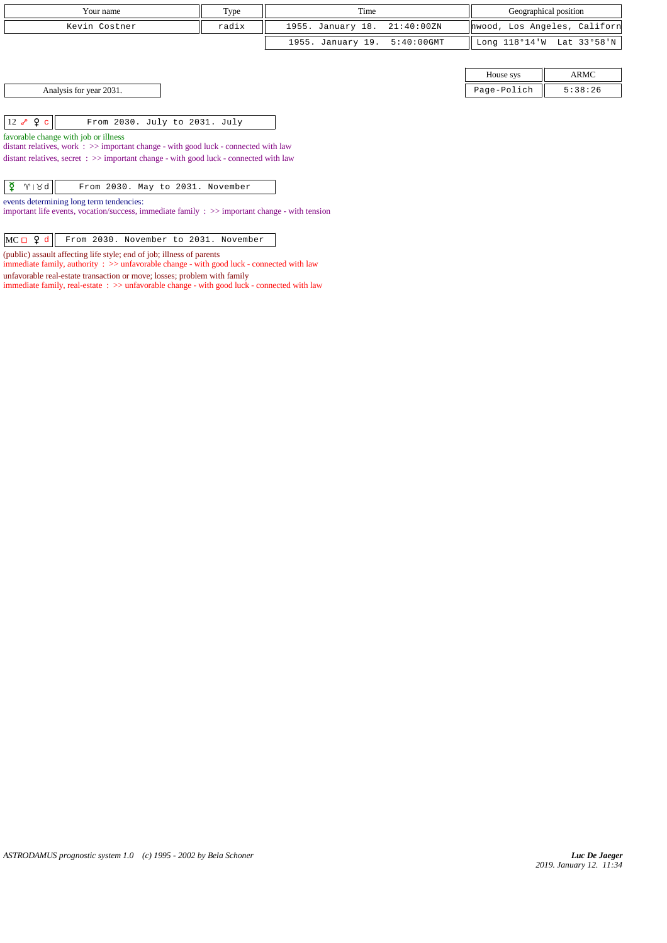| Your name                                                                                                                   | Type  | Time              |               | Geographical position |                              |
|-----------------------------------------------------------------------------------------------------------------------------|-------|-------------------|---------------|-----------------------|------------------------------|
| Kevin Costner                                                                                                               | radix | 1955. January 18. | 21:40:00ZN    |                       | hwood, Los Angeles, Californ |
|                                                                                                                             |       | 1955. January 19. | $5:40:00$ GMT |                       | Long 118°14'W Lat 33°58'N    |
|                                                                                                                             |       |                   |               |                       |                              |
|                                                                                                                             |       |                   |               | House sys             | ARMC                         |
| Analysis for year 2031.                                                                                                     |       |                   |               | Page-Polich           | 5:38:26                      |
|                                                                                                                             |       |                   |               |                       |                              |
| $12 \times 9$ c<br>From 2030. July to 2031. July                                                                            |       |                   |               |                       |                              |
| favorable change with job or illness<br>distant relatives, work : >> important change - with good luck - connected with law |       |                   |               |                       |                              |
| distant relatives, secret $\Rightarrow$ important change - with good luck - connected with law                              |       |                   |               |                       |                              |
|                                                                                                                             |       |                   |               |                       |                              |
| ୁଟ<br>$\gamma \times d$<br>From 2030. May to 2031. November                                                                 |       |                   |               |                       |                              |
| events determining long term tendencies:                                                                                    |       |                   |               |                       |                              |

important life events, vocation/success, immediate family : >> important change - with tension

 $MC \Box$   $Q$  d From 2030. November to 2031. November

(public) assault affecting life style; end of job; illness of parents

immediate family, authority : >> unfavorable change - with good luck - connected with law unfavorable real-estate transaction or move; losses; problem with family

immediate family, real-estate : >> unfavorable change - with good luck - connected with law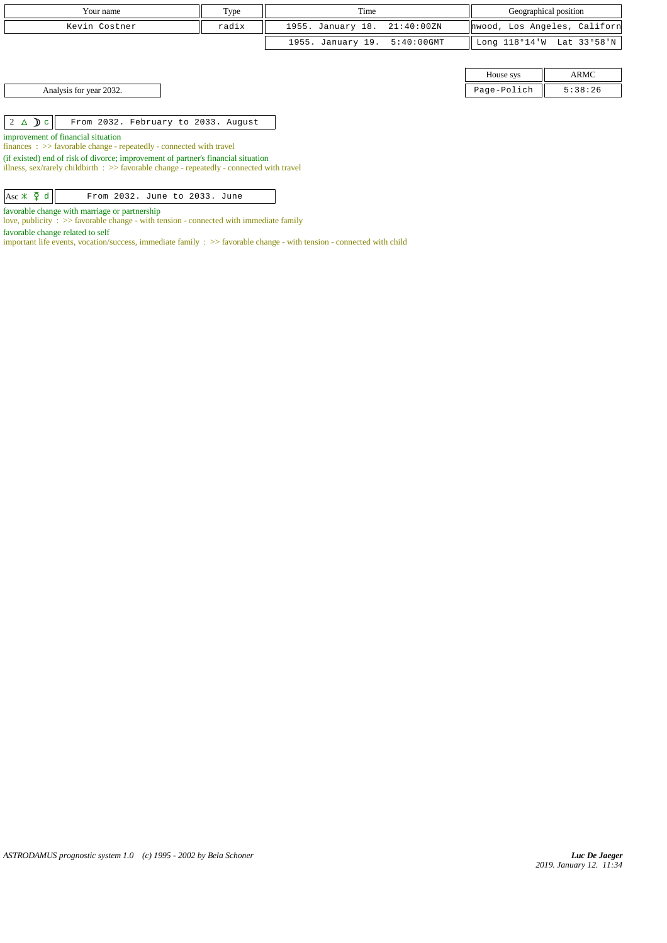| Your name                                                                                                                                                                                       | Type  | Time              |               |                              | Geographical position     |
|-------------------------------------------------------------------------------------------------------------------------------------------------------------------------------------------------|-------|-------------------|---------------|------------------------------|---------------------------|
| Kevin Costner                                                                                                                                                                                   | radix | 1955. January 18. | 21:40:00ZN    | hwood, Los Angeles, Californ |                           |
|                                                                                                                                                                                                 |       | 1955. January 19. | $5:40:00$ GMT |                              | Long 118°14'W Lat 33°58'N |
|                                                                                                                                                                                                 |       |                   |               |                              |                           |
|                                                                                                                                                                                                 |       |                   |               | House sys                    | ARMC                      |
| Analysis for year 2032.                                                                                                                                                                         |       |                   |               | Page-Polich                  | 5:38:26                   |
|                                                                                                                                                                                                 |       |                   |               |                              |                           |
| $2 \triangle D c$<br>From 2032. February to 2033. August                                                                                                                                        |       |                   |               |                              |                           |
| improvement of financial situation<br>$finances : \gg$ favorable change - repeatedly - connected with travel                                                                                    |       |                   |               |                              |                           |
| (if existed) end of risk of divorce; improvement of partner's financial situation<br>The case are accepted abilitated to be a Community whose cases are accepted by a community of the control. |       |                   |               |                              |                           |

illness, sex/rarely childbirth : >> favorable change - repeatedly - connected with travel

| $\overline{Asc \times \overline{Q} d}$ |  |  | From 2032. June to 2033. June |  |  |
|----------------------------------------|--|--|-------------------------------|--|--|

favorable change with marriage or partnership

love, publicity : >> favorable change - with tension - connected with immediate family

favorable change related to self

important life events, vocation/success, immediate family : >> favorable change - with tension - connected with child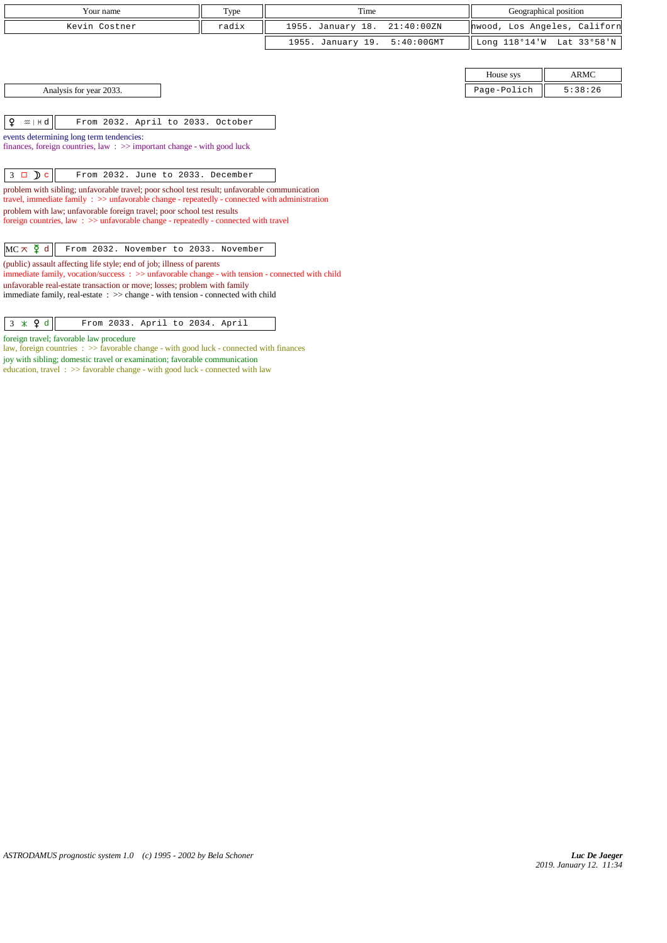| Your name                                                                |                                                                                                                                                                                                        | Type  | Time              |               |                              | Geographical position     |
|--------------------------------------------------------------------------|--------------------------------------------------------------------------------------------------------------------------------------------------------------------------------------------------------|-------|-------------------|---------------|------------------------------|---------------------------|
|                                                                          | Kevin Costner                                                                                                                                                                                          | radix | 1955. January 18. | 21:40:00 ZN   | hwood, Los Angeles, Californ |                           |
|                                                                          |                                                                                                                                                                                                        |       | 1955. January 19. | $5:40:00$ GMT |                              | Long 118°14'W Lat 33°58'N |
|                                                                          |                                                                                                                                                                                                        |       |                   |               |                              |                           |
|                                                                          |                                                                                                                                                                                                        |       |                   |               | House sys                    | <b>ARMC</b>               |
|                                                                          | Analysis for year 2033.                                                                                                                                                                                |       |                   |               | Page-Polich                  | 5:38:26                   |
|                                                                          |                                                                                                                                                                                                        |       |                   |               |                              |                           |
| ¥<br>$m + d$                                                             | From 2032. April to 2033. October                                                                                                                                                                      |       |                   |               |                              |                           |
|                                                                          | events determining long term tendencies:                                                                                                                                                               |       |                   |               |                              |                           |
|                                                                          | finances, foreign countries, law $\Rightarrow$ important change - with good luck                                                                                                                       |       |                   |               |                              |                           |
|                                                                          |                                                                                                                                                                                                        |       |                   |               |                              |                           |
| $3 \Box$ $c$                                                             | From 2032. June to 2033. December                                                                                                                                                                      |       |                   |               |                              |                           |
|                                                                          | problem with sibling; unfavorable travel; poor school test result; unfavorable communication<br>travel, immediate family $\Rightarrow$ unfavorable change - repeatedly - connected with administration |       |                   |               |                              |                           |
|                                                                          | problem with law; unfavorable foreign travel; poor school test results                                                                                                                                 |       |                   |               |                              |                           |
|                                                                          | foreign countries, law : >> unfavorable change - repeatedly - connected with travel                                                                                                                    |       |                   |               |                              |                           |
|                                                                          |                                                                                                                                                                                                        |       |                   |               |                              |                           |
| $MC \times \xi$ d                                                        | From 2032. November to 2033. November                                                                                                                                                                  |       |                   |               |                              |                           |
|                                                                          | (public) assault affecting life style; end of job; illness of parents<br>immediate family, vocation/success: >> unfavorable change - with tension - connected with child                               |       |                   |               |                              |                           |
| unfavorable real-estate transaction or move; losses; problem with family |                                                                                                                                                                                                        |       |                   |               |                              |                           |
|                                                                          | immediate family, real-estate : >> change - with tension - connected with child                                                                                                                        |       |                   |               |                              |                           |
|                                                                          |                                                                                                                                                                                                        |       |                   |               |                              |                           |

foreign travel; favorable law procedure

law, foreign countries : >> favorable change - with good luck - connected with finances joy with sibling; domestic travel or examination; favorable communication education, travel:  $\gg$  favorable change - with good luck - connected with law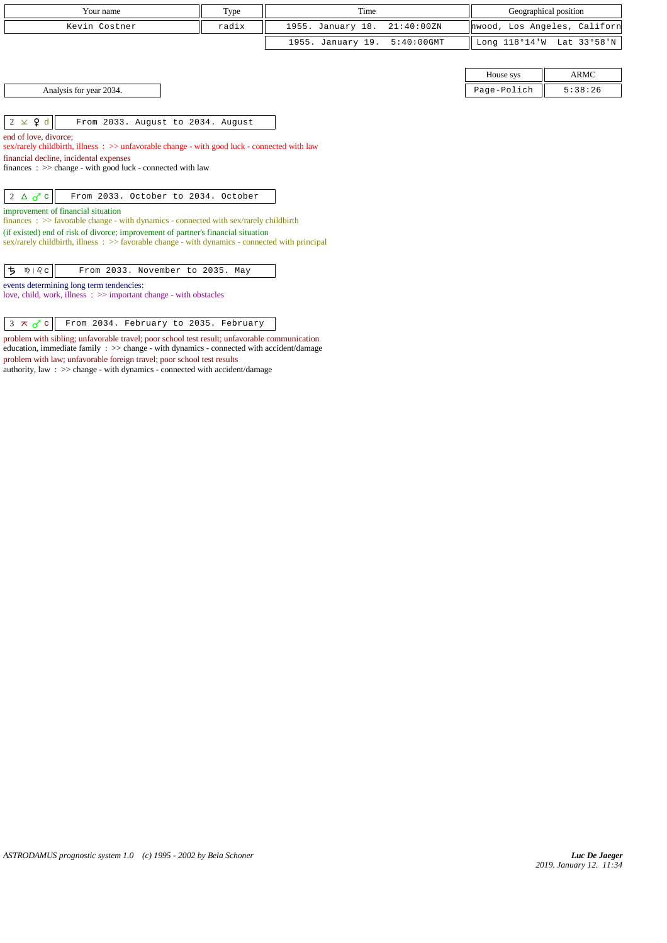| Your name                                                                                                                                                                                                                                                                                                                                                                                    | Type  | Time              |               |                              | Geographical position     |  |  |
|----------------------------------------------------------------------------------------------------------------------------------------------------------------------------------------------------------------------------------------------------------------------------------------------------------------------------------------------------------------------------------------------|-------|-------------------|---------------|------------------------------|---------------------------|--|--|
| Kevin Costner                                                                                                                                                                                                                                                                                                                                                                                | radix | 1955. January 18. | 21:40:00 ZN   | hwood, Los Angeles, Californ |                           |  |  |
|                                                                                                                                                                                                                                                                                                                                                                                              |       | 1955. January 19. | $5:40:00$ GMT |                              | Long 118°14'W Lat 33°58'N |  |  |
|                                                                                                                                                                                                                                                                                                                                                                                              |       |                   |               |                              |                           |  |  |
|                                                                                                                                                                                                                                                                                                                                                                                              |       |                   |               | House sys                    | <b>ARMC</b>               |  |  |
| Analysis for year 2034.                                                                                                                                                                                                                                                                                                                                                                      |       |                   |               | Page-Polich                  | 5:38:26                   |  |  |
|                                                                                                                                                                                                                                                                                                                                                                                              |       |                   |               |                              |                           |  |  |
| $2 \times 9d$<br>From 2033. August to 2034. August                                                                                                                                                                                                                                                                                                                                           |       |                   |               |                              |                           |  |  |
| end of love, divorce;<br>sex/rarely childbirth, illness: >> unfavorable change - with good luck - connected with law<br>financial decline, incidental expenses<br>finances : $\gg$ change - with good luck - connected with law                                                                                                                                                              |       |                   |               |                              |                           |  |  |
| $2 \triangle \sigma$ c<br>From 2033. October to 2034. October<br>improvement of financial situation<br>finances : $\gg$ favorable change - with dynamics - connected with sex/rarely childbirth<br>(if existed) end of risk of divorce; improvement of partner's financial situation<br>$sex/rarely childbirth$ , illness : $>>$ favorable change - with dynamics - connected with principal |       |                   |               |                              |                           |  |  |
| ち<br>From 2033. November to 2035. May<br>$m + \delta$ $c$<br>events determining long term tendencies:<br>love, child, work, illness : >> important change - with obstacles                                                                                                                                                                                                                   |       |                   |               |                              |                           |  |  |
| $3 \times 0$ c<br>From 2034. February to 2035. February                                                                                                                                                                                                                                                                                                                                      |       |                   |               |                              |                           |  |  |

problem with sibling; unfavorable travel; poor school test result; unfavorable communication education, immediate family : >> change - with dynamics - connected with accident/damage

problem with law; unfavorable foreign travel; poor school test results authority, law : >> change - with dynamics - connected with accident/damage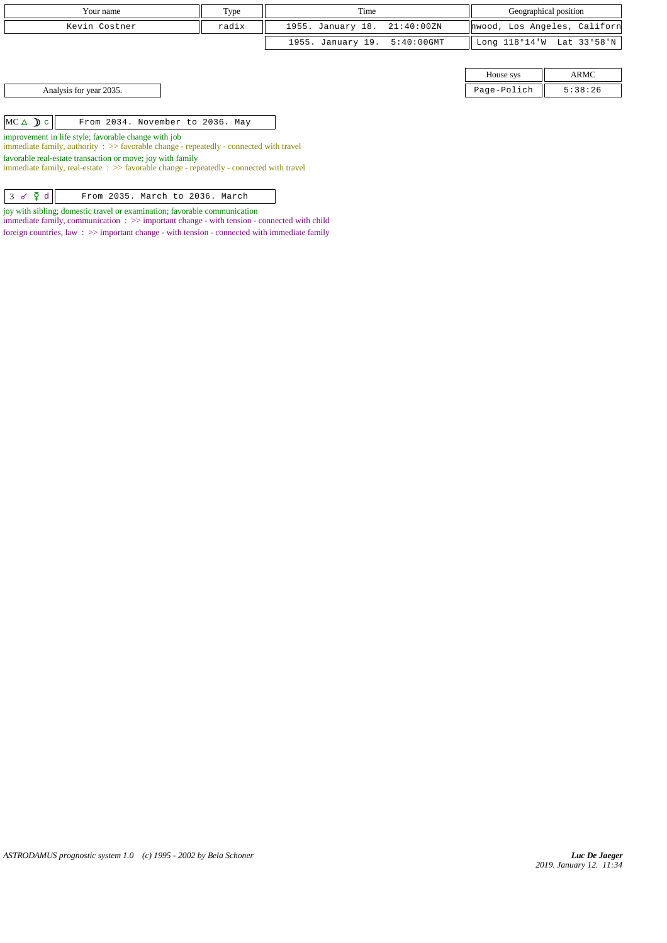| Your name                                                                                                                                      | Type  | Time              |               | Geographical position |                              |  |
|------------------------------------------------------------------------------------------------------------------------------------------------|-------|-------------------|---------------|-----------------------|------------------------------|--|
| Kevin Costner                                                                                                                                  | radix | 1955. January 18. | 21:40:00ZN    |                       | hwood, Los Angeles, Californ |  |
|                                                                                                                                                |       | 1955. January 19. | $5:40:00$ GMT |                       | Long 118°14'W Lat 33°58'N    |  |
|                                                                                                                                                |       |                   |               |                       |                              |  |
|                                                                                                                                                |       |                   |               | House sys             | ARMC                         |  |
| Analysis for year 2035.                                                                                                                        |       |                   |               | Page-Polich           | 5:38:26                      |  |
|                                                                                                                                                |       |                   |               |                       |                              |  |
| $MC \triangle D c$<br>From 2034. November to 2036. May                                                                                         |       |                   |               |                       |                              |  |
| improvement in life style; favorable change with job<br>immediate family, authority : >> favorable change - repeatedly - connected with travel |       |                   |               |                       |                              |  |
| favorable real-estate transaction or move; joy with family                                                                                     |       |                   |               |                       |                              |  |

immediate family, real-estate : >> favorable change - repeatedly - connected with travel

joy with sibling; domestic travel or examination; favorable communication immediate family, communication : >> important change - with tension - connected with child

foreign countries, law : >> important change - with tension - connected with immediate family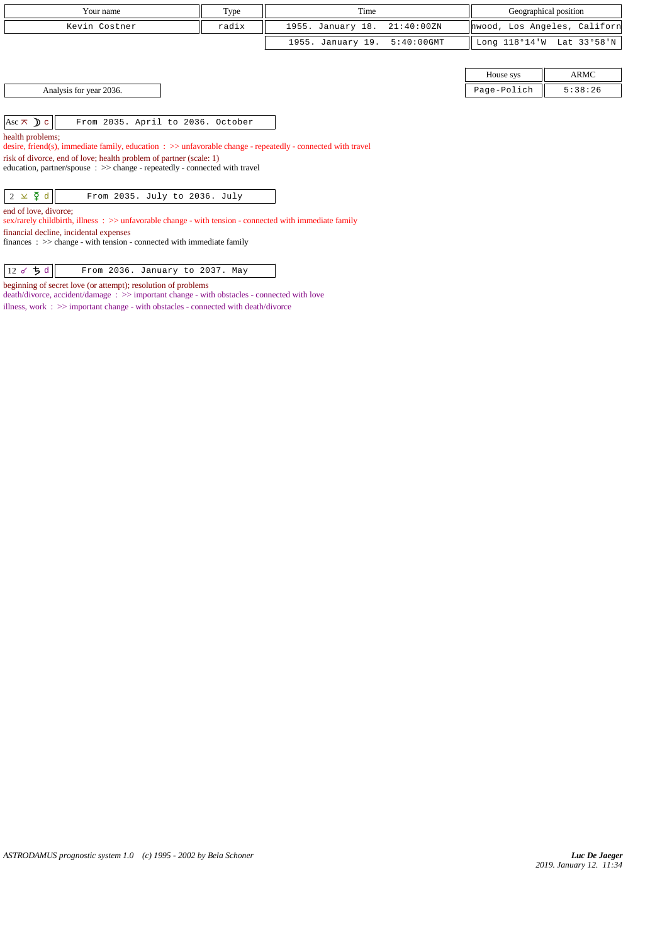| Your name     | Type  | Time                         | Geographical position                       |  |  |
|---------------|-------|------------------------------|---------------------------------------------|--|--|
| Kevin Costner | radix | 1955. January 18. 21:40:00ZN | hwood, Los Angeles, Californ                |  |  |
|               |       | 1955. January 19. 5:40:00GMT | Long $118^{\circ}14'W$ Lat $33^{\circ}58'W$ |  |  |
|               |       |                              |                                             |  |  |

Analysis for year 2036. Page-Polich 5:38:26

 $\begin{vmatrix} \text{Asc}\,\boldsymbol{\overline{\wedge}}\, & \text{D}\text{c} \end{vmatrix}$  From 2035. April to 2036. October

health problems;

desire, friend(s), immediate family, education : >> unfavorable change - repeatedly - connected with travel

risk of divorce, end of love; health problem of partner (scale: 1) education, partner/spouse  $\, : \, >>$  change - repeatedly - connected with travel

 $\begin{array}{|c|c|c|c|c|}\n\hline\n2 & \times & \mathfrak{F} & \mathfrak{d} & \hline\n\end{array}$  From 2035. July to 2036. July

end of love, divorce;

sex/rarely childbirth, illness : >> unfavorable change - with tension - connected with immediate family

financial decline, incidental expenses

finances : >> change - with tension - connected with immediate family

 $\begin{array}{|c|c|c|c|c|}\n\hline\n 12 & \sigma & \texttt{5} \text{ d}\n\end{array}$  From 2036. January to 2037. May

beginning of secret love (or attempt); resolution of problems

death/divorce, accident/damage : >> important change - with obstacles - connected with love illness, work : >> important change - with obstacles - connected with death/divorce

House sys **ARMC**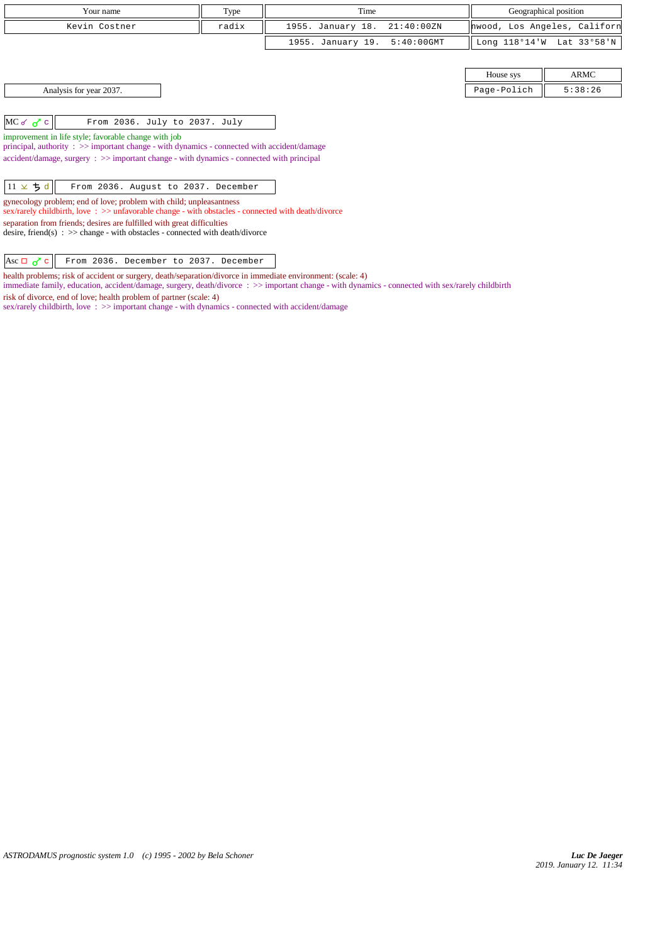| Your name                                                                                                                                                                                                                                                                                                                                                                                                                                                                                                                                                                                                                                                                                                                        | Type | Time                               | Geographical position |                              |  |  |
|----------------------------------------------------------------------------------------------------------------------------------------------------------------------------------------------------------------------------------------------------------------------------------------------------------------------------------------------------------------------------------------------------------------------------------------------------------------------------------------------------------------------------------------------------------------------------------------------------------------------------------------------------------------------------------------------------------------------------------|------|------------------------------------|-----------------------|------------------------------|--|--|
| radix<br>Kevin Costner                                                                                                                                                                                                                                                                                                                                                                                                                                                                                                                                                                                                                                                                                                           |      | 1955. January 18.<br>21:40:00ZN    |                       | hwood, Los Angeles, Californ |  |  |
|                                                                                                                                                                                                                                                                                                                                                                                                                                                                                                                                                                                                                                                                                                                                  |      | 1955. January 19.<br>$5:40:00$ GMT | Long $118°14'$ W      | Lat 33°58'N                  |  |  |
|                                                                                                                                                                                                                                                                                                                                                                                                                                                                                                                                                                                                                                                                                                                                  |      |                                    |                       |                              |  |  |
|                                                                                                                                                                                                                                                                                                                                                                                                                                                                                                                                                                                                                                                                                                                                  |      |                                    | House sys             | ARMC                         |  |  |
| Analysis for year 2037.                                                                                                                                                                                                                                                                                                                                                                                                                                                                                                                                                                                                                                                                                                          |      |                                    | Page-Polich           | 5:38:26                      |  |  |
| $MC$ o' $\sigma$ <sup>'</sup> c<br>From 2036. July to 2037. July<br>improvement in life style; favorable change with job<br>principal, authority : >> important change - with dynamics - connected with accident/damage<br>$accident/damage$ , $surgery : >> important change - with dynamics - connected with principal$<br>$11 \times 5d$<br>From 2036. August to 2037. December<br>gynecology problem; end of love; problem with child; unpleasantness<br>sex/rarely childbirth, love: $\gg$ unfavorable change - with obstacles - connected with death/divorce<br>separation from friends; desires are fulfilled with great difficulties<br>desire, friend(s) : $\gg$ change - with obstacles - connected with death/divorce |      |                                    |                       |                              |  |  |

Asc  $\Box$   $\sigma$ <sup>7</sup> c From 2036. December to 2037. December

health problems; risk of accident or surgery, death/separation/divorce in immediate environment: (scale: 4)

immediate family, education, accident/damage, surgery, death/divorce : >> important change - with dynamics - connected with sex/rarely childbirth

risk of divorce, end of love; health problem of partner (scale: 4)

sex/rarely childbirth, love :  $\gg$  important change - with dynamics - connected with accident/damage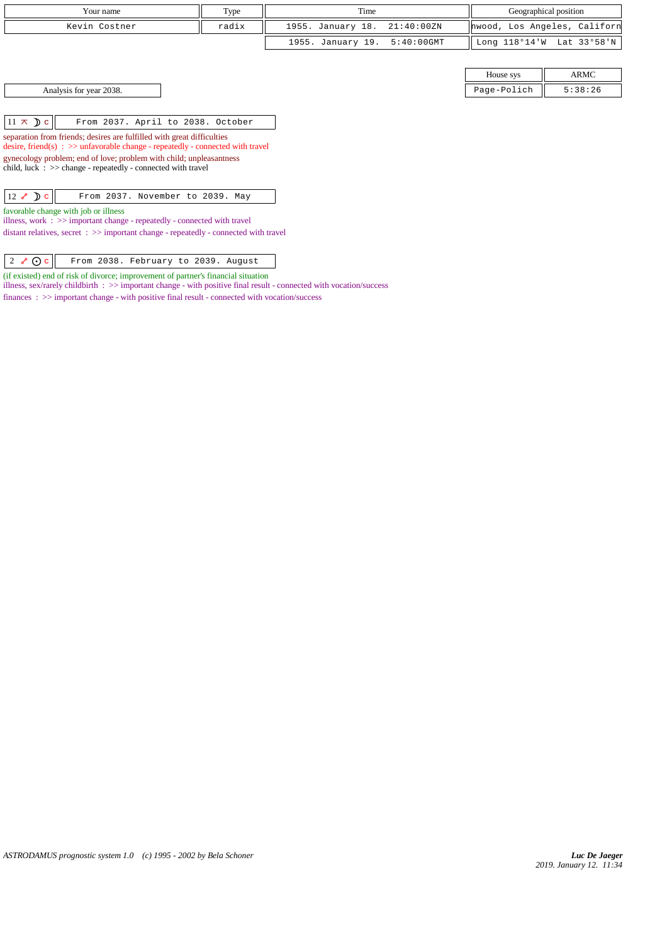| Your name     | Type  | Time                         | Geographical position        |  |
|---------------|-------|------------------------------|------------------------------|--|
| Kevin Costner | radix | 1955. January 18. 21:40:00ZN | hwood, Los Angeles, Californ |  |
|               |       | 1955. January 19. 5:40:00GMT | Long 118°14'W Lat 33°58'N    |  |
|               |       |                              |                              |  |

House sys  $\parallel$  ARMC Analysis for year 2038. Page-Polich 5:38:26

| $11 \times D c$ |  |  | From 2037. April to 2038. October |  |
|-----------------|--|--|-----------------------------------|--|
|                 |  |  |                                   |  |

separation from friends; desires are fulfilled with great difficulties desire, friend(s) : >> unfavorable change - repeatedly - connected with travel gynecology problem; end of love; problem with child; unpleasantness

child, luck  $\therefore$  >> change - repeatedly - connected with travel

 $\boxed{12 \; \mathcal{E} \; \mathcal{D} \; \mathbf{c}}$  From 2037. November to 2039. May

favorable change with job or illness

illness, work : >> important change - repeatedly - connected with travel distant relatives, secret : >> important change - repeatedly - connected with travel

 $\begin{vmatrix} 2 & \sqrt{\theta} & \cos \theta \\ 0 & \cos \theta & \sin \theta \end{vmatrix}$  From 2038. February to 2039. August

(if existed) end of risk of divorce; improvement of partner's financial situation

illness, sex/rarely childbirth : >> important change - with positive final result - connected with vocation/success

finances : >> important change - with positive final result - connected with vocation/success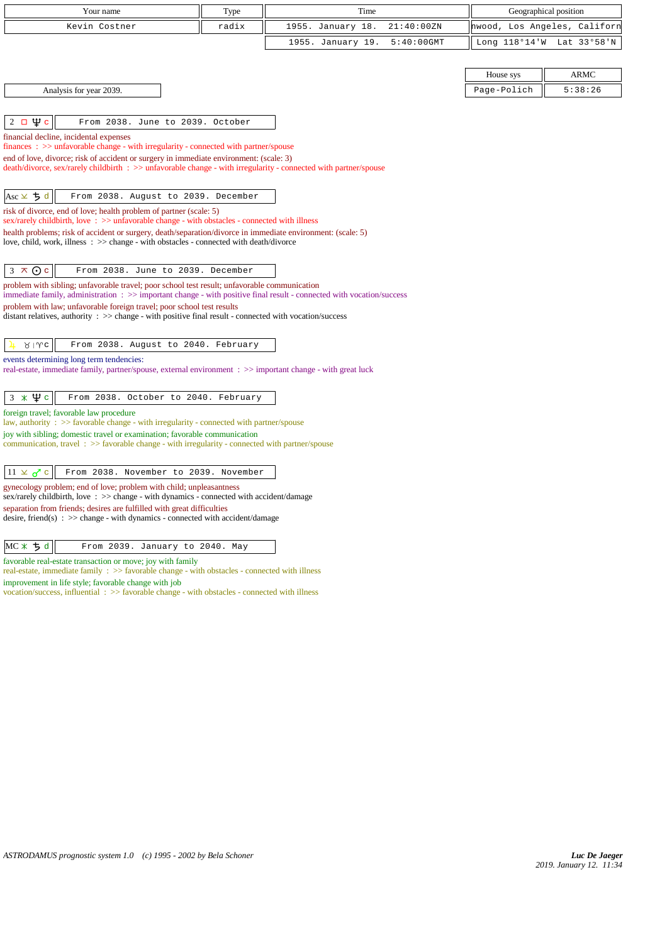| Your name                                                                                                                                                                         | Type                                                                   | Time                               | Geographical position |                              |  |  |  |  |
|-----------------------------------------------------------------------------------------------------------------------------------------------------------------------------------|------------------------------------------------------------------------|------------------------------------|-----------------------|------------------------------|--|--|--|--|
| Kevin Costner                                                                                                                                                                     | radix                                                                  | 1955. January 18.<br>21:40:00ZN    |                       | hwood, Los Angeles, Californ |  |  |  |  |
|                                                                                                                                                                                   |                                                                        | 1955. January 19.<br>$5:40:00$ GMT |                       | Long 118°14'W Lat 33°58'N    |  |  |  |  |
|                                                                                                                                                                                   |                                                                        |                                    |                       |                              |  |  |  |  |
|                                                                                                                                                                                   |                                                                        |                                    | House sys             | <b>ARMC</b>                  |  |  |  |  |
| Analysis for year 2039.                                                                                                                                                           |                                                                        |                                    | Page-Polich           | 5:38:26                      |  |  |  |  |
|                                                                                                                                                                                   |                                                                        |                                    |                       |                              |  |  |  |  |
| $2 \Box \Psi c$<br>From 2038. June to 2039. October                                                                                                                               |                                                                        |                                    |                       |                              |  |  |  |  |
| financial decline, incidental expenses                                                                                                                                            |                                                                        |                                    |                       |                              |  |  |  |  |
| $finances: >> unfavorable change - with irregularity - connected with partner/spouse$<br>end of love, divorce; risk of accident or surgery in immediate environment: (scale: 3)   |                                                                        |                                    |                       |                              |  |  |  |  |
| death/divorce, sex/rarely childbirth : >> unfavorable change - with irregularity - connected with partner/spouse                                                                  |                                                                        |                                    |                       |                              |  |  |  |  |
|                                                                                                                                                                                   |                                                                        |                                    |                       |                              |  |  |  |  |
| $Asc \times 5d$<br>From 2038. August to 2039. December                                                                                                                            |                                                                        |                                    |                       |                              |  |  |  |  |
| risk of divorce, end of love; health problem of partner (scale: 5)<br>sex/rarely childbirth, love: >> unfavorable change - with obstacles - connected with illness                |                                                                        |                                    |                       |                              |  |  |  |  |
| health problems; risk of accident or surgery, death/separation/divorce in immediate environment: (scale: 5)                                                                       |                                                                        |                                    |                       |                              |  |  |  |  |
| love, child, work, illness : >> change - with obstacles - connected with death/divorce                                                                                            |                                                                        |                                    |                       |                              |  |  |  |  |
| $3 \times 0c$<br>From 2038. June to 2039. December                                                                                                                                |                                                                        |                                    |                       |                              |  |  |  |  |
| problem with sibling; unfavorable travel; poor school test result; unfavorable communication                                                                                      |                                                                        |                                    |                       |                              |  |  |  |  |
| immediate family, administration $\Rightarrow$ > important change - with positive final result - connected with vocation/success                                                  |                                                                        |                                    |                       |                              |  |  |  |  |
| problem with law; unfavorable foreign travel; poor school test results<br>distant relatives, authority : >> change - with positive final result - connected with vocation/success |                                                                        |                                    |                       |                              |  |  |  |  |
|                                                                                                                                                                                   |                                                                        |                                    |                       |                              |  |  |  |  |
| $81$ wc<br>From 2038. August to 2040. February                                                                                                                                    |                                                                        |                                    |                       |                              |  |  |  |  |
| events determining long term tendencies:<br>real-estate, immediate family, partner/spouse, external environment : >> important change - with great luck                           |                                                                        |                                    |                       |                              |  |  |  |  |
|                                                                                                                                                                                   |                                                                        |                                    |                       |                              |  |  |  |  |
| $3 * \Psi c$<br>From 2038. October to 2040. February                                                                                                                              |                                                                        |                                    |                       |                              |  |  |  |  |
| foreign travel; favorable law procedure                                                                                                                                           |                                                                        |                                    |                       |                              |  |  |  |  |
| law, authority : >> favorable change - with irregularity - connected with partner/spouse<br>joy with sibling; domestic travel or examination; favorable communication             |                                                                        |                                    |                       |                              |  |  |  |  |
| communication, travel $\Rightarrow$ Savorable change - with irregularity - connected with partner/spouse                                                                          |                                                                        |                                    |                       |                              |  |  |  |  |
|                                                                                                                                                                                   |                                                                        |                                    |                       |                              |  |  |  |  |
| $11 \times \sigma$ c<br>From 2038. November to 2039. November                                                                                                                     |                                                                        |                                    |                       |                              |  |  |  |  |
| gynecology problem; end of love; problem with child; unpleasantness<br>sex/rarely childbirth, love: >> change - with dynamics - connected with accident/damage                    |                                                                        |                                    |                       |                              |  |  |  |  |
|                                                                                                                                                                                   | separation from friends; desires are fulfilled with great difficulties |                                    |                       |                              |  |  |  |  |
| desire, friend(s) : $\gg$ change - with dynamics - connected with accident/damage                                                                                                 |                                                                        |                                    |                       |                              |  |  |  |  |
| MC X 5 d                                                                                                                                                                          |                                                                        |                                    |                       |                              |  |  |  |  |
| From 2039. January to 2040. May                                                                                                                                                   |                                                                        |                                    |                       |                              |  |  |  |  |
| favorable real-estate transaction or move; joy with family<br>real-estate, immediate family $\Rightarrow$ favorable change - with obstacles - connected with illness              |                                                                        |                                    |                       |                              |  |  |  |  |
| improvement in life style; favorable change with job<br>vocation/success, influential $\Rightarrow$ Savorable change - with obstacles - connected with illness                    |                                                                        |                                    |                       |                              |  |  |  |  |
|                                                                                                                                                                                   |                                                                        |                                    |                       |                              |  |  |  |  |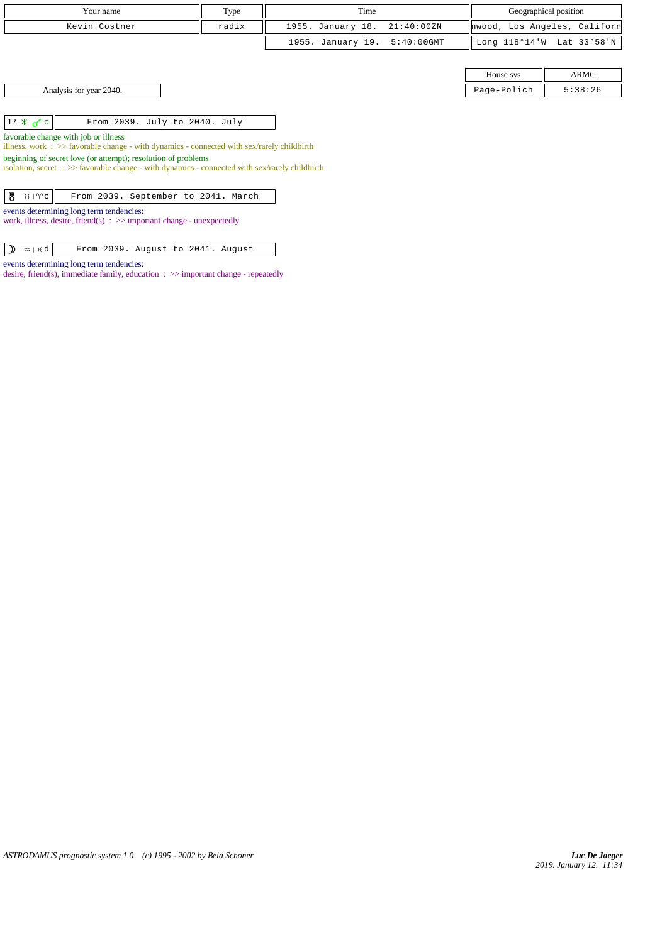| Your name                                                                                                                           | Type  | Time              |               | Geographical position |                              |  |  |
|-------------------------------------------------------------------------------------------------------------------------------------|-------|-------------------|---------------|-----------------------|------------------------------|--|--|
| Kevin Costner                                                                                                                       | radix | 1955. January 18. | 21:40:00 ZN   |                       | hwood, Los Angeles, Californ |  |  |
|                                                                                                                                     |       | 1955. January 19. | $5:40:00$ GMT |                       | Long 118°14'W Lat 33°58'N    |  |  |
|                                                                                                                                     |       |                   |               |                       |                              |  |  |
|                                                                                                                                     |       |                   |               | House sys             | <b>ARMC</b>                  |  |  |
| Analysis for year 2040.                                                                                                             |       |                   |               | Page-Polich           | 5:38:26                      |  |  |
|                                                                                                                                     |       |                   |               |                       |                              |  |  |
| $12 \times \sigma$ c<br>From 2039. July to 2040. July                                                                               |       |                   |               |                       |                              |  |  |
| favorable change with job or illness<br>illness, work : $>$ favorable change - with dynamics - connected with sex/rarely childbirth |       |                   |               |                       |                              |  |  |
| beginning of secret love (or attempt); resolution of problems                                                                       |       |                   |               |                       |                              |  |  |
| isolation, secret : $\gg$ favorable change - with dynamics - connected with sex/rarely childbirth                                   |       |                   |               |                       |                              |  |  |
|                                                                                                                                     |       |                   |               |                       |                              |  |  |
| ზ<br>$8   \gamma c  $<br>From 2039. September to 2041. March                                                                        |       |                   |               |                       |                              |  |  |
| events determining long term tendencies:<br>work, illness, desire, friend(s) : $\gg$ important change - unexpectedly                |       |                   |               |                       |                              |  |  |
|                                                                                                                                     |       |                   |               |                       |                              |  |  |

 $\boxed{\mathbf{D} \mathbb{m}$  |  $\mathbb{H} \mathbf{d}}$  | From 2039. August to 2041. August

events determining long term tendencies:

desire, friend(s), immediate family, education : >> important change - repeatedly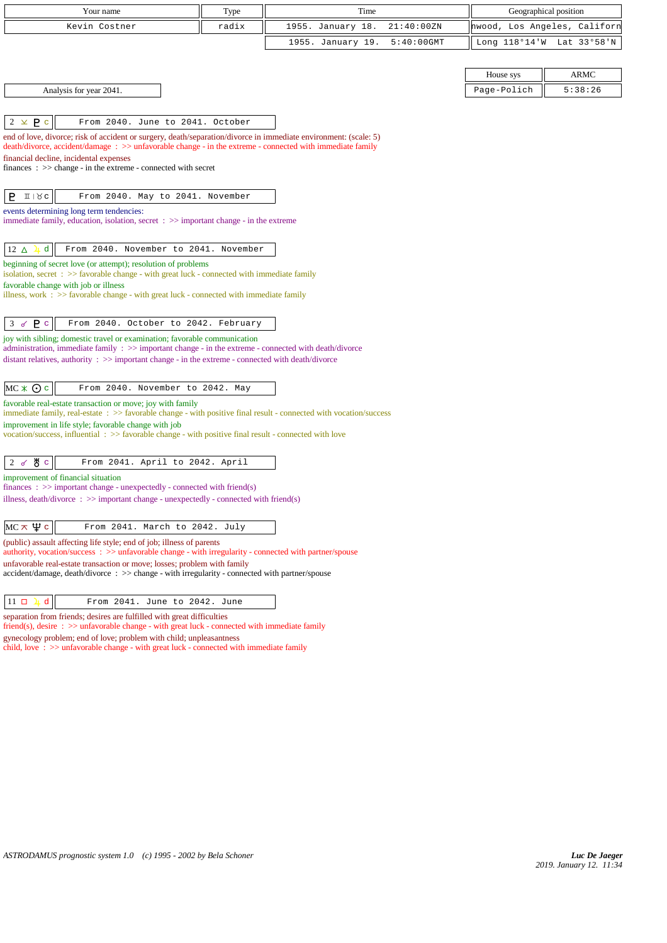| Your name                                                                                                                                                                                                                    | Type  | Time              |               |                  | Geographical position        |
|------------------------------------------------------------------------------------------------------------------------------------------------------------------------------------------------------------------------------|-------|-------------------|---------------|------------------|------------------------------|
| Kevin Costner                                                                                                                                                                                                                | radix | 1955. January 18. | 21:40:00 ZN   |                  | hwood, Los Angeles, Californ |
|                                                                                                                                                                                                                              |       | 1955. January 19. | $5:40:00$ GMT | Long $118°14'$ W | Lat 33°58'N                  |
|                                                                                                                                                                                                                              |       |                   |               |                  |                              |
|                                                                                                                                                                                                                              |       |                   |               | House sys        | <b>ARMC</b>                  |
| Analysis for year 2041.                                                                                                                                                                                                      |       |                   |               | Page-Polich      | 5:38:26                      |
|                                                                                                                                                                                                                              |       |                   |               |                  |                              |
| $2 \times P$<br>From 2040. June to 2041. October                                                                                                                                                                             |       |                   |               |                  |                              |
| end of love, divorce; risk of accident or surgery, death/separation/divorce in immediate environment: (scale: 5)<br>death/divorce, accident/damage: >> unfavorable change - in the extreme - connected with immediate family |       |                   |               |                  |                              |
| financial decline, incidental expenses<br>finances : $\gg$ change - in the extreme - connected with secret                                                                                                                   |       |                   |               |                  |                              |
| $I \cup R$<br>P.<br>From 2040. May to 2041. November                                                                                                                                                                         |       |                   |               |                  |                              |
| events determining long term tendencies:<br>immediate family, education, isolation, secret $\Rightarrow$ important change - in the extreme                                                                                   |       |                   |               |                  |                              |
| d<br>12 $\Delta$<br>From 2040. November to 2041. November                                                                                                                                                                    |       |                   |               |                  |                              |
| beginning of secret love (or attempt); resolution of problems<br>isolation, secret : >> favorable change - with great luck - connected with immediate family                                                                 |       |                   |               |                  |                              |
| favorable change with job or illness                                                                                                                                                                                         |       |                   |               |                  |                              |
| illness, work $\therefore$ >> favorable change - with great luck - connected with immediate family                                                                                                                           |       |                   |               |                  |                              |
| $3 \times P$ c<br>From 2040. October to 2042. February                                                                                                                                                                       |       |                   |               |                  |                              |
| joy with sibling; domestic travel or examination; favorable communication                                                                                                                                                    |       |                   |               |                  |                              |
| administration, immediate family : >> important change - in the extreme - connected with death/divorce<br>distant relatives, authority $\Rightarrow$ > important change - in the extreme - connected with death/divorce      |       |                   |               |                  |                              |
|                                                                                                                                                                                                                              |       |                   |               |                  |                              |
| $MC * Q c$<br>From 2040. November to 2042. May                                                                                                                                                                               |       |                   |               |                  |                              |
| favorable real-estate transaction or move; joy with family<br>immediate family, real-estate : >> favorable change - with positive final result - connected with vocation/success                                             |       |                   |               |                  |                              |
| improvement in life style; favorable change with job                                                                                                                                                                         |       |                   |               |                  |                              |
| vocation/success, influential : >> favorable change - with positive final result - connected with love                                                                                                                       |       |                   |               |                  |                              |
| 2 $\sigma$ $\sigma$ $\sigma$<br>From 2041. April to 2042. April                                                                                                                                                              |       |                   |               |                  |                              |
| improvement of financial situation                                                                                                                                                                                           |       |                   |               |                  |                              |
| finances : $\gg$ important change - unexpectedly - connected with friend(s)<br>illness, death/divorce : >> important change - unexpectedly - connected with friend(s)                                                        |       |                   |               |                  |                              |
|                                                                                                                                                                                                                              |       |                   |               |                  |                              |
| $MC \times \Psi c$<br>From 2041. March to 2042. July                                                                                                                                                                         |       |                   |               |                  |                              |
| (public) assault affecting life style; end of job; illness of parents<br>authority, vocation/success: >> unfavorable change - with irregularity - connected with partner/spouse                                              |       |                   |               |                  |                              |
| unfavorable real-estate transaction or move; losses; problem with family<br>$accident/damage, death/divorce : >> change - with irregularity - connected with partner/spouse$                                                 |       |                   |               |                  |                              |
| d<br>$11$ $\Box$<br>From 2041. June to 2042. June                                                                                                                                                                            |       |                   |               |                  |                              |
| separation from friends; desires are fulfilled with great difficulties<br>$friend(s)$ , desire $\Rightarrow$ > unfavorable change - with great luck - connected with immediate family                                        |       |                   |               |                  |                              |

gynecology problem; end of love; problem with child; unpleasantness child, love : >> unfavorable change - with great luck - connected with immediate family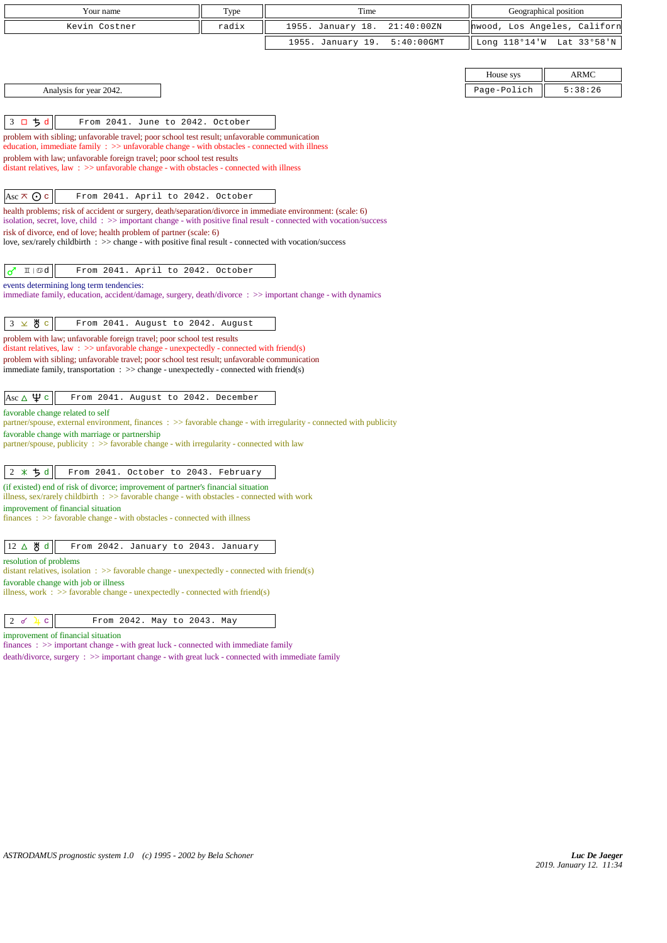| Your name                                                                                                                                                                                                                         | Type  | Time              |               | Geographical position        |             |
|-----------------------------------------------------------------------------------------------------------------------------------------------------------------------------------------------------------------------------------|-------|-------------------|---------------|------------------------------|-------------|
| Kevin Costner                                                                                                                                                                                                                     | radix | 1955. January 18. | 21:40:00ZN    | hwood, Los Angeles, Californ |             |
|                                                                                                                                                                                                                                   |       | 1955. January 19. | $5:40:00$ GMT | Long 118°14'W                | Lat 33°58'N |
|                                                                                                                                                                                                                                   |       |                   |               |                              |             |
|                                                                                                                                                                                                                                   |       |                   |               | House sys                    | ARMC        |
| Analysis for year 2042.                                                                                                                                                                                                           |       |                   |               | Page-Polich                  | 5:38:26     |
|                                                                                                                                                                                                                                   |       |                   |               |                              |             |
| 3 口 ち d<br>From 2041. June to 2042. October                                                                                                                                                                                       |       |                   |               |                              |             |
| problem with sibling; unfavorable travel; poor school test result; unfavorable communication                                                                                                                                      |       |                   |               |                              |             |
| education, immediate family $\Rightarrow$ >> unfavorable change - with obstacles - connected with illness<br>problem with law; unfavorable foreign travel; poor school test results                                               |       |                   |               |                              |             |
| distant relatives, law $\therefore$ >> unfavorable change - with obstacles - connected with illness                                                                                                                               |       |                   |               |                              |             |
|                                                                                                                                                                                                                                   |       |                   |               |                              |             |
| Asc $\pi$ $\odot$ c<br>From 2041. April to 2042. October                                                                                                                                                                          |       |                   |               |                              |             |
| health problems; risk of accident or surgery, death/separation/divorce in immediate environment: (scale: 6)<br>isolation, secret, love, child: >> important change - with positive final result - connected with vocation/success |       |                   |               |                              |             |
| risk of divorce, end of love; health problem of partner (scale: 6)                                                                                                                                                                |       |                   |               |                              |             |
| love, sex/rarely childbirth : >> change - with positive final result - connected with vocation/success                                                                                                                            |       |                   |               |                              |             |
| From 2041. April to 2042. October<br>$I\!I \mid \mathfrak{A}$<br>♂                                                                                                                                                                |       |                   |               |                              |             |
| events determining long term tendencies:                                                                                                                                                                                          |       |                   |               |                              |             |
| immediate family, education, accident/damage, surgery, death/divorce: >> important change - with dynamics                                                                                                                         |       |                   |               |                              |             |
|                                                                                                                                                                                                                                   |       |                   |               |                              |             |
| $3 \times 8$ c<br>From 2041. August to 2042. August                                                                                                                                                                               |       |                   |               |                              |             |
| problem with law; unfavorable foreign travel; poor school test results<br>distant relatives, law : $\gg$ unfavorable change - unexpectedly - connected with friend(s)                                                             |       |                   |               |                              |             |
| problem with sibling; unfavorable travel; poor school test result; unfavorable communication                                                                                                                                      |       |                   |               |                              |             |
| immediate family, transportation $\Rightarrow$ > change - unexpectedly - connected with friend(s)                                                                                                                                 |       |                   |               |                              |             |
| Asc $\Delta \Psi c$<br>From 2041. August to 2042. December                                                                                                                                                                        |       |                   |               |                              |             |
| favorable change related to self                                                                                                                                                                                                  |       |                   |               |                              |             |
| partner/spouse, external environment, finances : >> favorable change - with irregularity - connected with publicity                                                                                                               |       |                   |               |                              |             |
| favorable change with marriage or partnership<br>partner/spouse, publicity $\Rightarrow$ favorable change - with irregularity - connected with law                                                                                |       |                   |               |                              |             |
|                                                                                                                                                                                                                                   |       |                   |               |                              |             |
| ちす<br>$2 *$<br>From 2041. October to 2043. February                                                                                                                                                                               |       |                   |               |                              |             |
| (if existed) end of risk of divorce; improvement of partner's financial situation                                                                                                                                                 |       |                   |               |                              |             |
| illness, sex/rarely childbirth $\therefore$ >> favorable change - with obstacles - connected with work<br>improvement of financial situation                                                                                      |       |                   |               |                              |             |
| $finances : \gg$ favorable change - with obstacles - connected with illness                                                                                                                                                       |       |                   |               |                              |             |
|                                                                                                                                                                                                                                   |       |                   |               |                              |             |
| 12 ∆ ੴ d<br>From 2042. January to 2043. January                                                                                                                                                                                   |       |                   |               |                              |             |
| resolution of problems<br>distant relatives, isolation : $\gg$ favorable change - unexpectedly - connected with friend(s)                                                                                                         |       |                   |               |                              |             |
| favorable change with job or illness                                                                                                                                                                                              |       |                   |               |                              |             |
| illness, work : $\gg$ favorable change - unexpectedly - connected with friend(s)                                                                                                                                                  |       |                   |               |                              |             |
| 2 <sub>o</sub><br>$\mathbf C$<br>From 2042. May to 2043. May<br>4                                                                                                                                                                 |       |                   |               |                              |             |
| improvement of financial situation                                                                                                                                                                                                |       |                   |               |                              |             |
| finances: >> important change - with great luck - connected with immediate family                                                                                                                                                 |       |                   |               |                              |             |
| death/divorce, surgery : >> important change - with great luck - connected with immediate family                                                                                                                                  |       |                   |               |                              |             |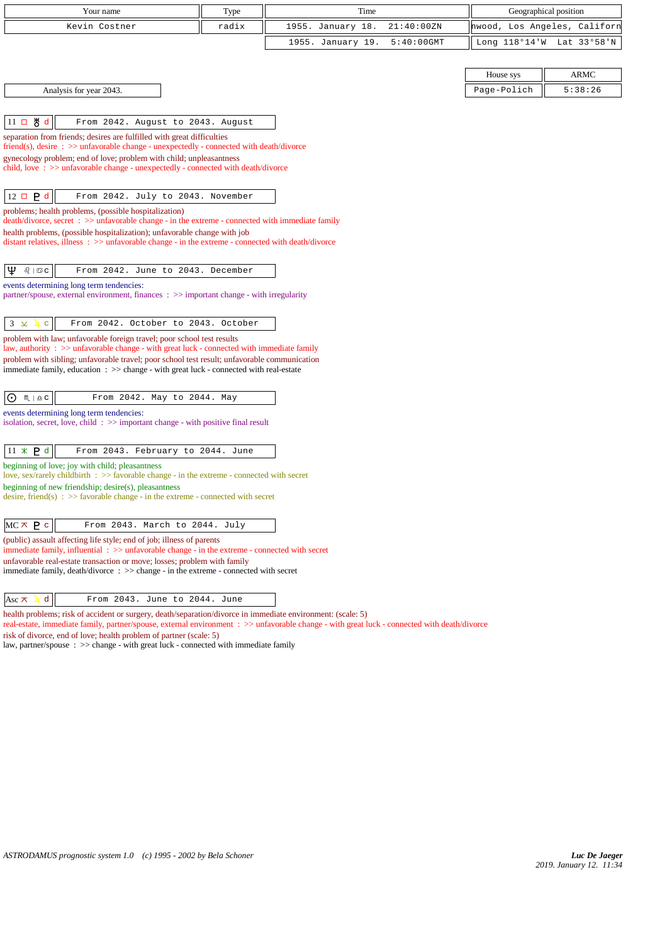| Your name                                                                                                                                                                          | Type                                                                   | Time              |               |                              | Geographical position |  |  |
|------------------------------------------------------------------------------------------------------------------------------------------------------------------------------------|------------------------------------------------------------------------|-------------------|---------------|------------------------------|-----------------------|--|--|
| Kevin Costner                                                                                                                                                                      | radix                                                                  | 1955. January 18. | 21:40:00ZN    | hwood, Los Angeles, Californ |                       |  |  |
|                                                                                                                                                                                    |                                                                        | 1955. January 19. | $5:40:00$ GMT | Long 118°14'W                | Lat 33°58'N           |  |  |
|                                                                                                                                                                                    |                                                                        |                   |               |                              |                       |  |  |
|                                                                                                                                                                                    |                                                                        |                   |               | House sys                    | ARMC                  |  |  |
| Analysis for year 2043.                                                                                                                                                            |                                                                        |                   |               | Page-Polich                  | 5:38:26               |  |  |
|                                                                                                                                                                                    |                                                                        |                   |               |                              |                       |  |  |
| $11 \Box \text{g}$ d<br>From 2042. August to 2043. August                                                                                                                          |                                                                        |                   |               |                              |                       |  |  |
|                                                                                                                                                                                    | separation from friends; desires are fulfilled with great difficulties |                   |               |                              |                       |  |  |
| friend(s), desire $\Rightarrow$ unfavorable change - unexpectedly - connected with death/divorce<br>gynecology problem; end of love; problem with child; unpleasantness            |                                                                        |                   |               |                              |                       |  |  |
| child, love: >> unfavorable change - unexpectedly - connected with death/divorce                                                                                                   |                                                                        |                   |               |                              |                       |  |  |
|                                                                                                                                                                                    |                                                                        |                   |               |                              |                       |  |  |
| $12 \Box P d$<br>From 2042. July to 2043. November                                                                                                                                 |                                                                        |                   |               |                              |                       |  |  |
| problems; health problems, (possible hospitalization)<br>death/divorce, secret : >> unfavorable change - in the extreme - connected with immediate family                          |                                                                        |                   |               |                              |                       |  |  |
| health problems, (possible hospitalization); unfavorable change with job                                                                                                           |                                                                        |                   |               |                              |                       |  |  |
| distant relatives, illness $\Rightarrow$ >> unfavorable change - in the extreme - connected with death/divorce                                                                     |                                                                        |                   |               |                              |                       |  |  |
|                                                                                                                                                                                    |                                                                        |                   |               |                              |                       |  |  |
| Ψ<br>$\delta$   $\mathfrak{S}$ C<br>From 2042. June to 2043. December                                                                                                              |                                                                        |                   |               |                              |                       |  |  |
| events determining long term tendencies:<br>partner/spouse, external environment, finances $\therefore$ $\gg$ important change - with irregularity                                 |                                                                        |                   |               |                              |                       |  |  |
|                                                                                                                                                                                    |                                                                        |                   |               |                              |                       |  |  |
| $3 \times$<br>$\mathbf c$<br>From 2042. October to 2043. October                                                                                                                   |                                                                        |                   |               |                              |                       |  |  |
| problem with law; unfavorable foreign travel; poor school test results<br>law, authority : $\gg$ unfavorable change - with great luck - connected with immediate family            |                                                                        |                   |               |                              |                       |  |  |
| problem with sibling; unfavorable travel; poor school test result; unfavorable communication                                                                                       |                                                                        |                   |               |                              |                       |  |  |
| immediate family, education : >> change - with great luck - connected with real-estate                                                                                             |                                                                        |                   |               |                              |                       |  |  |
| $M \mid \underline{\Omega} C$<br>⊙<br>From 2042. May to 2044. May                                                                                                                  |                                                                        |                   |               |                              |                       |  |  |
| events determining long term tendencies:                                                                                                                                           |                                                                        |                   |               |                              |                       |  |  |
| isolation, secret, love, child: $\gg$ important change - with positive final result                                                                                                |                                                                        |                   |               |                              |                       |  |  |
|                                                                                                                                                                                    |                                                                        |                   |               |                              |                       |  |  |
| $11 \times P d$<br>From 2043. February to 2044. June                                                                                                                               |                                                                        |                   |               |                              |                       |  |  |
| beginning of love; joy with child; pleasantness<br>love, sex/rarely childbirth $\Rightarrow$ favorable change - in the extreme - connected with secret                             |                                                                        |                   |               |                              |                       |  |  |
| beginning of new friendship; desire(s), pleasantness                                                                                                                               |                                                                        |                   |               |                              |                       |  |  |
| desire, friend(s) : $\gg$ favorable change - in the extreme - connected with secret                                                                                                |                                                                        |                   |               |                              |                       |  |  |
|                                                                                                                                                                                    |                                                                        |                   |               |                              |                       |  |  |
| $MC \times P$ c<br>From 2043. March to 2044. July                                                                                                                                  |                                                                        |                   |               |                              |                       |  |  |
| (public) assault affecting life style; end of job; illness of parents<br>immediate family, influential $\Rightarrow$ > unfavorable change - in the extreme - connected with secret |                                                                        |                   |               |                              |                       |  |  |
| unfavorable real-estate transaction or move; losses; problem with family<br>immediate family, $death/div$ orce: $\gg$ change - in the extreme - connected with secret              |                                                                        |                   |               |                              |                       |  |  |

 $\begin{vmatrix} \text{Asc} \times \lambda & d \end{vmatrix}$  From 2043. June to 2044. June

health problems; risk of accident or surgery, death/separation/divorce in immediate environment: (scale: 5)

real-estate, immediate family, partner/spouse, external environment : >> unfavorable change - with great luck - connected with death/divorce

risk of divorce, end of love; health problem of partner (scale: 5)

law, partner/spouse : >> change - with great luck - connected with immediate family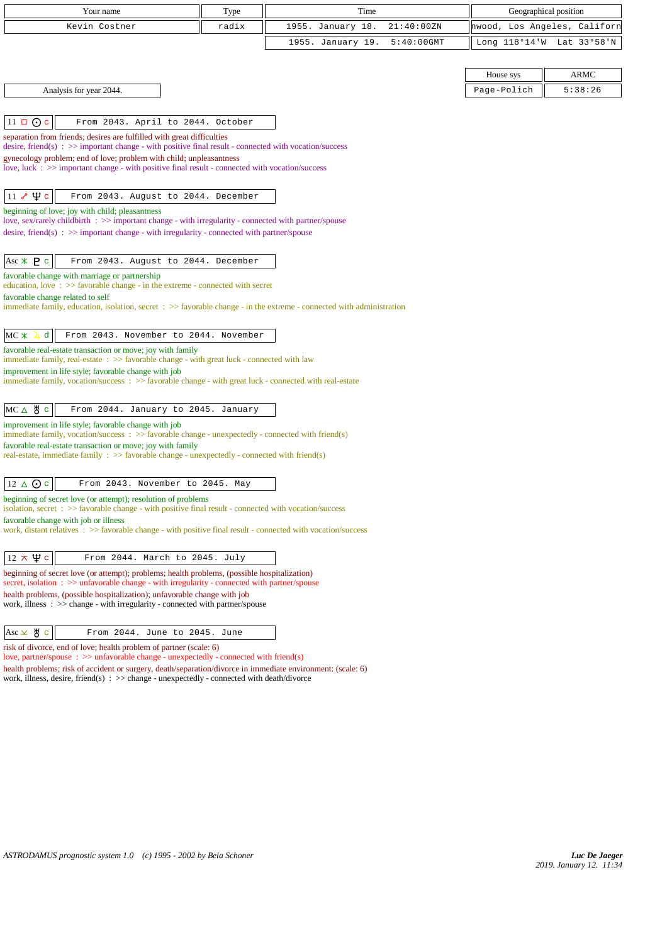| Your name                                                                                                                                                                                                | Type  | Time                               | Geographical position        |                           |
|----------------------------------------------------------------------------------------------------------------------------------------------------------------------------------------------------------|-------|------------------------------------|------------------------------|---------------------------|
| Kevin Costner                                                                                                                                                                                            | radix | 1955. January 18.<br>21:40:00ZN    | hwood, Los Angeles, Californ |                           |
|                                                                                                                                                                                                          |       | $5:40:00$ GMT<br>1955. January 19. |                              | Long 118°14'W Lat 33°58'N |
|                                                                                                                                                                                                          |       |                                    |                              |                           |
|                                                                                                                                                                                                          |       |                                    | House sys                    | <b>ARMC</b>               |
| Analysis for year 2044.                                                                                                                                                                                  |       |                                    | Page-Polich                  | 5:38:26                   |
|                                                                                                                                                                                                          |       |                                    |                              |                           |
| $11 \square$ O c<br>From 2043. April to 2044. October                                                                                                                                                    |       |                                    |                              |                           |
| separation from friends; desires are fulfilled with great difficulties<br>desire, friend(s) : $\gg$ important change - with positive final result - connected with vocation/success                      |       |                                    |                              |                           |
| gynecology problem; end of love; problem with child; unpleasantness                                                                                                                                      |       |                                    |                              |                           |
| love, luck $\Rightarrow$ important change - with positive final result - connected with vocation/success                                                                                                 |       |                                    |                              |                           |
| $11 \times \Psi$ c<br>From 2043. August to 2044. December                                                                                                                                                |       |                                    |                              |                           |
| beginning of love; joy with child; pleasantness                                                                                                                                                          |       |                                    |                              |                           |
| love, sex/rarely childbirth : >> important change - with irregularity - connected with partner/spouse                                                                                                    |       |                                    |                              |                           |
| desire, friend(s) : $\gg$ important change - with irregularity - connected with partner/spouse                                                                                                           |       |                                    |                              |                           |
| Asc $*$ <b>P</b> $\circ$<br>From 2043. August to 2044. December                                                                                                                                          |       |                                    |                              |                           |
| favorable change with marriage or partnership                                                                                                                                                            |       |                                    |                              |                           |
| education, love $\Rightarrow$ > favorable change - in the extreme - connected with secret                                                                                                                |       |                                    |                              |                           |
| favorable change related to self<br>immediate family, education, isolation, secret $\Rightarrow$ favorable change - in the extreme - connected with administration                                       |       |                                    |                              |                           |
|                                                                                                                                                                                                          |       |                                    |                              |                           |
| $MC *$<br>From 2043. November to 2044. November<br>d                                                                                                                                                     |       |                                    |                              |                           |
| favorable real-estate transaction or move; joy with family                                                                                                                                               |       |                                    |                              |                           |
| immediate family, real-estate : >> favorable change - with great luck - connected with law<br>improvement in life style; favorable change with job                                                       |       |                                    |                              |                           |
| immediate family, vocation/success: >> favorable change - with great luck - connected with real-estate                                                                                                   |       |                                    |                              |                           |
|                                                                                                                                                                                                          |       |                                    |                              |                           |
| $MC \triangle$ $\frac{14}{6}$ c<br>From 2044. January to 2045. January<br>improvement in life style; favorable change with job                                                                           |       |                                    |                              |                           |
| immediate family, vocation/success $\therefore$ >> favorable change - unexpectedly - connected with friend(s)                                                                                            |       |                                    |                              |                           |
| favorable real-estate transaction or move; joy with family<br>real-estate, immediate family : >> favorable change - unexpectedly - connected with friend(s)                                              |       |                                    |                              |                           |
|                                                                                                                                                                                                          |       |                                    |                              |                           |
| $12 \triangle$ Oc<br>From 2043. November to 2045. May                                                                                                                                                    |       |                                    |                              |                           |
| beginning of secret love (or attempt); resolution of problems                                                                                                                                            |       |                                    |                              |                           |
| isolation, secret : >> favorable change - with positive final result - connected with vocation/success<br>favorable change with job or illness                                                           |       |                                    |                              |                           |
| work, distant relatives : >> favorable change - with positive final result - connected with vocation/success                                                                                             |       |                                    |                              |                           |
|                                                                                                                                                                                                          |       |                                    |                              |                           |
| $12 \times \Psi c$<br>From 2044. March to 2045. July                                                                                                                                                     |       |                                    |                              |                           |
| beginning of secret love (or attempt); problems; health problems, (possible hospitalization)<br>secret, isolation $\Rightarrow$ > unfavorable change - with irregularity - connected with partner/spouse |       |                                    |                              |                           |
| health problems, (possible hospitalization); unfavorable change with job<br>work, illness : >> change - with irregularity - connected with partner/spouse                                                |       |                                    |                              |                           |
|                                                                                                                                                                                                          |       |                                    |                              |                           |
| $Asc \times \overset{\text{M}}{\circ} c$<br>From 2044. June to 2045. June                                                                                                                                |       |                                    |                              |                           |
| risk of divorce, end of love; health problem of partner (scale: 6)<br>$\cos \theta$ : $\cos$ unfavorable change - unexpectedly - connected with friend(e)                                                |       |                                    |                              |                           |

love, partner/spouse : >> unfavorable change - unexpectedly - connected with friend(s) health problems; risk of accident or surgery, death/separation/divorce in immediate environment: (scale: 6) work, illness, desire, friend(s) : >> change - unexpectedly - connected with death/divorce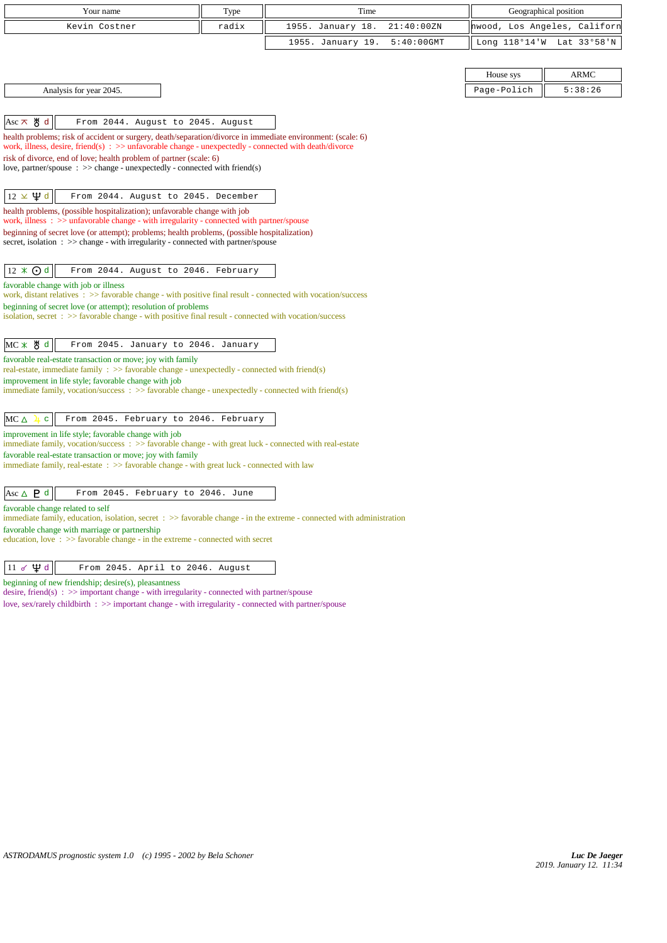| Your name                                                                                                                                                                                                                                                                                                                                                                       | Type  | Time                               |               | Geographical position        |
|---------------------------------------------------------------------------------------------------------------------------------------------------------------------------------------------------------------------------------------------------------------------------------------------------------------------------------------------------------------------------------|-------|------------------------------------|---------------|------------------------------|
| Kevin Costner                                                                                                                                                                                                                                                                                                                                                                   | radix | 1955. January 18.<br>21:40:00ZN    |               | hwood, Los Angeles, Californ |
|                                                                                                                                                                                                                                                                                                                                                                                 |       | 1955. January 19.<br>$5:40:00$ GMT | Long 118°14'W | Lat 33°58'N                  |
|                                                                                                                                                                                                                                                                                                                                                                                 |       |                                    |               |                              |
|                                                                                                                                                                                                                                                                                                                                                                                 |       |                                    | House sys     | <b>ARMC</b>                  |
| Analysis for year 2045.                                                                                                                                                                                                                                                                                                                                                         |       |                                    | Page-Polich   | 5:38:26                      |
|                                                                                                                                                                                                                                                                                                                                                                                 |       |                                    |               |                              |
| $Asc \times \overset{\text{H}}{\circ} d$<br>From 2044. August to 2045. August                                                                                                                                                                                                                                                                                                   |       |                                    |               |                              |
| health problems; risk of accident or surgery, death/separation/divorce in immediate environment: (scale: 6)<br>work, illness, desire, friend(s) : $\gg$ unfavorable change - unexpectedly - connected with death/divorce<br>risk of divorce, end of love; health problem of partner (scale: 6)<br>love, partner/spouse : $\gg$ change - unexpectedly - connected with friend(s) |       |                                    |               |                              |
| $12 \times \Psi d$<br>From 2044. August to 2045. December                                                                                                                                                                                                                                                                                                                       |       |                                    |               |                              |
| health problems, (possible hospitalization); unfavorable change with job<br>work, illness $\therefore$ >> unfavorable change - with irregularity - connected with partner/spouse                                                                                                                                                                                                |       |                                    |               |                              |
| beginning of secret love (or attempt); problems; health problems, (possible hospitalization)                                                                                                                                                                                                                                                                                    |       |                                    |               |                              |
| secret, isolation : >> change - with irregularity - connected with partner/spouse                                                                                                                                                                                                                                                                                               |       |                                    |               |                              |
| $12 \times Qd$<br>From 2044. August to 2046. February                                                                                                                                                                                                                                                                                                                           |       |                                    |               |                              |
| favorable change with job or illness                                                                                                                                                                                                                                                                                                                                            |       |                                    |               |                              |
| work, distant relatives : >> favorable change - with positive final result - connected with vocation/success                                                                                                                                                                                                                                                                    |       |                                    |               |                              |
| beginning of secret love (or attempt); resolution of problems<br>isolation, secret : >> favorable change - with positive final result - connected with vocation/success                                                                                                                                                                                                         |       |                                    |               |                              |
|                                                                                                                                                                                                                                                                                                                                                                                 |       |                                    |               |                              |
| $MC \times$ 5 d<br>From 2045. January to 2046. January                                                                                                                                                                                                                                                                                                                          |       |                                    |               |                              |
| favorable real-estate transaction or move; joy with family<br>real-estate, immediate family $\therefore$ >> favorable change - unexpectedly - connected with friend(s)                                                                                                                                                                                                          |       |                                    |               |                              |
| improvement in life style; favorable change with job                                                                                                                                                                                                                                                                                                                            |       |                                    |               |                              |
| immediate family, vocation/success $\Rightarrow$ Savorable change - unexpectedly - connected with friend(s)                                                                                                                                                                                                                                                                     |       |                                    |               |                              |
| $MC \triangle$<br>From 2045. February to 2046. February<br>$\mathbf C$<br>工                                                                                                                                                                                                                                                                                                     |       |                                    |               |                              |
| improvement in life style; favorable change with job<br>immediate family, vocation/success: >> favorable change - with great luck - connected with real-estate                                                                                                                                                                                                                  |       |                                    |               |                              |
| favorable real-estate transaction or move; joy with family                                                                                                                                                                                                                                                                                                                      |       |                                    |               |                              |
| immediate family, real-estate: >> favorable change - with great luck - connected with law                                                                                                                                                                                                                                                                                       |       |                                    |               |                              |
| Asc $\triangle$ <b>P</b> d<br>From 2045. February to 2046. June                                                                                                                                                                                                                                                                                                                 |       |                                    |               |                              |
| favorable change related to self<br>immediate family, education, isolation, secret : >> favorable change - in the extreme - connected with administration                                                                                                                                                                                                                       |       |                                    |               |                              |
| favorable change with marriage or partnership<br>education, love $\Rightarrow$ > favorable change - in the extreme - connected with secret                                                                                                                                                                                                                                      |       |                                    |               |                              |
|                                                                                                                                                                                                                                                                                                                                                                                 |       |                                    |               |                              |
| $11 \times \Psi d$<br>From 2045. April to 2046. August                                                                                                                                                                                                                                                                                                                          |       |                                    |               |                              |

beginning of new friendship; desire(s), pleasantness

desire, friend(s) : >> important change - with irregularity - connected with partner/spouse love, sex/rarely child<br>birth  $\, : \, >>$  important change - with irregularity - connected with partner/spouse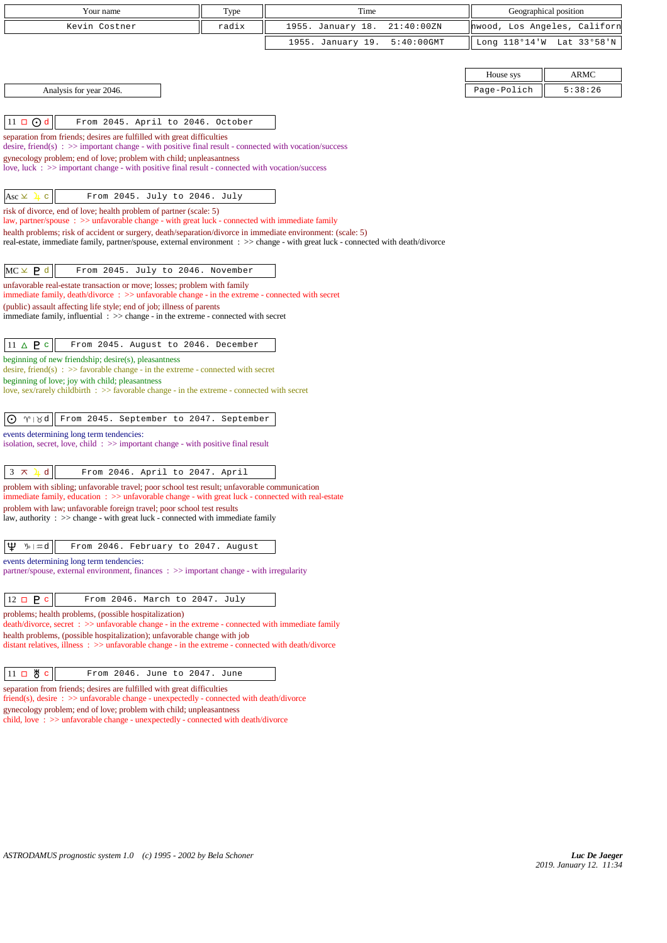| Your name                                                                                                                                                                                               | Type  | Time                               |               | Geographical position        |
|---------------------------------------------------------------------------------------------------------------------------------------------------------------------------------------------------------|-------|------------------------------------|---------------|------------------------------|
| Kevin Costner                                                                                                                                                                                           | radix | 1955. January 18.<br>21:40:00ZN    |               | hwood, Los Angeles, Californ |
|                                                                                                                                                                                                         |       | 1955. January 19.<br>$5:40:00$ GMT | Long 118°14'W | Lat 33°58'N                  |
|                                                                                                                                                                                                         |       |                                    |               |                              |
|                                                                                                                                                                                                         |       |                                    | House sys     | ARMC                         |
| Analysis for year 2046.                                                                                                                                                                                 |       |                                    | Page-Polich   | 5:38:26                      |
|                                                                                                                                                                                                         |       |                                    |               |                              |
| $11 \Box$ $\odot$ d<br>From 2045. April to 2046. October                                                                                                                                                |       |                                    |               |                              |
| separation from friends; desires are fulfilled with great difficulties                                                                                                                                  |       |                                    |               |                              |
| desire, friend(s) : $\gg$ important change - with positive final result - connected with vocation/success                                                                                               |       |                                    |               |                              |
| gynecology problem; end of love; problem with child; unpleasantness                                                                                                                                     |       |                                    |               |                              |
| love, luck $\div \Rightarrow$ important change - with positive final result - connected with vocation/success                                                                                           |       |                                    |               |                              |
| Asc $\vee$<br>From 2045. July to 2046. July<br>$\mathbf{C}$<br>五                                                                                                                                        |       |                                    |               |                              |
|                                                                                                                                                                                                         |       |                                    |               |                              |
| risk of divorce, end of love; health problem of partner (scale: 5)<br>law, partner/spouse : >> unfavorable change - with great luck - connected with immediate family                                   |       |                                    |               |                              |
| health problems; risk of accident or surgery, death/separation/divorce in immediate environment: (scale: 5)                                                                                             |       |                                    |               |                              |
| real-estate, immediate family, partner/spouse, external environment : >> change - with great luck - connected with death/divorce                                                                        |       |                                    |               |                              |
|                                                                                                                                                                                                         |       |                                    |               |                              |
| $MC \times P d$<br>From 2045. July to 2046. November                                                                                                                                                    |       |                                    |               |                              |
| unfavorable real-estate transaction or move; losses; problem with family<br>immediate family, death/divorce : >> unfavorable change - in the extreme - connected with secret                            |       |                                    |               |                              |
| (public) assault affecting life style; end of job; illness of parents                                                                                                                                   |       |                                    |               |                              |
| immediate family, influential $\Rightarrow$ > change - in the extreme - connected with secret                                                                                                           |       |                                    |               |                              |
|                                                                                                                                                                                                         |       |                                    |               |                              |
| $11 \triangle P$ c<br>From 2045. August to 2046. December                                                                                                                                               |       |                                    |               |                              |
| beginning of new friendship; desire(s), pleasantness<br>desire, friend(s) : $\gg$ favorable change - in the extreme - connected with secret                                                             |       |                                    |               |                              |
| beginning of love; joy with child; pleasantness                                                                                                                                                         |       |                                    |               |                              |
| love, sex/rarely childbirth $\Rightarrow$ favorable change - in the extreme - connected with secret                                                                                                     |       |                                    |               |                              |
|                                                                                                                                                                                                         |       |                                    |               |                              |
| $\gamma \mid \beta d$<br>From 2045. September to 2047. September<br>$\odot$                                                                                                                             |       |                                    |               |                              |
| events determining long term tendencies:                                                                                                                                                                |       |                                    |               |                              |
| isolation, secret, love, child $\Rightarrow$ important change - with positive final result                                                                                                              |       |                                    |               |                              |
| $\mathbf d$<br>$3 \times$<br>From 2046. April to 2047. April                                                                                                                                            |       |                                    |               |                              |
| problem with sibling; unfavorable travel; poor school test result; unfavorable communication                                                                                                            |       |                                    |               |                              |
| immediate family, education : >> unfavorable change - with great luck - connected with real-estate                                                                                                      |       |                                    |               |                              |
| problem with law; unfavorable foreign travel; poor school test results<br>law, authority : >> change - with great luck - connected with immediate family                                                |       |                                    |               |                              |
|                                                                                                                                                                                                         |       |                                    |               |                              |
| Ψ<br>\/⊳  #:d<br>From 2046. February to 2047. August                                                                                                                                                    |       |                                    |               |                              |
| events determining long term tendencies:                                                                                                                                                                |       |                                    |               |                              |
| partner/spouse, external environment, finances $\therefore$ $\gg$ important change - with irregularity                                                                                                  |       |                                    |               |                              |
|                                                                                                                                                                                                         |       |                                    |               |                              |
| $12 \Box P c$<br>From 2046. March to 2047. July                                                                                                                                                         |       |                                    |               |                              |
| problems; health problems, (possible hospitalization)                                                                                                                                                   |       |                                    |               |                              |
| death/divorce, secret : >> unfavorable change - in the extreme - connected with immediate family                                                                                                        |       |                                    |               |                              |
| health problems, (possible hospitalization); unfavorable change with job<br>distant relatives, illness $\Rightarrow$ > $\Rightarrow$ unfavorable change - in the extreme - connected with death/divorce |       |                                    |               |                              |
|                                                                                                                                                                                                         |       |                                    |               |                              |
| $11 \Box \text{ } \overset{\text{H}}{\circ} \text{ } c$<br>From 2046. June to 2047. June                                                                                                                |       |                                    |               |                              |
| separation from friends; desires are fulfilled with great difficulties                                                                                                                                  |       |                                    |               |                              |
| $friend(s)$ , desire : $\gg$ unfavorable change - unexpectedly - connected with death/divorce                                                                                                           |       |                                    |               |                              |
| gynecology problem; end of love; problem with child; unpleasantness<br>child, love: >> unfavorable change - unexpectedly - connected with death/divorce                                                 |       |                                    |               |                              |
|                                                                                                                                                                                                         |       |                                    |               |                              |
|                                                                                                                                                                                                         |       |                                    |               |                              |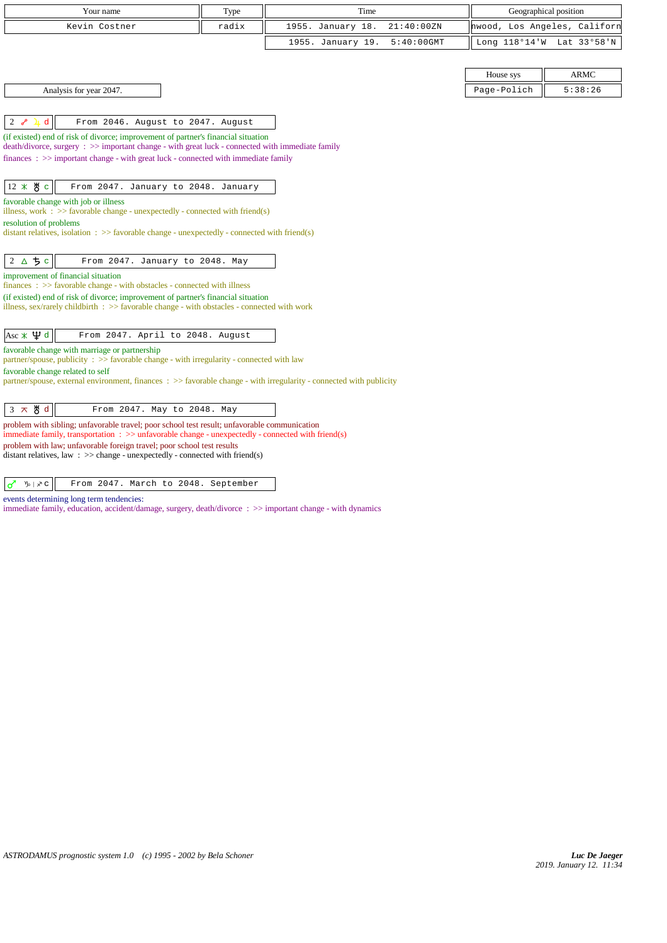| Your name                                                                                                                                                                               | Type  | Time              |               |                              | Geographical position     |
|-----------------------------------------------------------------------------------------------------------------------------------------------------------------------------------------|-------|-------------------|---------------|------------------------------|---------------------------|
| Kevin Costner                                                                                                                                                                           | radix | 1955. January 18. | 21:40:00ZN    | hwood, Los Angeles, Californ |                           |
|                                                                                                                                                                                         |       | 1955. January 19. | $5:40:00$ GMT |                              | Long 118°14'W Lat 33°58'N |
|                                                                                                                                                                                         |       |                   |               |                              |                           |
|                                                                                                                                                                                         |       |                   |               | House sys                    | <b>ARMC</b>               |
| Analysis for year 2047.                                                                                                                                                                 |       |                   |               | Page-Polich                  | 5:38:26                   |
|                                                                                                                                                                                         |       |                   |               |                              |                           |
| d<br>$2\sigma$<br>From 2046. August to 2047. August                                                                                                                                     |       |                   |               |                              |                           |
| (if existed) end of risk of divorce; improvement of partner's financial situation<br>$death/divorce, surgery : >> important change - with great luck - connected with immediate family$ |       |                   |               |                              |                           |
| finances $\Rightarrow$ important change - with great luck - connected with immediate family                                                                                             |       |                   |               |                              |                           |
|                                                                                                                                                                                         |       |                   |               |                              |                           |
| $12 \times 8$ c<br>From 2047. January to 2048. January                                                                                                                                  |       |                   |               |                              |                           |
| favorable change with job or illness<br>illness, work : $>$ favorable change - unexpectedly - connected with friend(s)                                                                  |       |                   |               |                              |                           |
| resolution of problems                                                                                                                                                                  |       |                   |               |                              |                           |
| distant relatives, isolation : $\gg$ favorable change - unexpectedly - connected with friend(s)                                                                                         |       |                   |               |                              |                           |
|                                                                                                                                                                                         |       |                   |               |                              |                           |
| $2\Delta$ 5 c<br>From 2047. January to 2048. May                                                                                                                                        |       |                   |               |                              |                           |
| improvement of financial situation<br>$finances : \gg$ favorable change - with obstacles - connected with illness                                                                       |       |                   |               |                              |                           |
| (if existed) end of risk of divorce; improvement of partner's financial situation                                                                                                       |       |                   |               |                              |                           |
| illness, sex/rarely childbirth $\Rightarrow$ S favorable change - with obstacles - connected with work                                                                                  |       |                   |               |                              |                           |
| $\text{Asc} \times \Psi$ d<br>From 2047. April to 2048. August                                                                                                                          |       |                   |               |                              |                           |
| favorable change with marriage or partnership                                                                                                                                           |       |                   |               |                              |                           |
| partner/spouse, publicity : $\gg$ favorable change - with irregularity - connected with law                                                                                             |       |                   |               |                              |                           |
| favorable change related to self<br>partner/spouse, external environment, finances : >> favorable change - with irregularity - connected with publicity                                 |       |                   |               |                              |                           |
|                                                                                                                                                                                         |       |                   |               |                              |                           |
| $3 \times 8d$<br>From 2047. May to 2048. May                                                                                                                                            |       |                   |               |                              |                           |
| problem with sibling; unfavorable travel; poor school test result; unfavorable communication                                                                                            |       |                   |               |                              |                           |
| immediate family, transportation $\therefore$ >> unfavorable change - unexpectedly - connected with friend(s)<br>problem with law; unfavorable foreign travel; poor school test results |       |                   |               |                              |                           |
| distant relatives, law : $\gg$ change - unexpectedly - connected with friend(s)                                                                                                         |       |                   |               |                              |                           |
|                                                                                                                                                                                         |       |                   |               |                              |                           |

 $\sigma$   $\sqrt{v}$   $\sqrt{z}$  From 2047. March to 2048. September

events determining long term tendencies:

immediate family, education, accident/damage, surgery, death/divorce : >> important change - with dynamics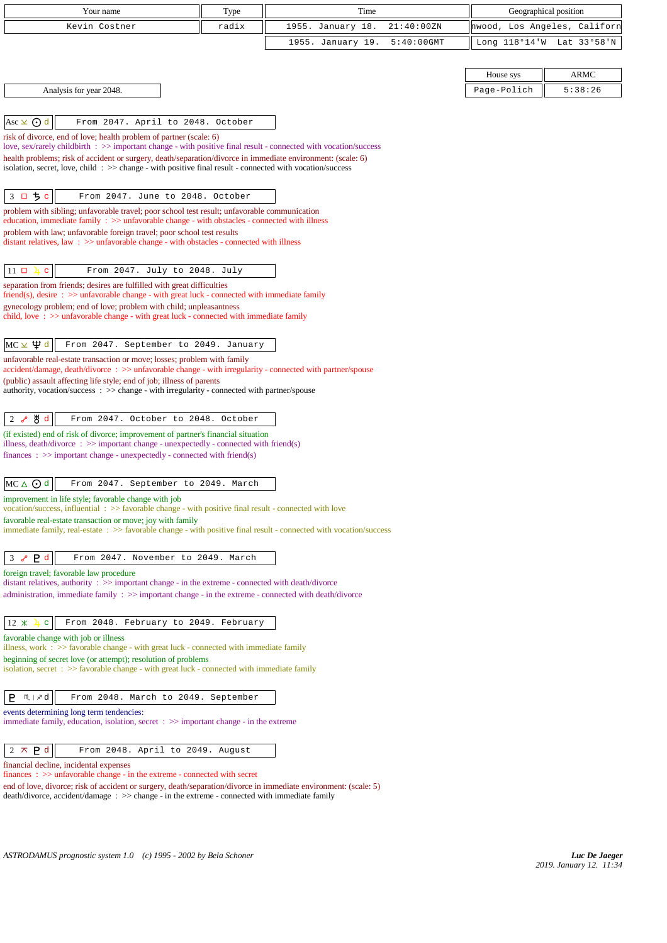| Your name                                                                                                                                                                                                                                                                                                                                                                    | Type  | Time                               | Geographical position        |             |
|------------------------------------------------------------------------------------------------------------------------------------------------------------------------------------------------------------------------------------------------------------------------------------------------------------------------------------------------------------------------------|-------|------------------------------------|------------------------------|-------------|
| Kevin Costner                                                                                                                                                                                                                                                                                                                                                                | radix | 1955. January 18.<br>21:40:00ZN    | hwood, Los Angeles, Californ |             |
|                                                                                                                                                                                                                                                                                                                                                                              |       | 1955. January 19.<br>$5:40:00$ GMT | Long 118°14'W                | Lat 33°58'N |
|                                                                                                                                                                                                                                                                                                                                                                              |       |                                    |                              |             |
|                                                                                                                                                                                                                                                                                                                                                                              |       |                                    | House sys                    | <b>ARMC</b> |
|                                                                                                                                                                                                                                                                                                                                                                              |       |                                    | Page-Polich                  | 5:38:26     |
| Analysis for year 2048.                                                                                                                                                                                                                                                                                                                                                      |       |                                    |                              |             |
|                                                                                                                                                                                                                                                                                                                                                                              |       |                                    |                              |             |
| Asc $\times$ $\odot$ d<br>From 2047. April to 2048. October                                                                                                                                                                                                                                                                                                                  |       |                                    |                              |             |
| risk of divorce, end of love; health problem of partner (scale: 6)                                                                                                                                                                                                                                                                                                           |       |                                    |                              |             |
| love, sex/rarely childbirth : >> important change - with positive final result - connected with vocation/success<br>health problems; risk of accident or surgery, death/separation/divorce in immediate environment: (scale: 6)                                                                                                                                              |       |                                    |                              |             |
| isolation, secret, love, child: $\gg$ change - with positive final result - connected with vocation/success                                                                                                                                                                                                                                                                  |       |                                    |                              |             |
|                                                                                                                                                                                                                                                                                                                                                                              |       |                                    |                              |             |
| 3 ロ ち c<br>From 2047. June to 2048. October                                                                                                                                                                                                                                                                                                                                  |       |                                    |                              |             |
| problem with sibling; unfavorable travel; poor school test result; unfavorable communication                                                                                                                                                                                                                                                                                 |       |                                    |                              |             |
| education, immediate family $\Rightarrow$ >> unfavorable change - with obstacles - connected with illness                                                                                                                                                                                                                                                                    |       |                                    |                              |             |
| problem with law; unfavorable foreign travel; poor school test results<br>distant relatives, law $\Rightarrow$ > unfavorable change - with obstacles - connected with illness                                                                                                                                                                                                |       |                                    |                              |             |
|                                                                                                                                                                                                                                                                                                                                                                              |       |                                    |                              |             |
| $11 \square \square$<br>From 2047. July to 2048. July<br>$\mathbf{C}$                                                                                                                                                                                                                                                                                                        |       |                                    |                              |             |
| separation from friends; desires are fulfilled with great difficulties                                                                                                                                                                                                                                                                                                       |       |                                    |                              |             |
| $friend(s)$ , desire $\Rightarrow$ > unfavorable change - with great luck - connected with immediate family                                                                                                                                                                                                                                                                  |       |                                    |                              |             |
| gynecology problem; end of love; problem with child; unpleasantness                                                                                                                                                                                                                                                                                                          |       |                                    |                              |             |
| child, love $\Rightarrow$ solution $\Rightarrow$ solution $\Rightarrow$ by $\Rightarrow$ solution $\Rightarrow$ solution $\Rightarrow$ solution $\Rightarrow$ solution $\Rightarrow$ solution $\Rightarrow$ solution $\Rightarrow$ solution $\Rightarrow$ solution $\Rightarrow$ solution $\Rightarrow$ solution $\Rightarrow$ solution $\Rightarrow$ solution $\Rightarrow$ |       |                                    |                              |             |
|                                                                                                                                                                                                                                                                                                                                                                              |       |                                    |                              |             |
| $MC \times \Psi d$<br>From 2047. September to 2049. January                                                                                                                                                                                                                                                                                                                  |       |                                    |                              |             |
| unfavorable real-estate transaction or move; losses; problem with family                                                                                                                                                                                                                                                                                                     |       |                                    |                              |             |
| accident/damage, death/divorce : >> unfavorable change - with irregularity - connected with partner/spouse<br>(public) assault affecting life style; end of job; illness of parents                                                                                                                                                                                          |       |                                    |                              |             |
| authority, vocation/success: >> change - with irregularity - connected with partner/spouse                                                                                                                                                                                                                                                                                   |       |                                    |                              |             |
|                                                                                                                                                                                                                                                                                                                                                                              |       |                                    |                              |             |
| ტ∦ d<br>From 2047. October to 2048. October<br>$2\sigma$                                                                                                                                                                                                                                                                                                                     |       |                                    |                              |             |
| (if existed) end of risk of divorce; improvement of partner's financial situation                                                                                                                                                                                                                                                                                            |       |                                    |                              |             |
| illness, $death/div$ orce: $\gg$ important change - unexpectedly - connected with friend(s)                                                                                                                                                                                                                                                                                  |       |                                    |                              |             |
| finances : $\gg$ important change - unexpectedly - connected with friend(s)                                                                                                                                                                                                                                                                                                  |       |                                    |                              |             |
|                                                                                                                                                                                                                                                                                                                                                                              |       |                                    |                              |             |
| MC△⊙d<br>From 2047. September to 2049. March                                                                                                                                                                                                                                                                                                                                 |       |                                    |                              |             |
| improvement in life style; favorable change with job                                                                                                                                                                                                                                                                                                                         |       |                                    |                              |             |
| vocation/success, influential: >> favorable change - with positive final result - connected with love<br>favorable real-estate transaction or move; joy with family                                                                                                                                                                                                          |       |                                    |                              |             |
| immediate family, real-estate : >> favorable change - with positive final result - connected with vocation/success                                                                                                                                                                                                                                                           |       |                                    |                              |             |
|                                                                                                                                                                                                                                                                                                                                                                              |       |                                    |                              |             |
| P <sub>d</sub><br>3 <sub>o</sub><br>From 2047. November to 2049. March                                                                                                                                                                                                                                                                                                       |       |                                    |                              |             |
| foreign travel; favorable law procedure                                                                                                                                                                                                                                                                                                                                      |       |                                    |                              |             |
| distant relatives, authority : >> important change - in the extreme - connected with death/divorce                                                                                                                                                                                                                                                                           |       |                                    |                              |             |
| administration, immediate family : >> important change - in the extreme - connected with death/divorce                                                                                                                                                                                                                                                                       |       |                                    |                              |             |
|                                                                                                                                                                                                                                                                                                                                                                              |       |                                    |                              |             |
| $12 \times$<br>From 2048. February to 2049. February<br>$\mathbf{C}$                                                                                                                                                                                                                                                                                                         |       |                                    |                              |             |
| favorable change with job or illness                                                                                                                                                                                                                                                                                                                                         |       |                                    |                              |             |
| illness, work $\Rightarrow$ Savorable change - with great luck - connected with immediate family<br>beginning of secret love (or attempt); resolution of problems                                                                                                                                                                                                            |       |                                    |                              |             |
| isolation, secret $\Rightarrow$ favorable change - with great luck - connected with immediate family                                                                                                                                                                                                                                                                         |       |                                    |                              |             |
|                                                                                                                                                                                                                                                                                                                                                                              |       |                                    |                              |             |
| $\mathbbmss{N} \mid \mathcal{S} \text{d}$<br>P.<br>From 2048. March to 2049. September                                                                                                                                                                                                                                                                                       |       |                                    |                              |             |
| events determining long term tendencies:                                                                                                                                                                                                                                                                                                                                     |       |                                    |                              |             |
| immediate family, education, isolation, secret $\Rightarrow$ important change - in the extreme                                                                                                                                                                                                                                                                               |       |                                    |                              |             |
|                                                                                                                                                                                                                                                                                                                                                                              |       |                                    |                              |             |
| $2 \times P d$<br>From 2048. April to 2049. August                                                                                                                                                                                                                                                                                                                           |       |                                    |                              |             |
| financial decline, incidental expenses                                                                                                                                                                                                                                                                                                                                       |       |                                    |                              |             |
| $finances : \gg$ unfavorable change - in the extreme - connected with secret                                                                                                                                                                                                                                                                                                 |       |                                    |                              |             |
| end of love, divorce; risk of accident or surgery, death/separation/divorce in immediate environment: (scale: 5)                                                                                                                                                                                                                                                             |       |                                    |                              |             |

death/divorce, accident/damage : >> change - in the extreme - connected with immediate family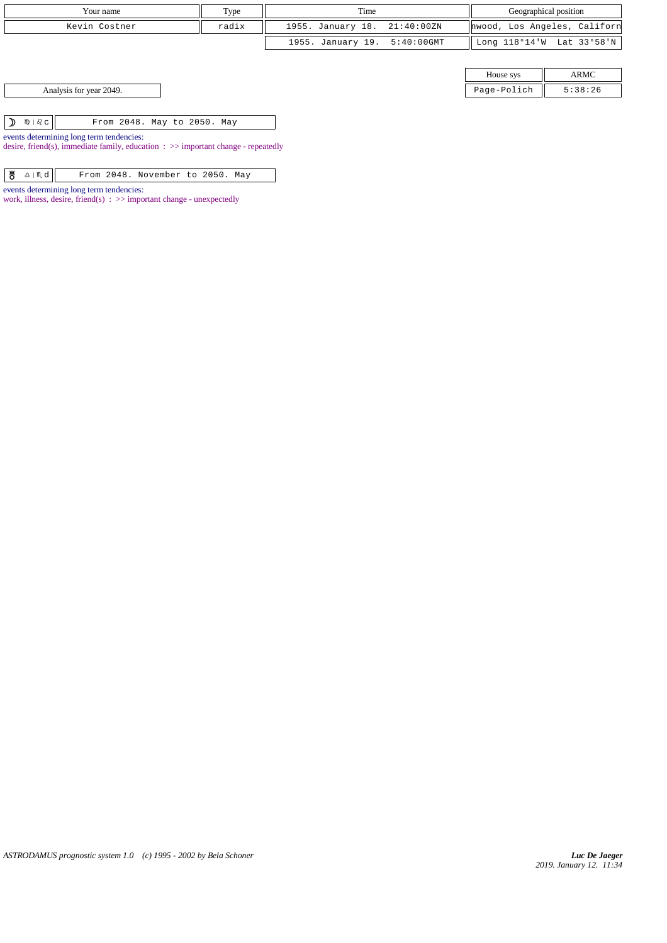| Your name               | Type  | Geographical position<br>Time |             |                              |
|-------------------------|-------|-------------------------------|-------------|------------------------------|
| Kevin Costner           | radix | 1955. January 18. 21:40:00ZN  |             | hwood, Los Angeles, Californ |
|                         |       | 1955. January 19. 5:40:00GMT  |             | Long 118°14'W Lat 33°58'N    |
|                         |       |                               |             |                              |
|                         |       |                               | House sys   | ARMC                         |
| Analysis for year 2049. |       |                               | Page-Polich | 5:38:26                      |
|                         |       |                               |             |                              |

 $\boxed{\mathbf{D}$   $\mathbf{\mathfrak{M}}\mid\mathcal{Q}\subset$  From 2048. May to 2050. May events determining long term tendencies:

desire, friend(s), immediate family, education : >> important change - repeatedly

| 뿅 $\triangle$   ጢ $d$   <br>From 2048. November to 2050. May |
|--------------------------------------------------------------|
|--------------------------------------------------------------|

events determining long term tendencies:

work, illness, desire, friend(s) : >> important change - unexpectedly